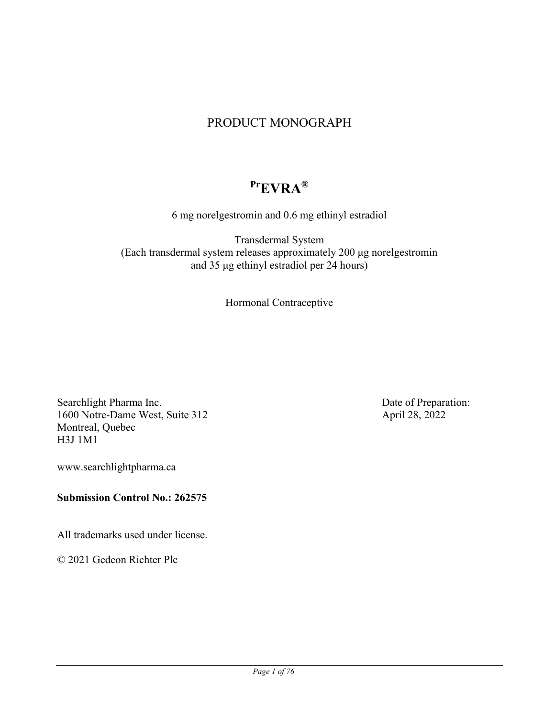# PRODUCT MONOGRAPH

# **PrEVRA®**

6 mg norelgestromin and 0.6 mg ethinyl estradiol

Transdermal System (Each transdermal system releases approximately 200 μg norelgestromin and 35 μg ethinyl estradiol per 24 hours)

Hormonal Contraceptive

Searchlight Pharma Inc. 1600 Notre-Dame West, Suite 312 Montreal, Quebec H3J 1M1

www.searchlightpharma.ca

### **Submission Control No.: 262575**

All trademarks used under license.

© 2021 Gedeon Richter Plc

Date of Preparation: April 28, 2022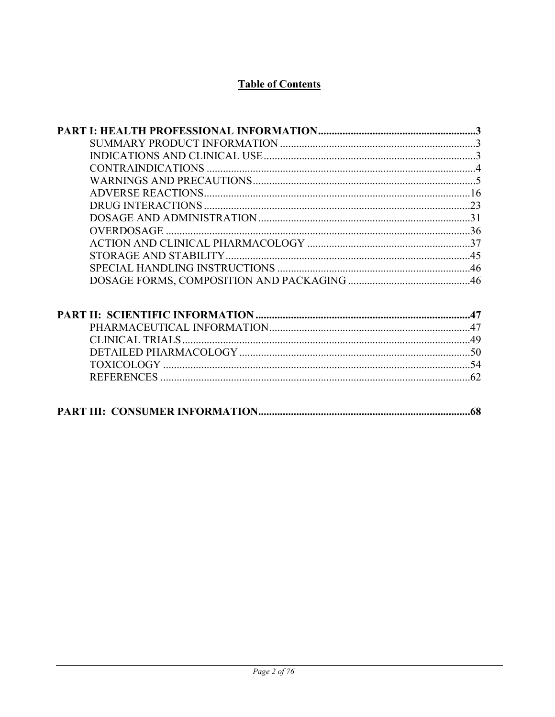# **Table of Contents**

| <b>OVERDOSAGE</b> |     |
|-------------------|-----|
|                   |     |
|                   |     |
|                   |     |
|                   |     |
|                   |     |
|                   |     |
|                   |     |
|                   |     |
|                   |     |
|                   |     |
|                   |     |
|                   |     |
|                   | .68 |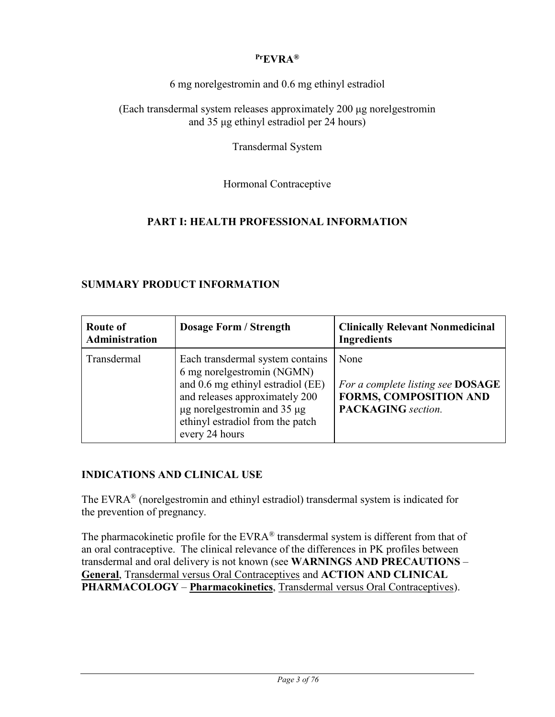### **PrEVRA®**

6 mg norelgestromin and 0.6 mg ethinyl estradiol

(Each transdermal system releases approximately 200 μg norelgestromin and 35 μg ethinyl estradiol per 24 hours)

Transdermal System

Hormonal Contraceptive

### **PART I: HEALTH PROFESSIONAL INFORMATION**

### **SUMMARY PRODUCT INFORMATION**

| <b>Route of</b><br>Administration | <b>Dosage Form / Strength</b>                                                                                                                                                                                                        | <b>Clinically Relevant Nonmedicinal</b><br><b>Ingredients</b>                                           |
|-----------------------------------|--------------------------------------------------------------------------------------------------------------------------------------------------------------------------------------------------------------------------------------|---------------------------------------------------------------------------------------------------------|
| Transdermal                       | Each transdermal system contains<br>6 mg norelgestromin (NGMN)<br>and 0.6 mg ethinyl estradiol (EE)<br>and releases approximately 200<br>$\mu$ g norelgestromin and 35 $\mu$ g<br>ethinyl estradiol from the patch<br>every 24 hours | None<br>For a complete listing see DOSAGE<br><b>FORMS, COMPOSITION AND</b><br><b>PACKAGING</b> section. |

#### **INDICATIONS AND CLINICAL USE**

The EVRA® (norelgestromin and ethinyl estradiol) transdermal system is indicated for the prevention of pregnancy.

The pharmacokinetic profile for the EVRA<sup>®</sup> transdermal system is different from that of an oral contraceptive. The clinical relevance of the differences in PK profiles between transdermal and oral delivery is not known (see **WARNINGS AND PRECAUTIONS** – **General**, Transdermal versus Oral Contraceptives and **ACTION AND CLINICAL PHARMACOLOGY** – **Pharmacokinetics**, Transdermal versus Oral Contraceptives).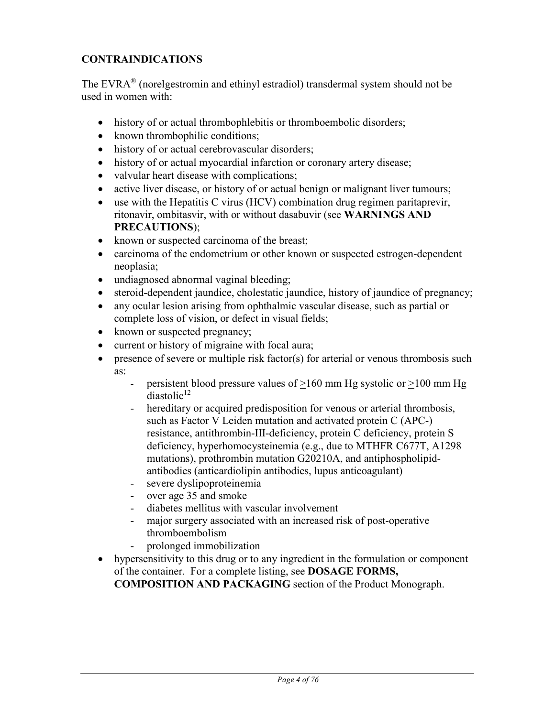# **CONTRAINDICATIONS**

The EVRA<sup>®</sup> (norelgestromin and ethinyl estradiol) transdermal system should not be used in women with:

- history of or actual thrombophlebitis or thromboembolic disorders;
- known thrombophilic conditions;
- history of or actual cerebrovascular disorders;
- history of or actual myocardial infarction or coronary artery disease;
- valvular heart disease with complications;
- active liver disease, or history of or actual benign or malignant liver tumours;
- use with the Hepatitis C virus (HCV) combination drug regimen paritaprevir, ritonavir, ombitasvir, with or without dasabuvir (see **WARNINGS AND PRECAUTIONS**);
- known or suspected carcinoma of the breast;
- carcinoma of the endometrium or other known or suspected estrogen-dependent neoplasia;
- undiagnosed abnormal vaginal bleeding;
- steroid-dependent jaundice, cholestatic jaundice, history of jaundice of pregnancy;
- any ocular lesion arising from ophthalmic vascular disease, such as partial or complete loss of vision, or defect in visual fields;
- known or suspected pregnancy;
- current or history of migraine with focal aura;
- presence of severe or multiple risk factor(s) for arterial or venous thrombosis such as:
	- persistent blood pressure values of  $\geq 160$  mm Hg systolic or  $\geq 100$  mm Hg  $diastolic<sup>12</sup>$
	- hereditary or acquired predisposition for venous or arterial thrombosis, such as Factor V Leiden mutation and activated protein C (APC-) resistance, antithrombin-III-deficiency, protein C deficiency, protein S deficiency, hyperhomocysteinemia (e.g., due to MTHFR C677T, A1298 mutations), prothrombin mutation G20210A, and antiphospholipidantibodies (anticardiolipin antibodies, lupus anticoagulant)
	- severe dyslipoproteinemia
	- over age 35 and smoke
	- diabetes mellitus with vascular involvement
	- major surgery associated with an increased risk of post-operative thromboembolism
	- prolonged immobilization
- hypersensitivity to this drug or to any ingredient in the formulation or component of the container. For a complete listing, see **DOSAGE FORMS, COMPOSITION AND PACKAGING** section of the Product Monograph.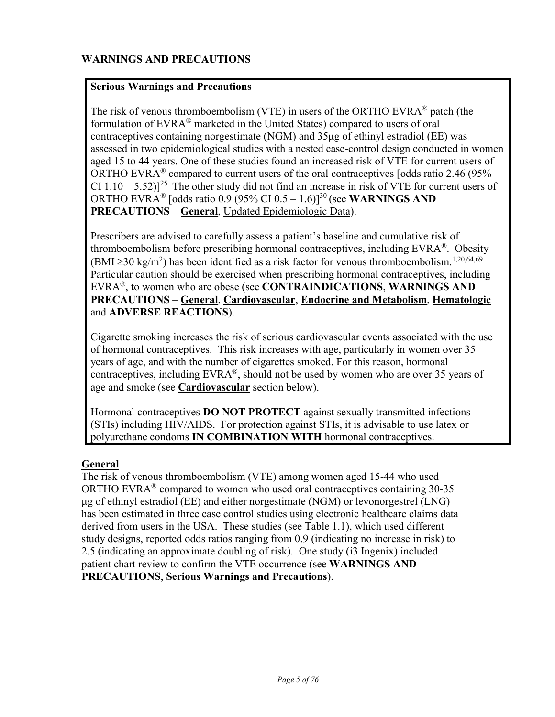### **Serious Warnings and Precautions**

The risk of venous thromboembolism (VTE) in users of the ORTHO EVRA® patch (the formulation of EVRA® marketed in the United States) compared to users of oral contraceptives containing norgestimate (NGM) and 35μg of ethinyl estradiol (EE) was assessed in two epidemiological studies with a nested case-control design conducted in women aged 15 to 44 years. One of these studies found an increased risk of VTE for current users of ORTHO EVRA<sup>®</sup> compared to current users of the oral contraceptives [odds ratio 2.46 (95% CI  $1.10 - 5.52$ )<sup>25</sup> The other study did not find an increase in risk of VTE for current users of ORTHO EVRA® [odds ratio 0.9 (95% CI 0.5 – 1.6)]<sup>30</sup> (see **WARNINGS AND PRECAUTIONS** – **General**, Updated Epidemiologic Data).

Prescribers are advised to carefully assess a patient's baseline and cumulative risk of thromboembolism before prescribing hormonal contraceptives, including EVRA®. Obesity (BMI  $\geq$ 30 kg/m<sup>2</sup>) has been identified as a risk factor for venous thromboembolism.<sup>1,20,64,69</sup> Particular caution should be exercised when prescribing hormonal contraceptives, including EVRA®, to women who are obese (see **CONTRAINDICATIONS**, **WARNINGS AND PRECAUTIONS** – **General**, **Cardiovascular**, **Endocrine and Metabolism**, **Hematologic** and **ADVERSE REACTIONS**).

Cigarette smoking increases the risk of serious cardiovascular events associated with the use of hormonal contraceptives. This risk increases with age, particularly in women over 35 years of age, and with the number of cigarettes smoked. For this reason, hormonal contraceptives, including  $EVRA^{\circledR}$ , should not be used by women who are over 35 years of age and smoke (see **Cardiovascular** section below).

Hormonal contraceptives **DO NOT PROTECT** against sexually transmitted infections (STIs) including HIV/AIDS. For protection against STIs, it is advisable to use latex or polyurethane condoms **IN COMBINATION WITH** hormonal contraceptives.

#### **General**

The risk of venous thromboembolism (VTE) among women aged 15-44 who used ORTHO EVRA $^{\circ}$  compared to women who used oral contraceptives containing 30-35 μg of ethinyl estradiol (EE) and either norgestimate (NGM) or levonorgestrel (LNG) has been estimated in three case control studies using electronic healthcare claims data derived from users in the USA. These studies (see Table 1.1), which used different study designs, reported odds ratios ranging from 0.9 (indicating no increase in risk) to 2.5 (indicating an approximate doubling of risk). One study (i3 Ingenix) included patient chart review to confirm the VTE occurrence (see **WARNINGS AND PRECAUTIONS**, **Serious Warnings and Precautions**).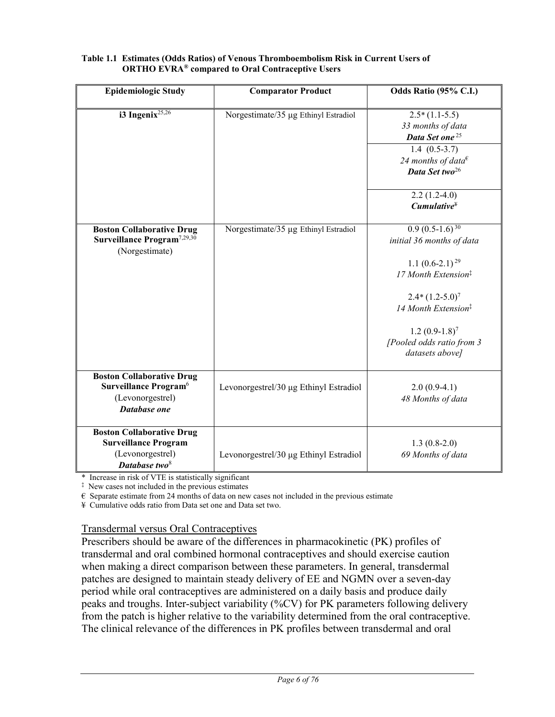| <b>Epidemiologic Study</b>                                                                                       | <b>Comparator Product</b>              | Odds Ratio (95% C.I.)                                                                                                                                                                                                                     |
|------------------------------------------------------------------------------------------------------------------|----------------------------------------|-------------------------------------------------------------------------------------------------------------------------------------------------------------------------------------------------------------------------------------------|
| i3 Ingenix <sup>25,26</sup>                                                                                      | Norgestimate/35 µg Ethinyl Estradiol   | $2.5*(1.1-5.5)$<br>33 months of data<br>Data Set one <sup>25</sup><br>$1.4(0.5-3.7)$<br>24 months of data $\epsilon$<br>Data Set two <sup>26</sup>                                                                                        |
|                                                                                                                  |                                        | $2.2(1.2-4.0)$<br>$Cumulative^*$                                                                                                                                                                                                          |
| <b>Boston Collaborative Drug</b><br>Surveillance Program <sup>7,29,30</sup><br>(Norgestimate)                    | Norgestimate/35 µg Ethinyl Estradiol   | $0.9(0.5-1.6)^{30}$<br>initial 36 months of data<br>1.1 $(0.6-2.1)^{29}$<br>17 Month Extension <sup>‡</sup><br>$2.4*(1.2-5.0)^7$<br>14 Month Extension <sup>‡</sup><br>$1.2(0.9-1.8)^{7}$<br>[Pooled odds ratio from 3<br>datasets above] |
| <b>Boston Collaborative Drug</b><br>Surveillance Program <sup>6</sup><br>(Levonorgestrel)<br>Database one        | Levonorgestrel/30 µg Ethinyl Estradiol | $2.0(0.9-4.1)$<br>48 Months of data                                                                                                                                                                                                       |
| <b>Boston Collaborative Drug</b><br><b>Surveillance Program</b><br>(Levonorgestrel)<br>Database two <sup>8</sup> | Levonorgestrel/30 µg Ethinyl Estradiol | $1.3(0.8-2.0)$<br>69 Months of data                                                                                                                                                                                                       |

#### **Table 1.1 Estimates (Odds Ratios) of Venous Thromboembolism Risk in Current Users of ORTHO EVRA® compared to Oral Contraceptive Users**

\* Increase in risk of VTE is statistically significant

‡ New cases not included in the previous estimates

 $\epsilon$  Separate estimate from 24 months of data on new cases not included in the previous estimate

¥ Cumulative odds ratio from Data set one and Data set two.

#### Transdermal versus Oral Contraceptives

Prescribers should be aware of the differences in pharmacokinetic (PK) profiles of transdermal and oral combined hormonal contraceptives and should exercise caution when making a direct comparison between these parameters. In general, transdermal patches are designed to maintain steady delivery of EE and NGMN over a seven-day period while oral contraceptives are administered on a daily basis and produce daily peaks and troughs. Inter-subject variability (%CV) for PK parameters following delivery from the patch is higher relative to the variability determined from the oral contraceptive. The clinical relevance of the differences in PK profiles between transdermal and oral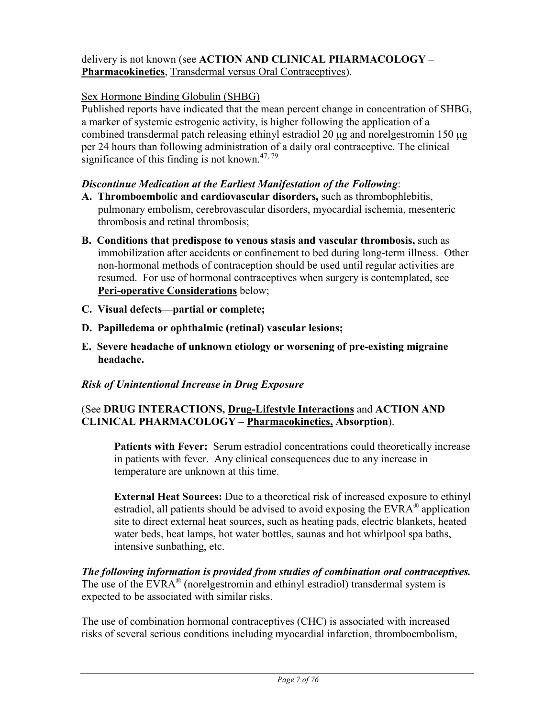### delivery is not known (see **ACTION AND CLINICAL PHARMACOLOGY – Pharmacokinetics**, Transdermal versus Oral Contraceptives).

### Sex Hormone Binding Globulin (SHBG)

Published reports have indicated that the mean percent change in concentration of SHBG, a marker of systemic estrogenic activity, is higher following the application of a combined transdermal patch releasing ethinyl estradiol 20 μg and norelgestromin 150 μg per 24 hours than following administration of a daily oral contraceptive. The clinical significance of this finding is not known.<sup>47, 79</sup>

#### *Discontinue Medication at the Earliest Manifestation of the Following*:

- **A. Thromboembolic and cardiovascular disorders,** such as thrombophlebitis, pulmonary embolism, cerebrovascular disorders, myocardial ischemia, mesenteric thrombosis and retinal thrombosis;
- **B. Conditions that predispose to venous stasis and vascular thrombosis,** such as immobilization after accidents or confinement to bed during long-term illness. Other non-hormonal methods of contraception should be used until regular activities are resumed. For use of hormonal contraceptives when surgery is contemplated, see **Peri-operative Considerations** below;
- **C. Visual defects—partial or complete;**
- **D. Papilledema or ophthalmic (retinal) vascular lesions;**
- **E. Severe headache of unknown etiology or worsening of pre-existing migraine headache.**

### *Risk of Unintentional Increase in Drug Exposure*

### (See **DRUG INTERACTIONS, Drug-Lifestyle Interactions** and **ACTION AND CLINICAL PHARMACOLOGY – Pharmacokinetics, Absorption**).

**Patients with Fever:** Serum estradiol concentrations could theoretically increase in patients with fever. Any clinical consequences due to any increase in temperature are unknown at this time.

**External Heat Sources:** Due to a theoretical risk of increased exposure to ethinyl estradiol, all patients should be advised to avoid exposing the  $EVARA^{\circledast}$  application site to direct external heat sources, such as heating pads, electric blankets, heated water beds, heat lamps, hot water bottles, saunas and hot whirlpool spa baths, intensive sunbathing, etc.

*The following information is provided from studies of combination oral contraceptives.* The use of the  $EVARA^{\circledast}$  (norelgestromin and ethinyl estradiol) transdermal system is expected to be associated with similar risks.

The use of combination hormonal contraceptives (CHC) is associated with increased risks of several serious conditions including myocardial infarction, thromboembolism,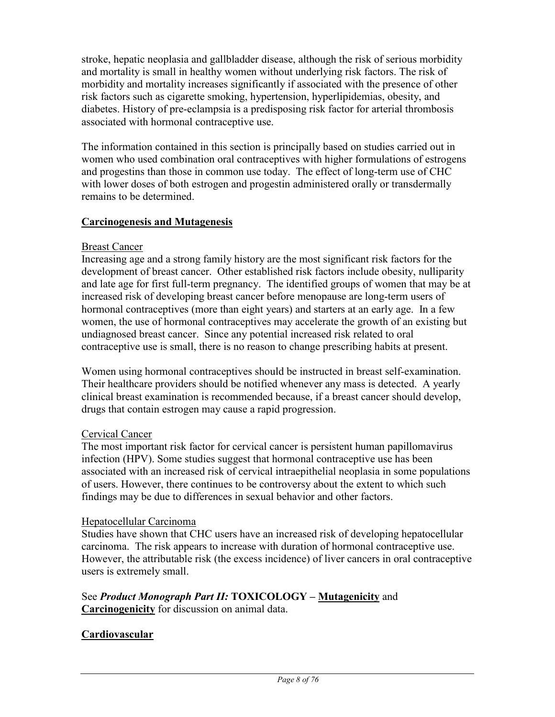stroke, hepatic neoplasia and gallbladder disease, although the risk of serious morbidity and mortality is small in healthy women without underlying risk factors. The risk of morbidity and mortality increases significantly if associated with the presence of other risk factors such as cigarette smoking, hypertension, hyperlipidemias, obesity, and diabetes. History of pre-eclampsia is a predisposing risk factor for arterial thrombosis associated with hormonal contraceptive use.

The information contained in this section is principally based on studies carried out in women who used combination oral contraceptives with higher formulations of estrogens and progestins than those in common use today. The effect of long-term use of CHC with lower doses of both estrogen and progestin administered orally or transdermally remains to be determined.

### **Carcinogenesis and Mutagenesis**

### Breast Cancer

Increasing age and a strong family history are the most significant risk factors for the development of breast cancer. Other established risk factors include obesity, nulliparity and late age for first full-term pregnancy. The identified groups of women that may be at increased risk of developing breast cancer before menopause are long-term users of hormonal contraceptives (more than eight years) and starters at an early age. In a few women, the use of hormonal contraceptives may accelerate the growth of an existing but undiagnosed breast cancer. Since any potential increased risk related to oral contraceptive use is small, there is no reason to change prescribing habits at present.

Women using hormonal contraceptives should be instructed in breast self-examination. Their healthcare providers should be notified whenever any mass is detected. A yearly clinical breast examination is recommended because, if a breast cancer should develop, drugs that contain estrogen may cause a rapid progression.

### Cervical Cancer

The most important risk factor for cervical cancer is persistent human papillomavirus infection (HPV). Some studies suggest that hormonal contraceptive use has been associated with an increased risk of cervical intraepithelial neoplasia in some populations of users. However, there continues to be controversy about the extent to which such findings may be due to differences in sexual behavior and other factors.

#### Hepatocellular Carcinoma

Studies have shown that CHC users have an increased risk of developing hepatocellular carcinoma. The risk appears to increase with duration of hormonal contraceptive use. However, the attributable risk (the excess incidence) of liver cancers in oral contraceptive users is extremely small.

#### See *Product Monograph Part II:* **TOXICOLOGY – Mutagenicity** and **Carcinogenicity** for discussion on animal data.

### **Cardiovascular**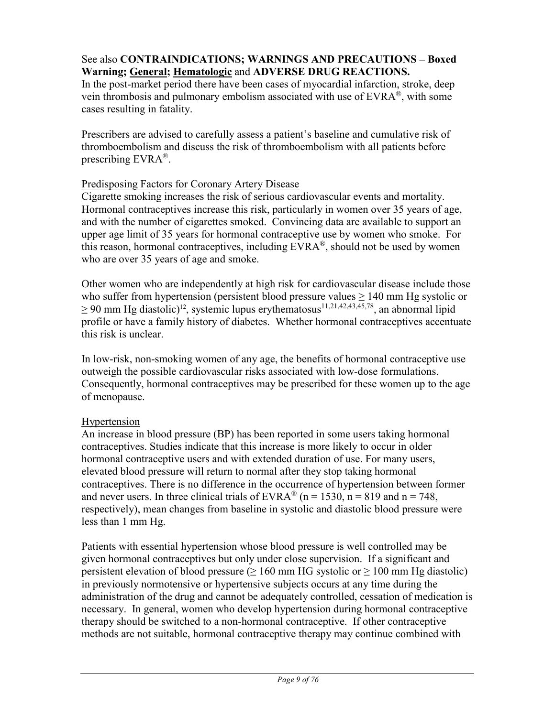### See also **CONTRAINDICATIONS; WARNINGS AND PRECAUTIONS – Boxed Warning; General; Hematologic** and **ADVERSE DRUG REACTIONS.**

In the post-market period there have been cases of myocardial infarction, stroke, deep vein thrombosis and pulmonary embolism associated with use of  $EVARA^{\circledast}$ , with some cases resulting in fatality.

Prescribers are advised to carefully assess a patient's baseline and cumulative risk of thromboembolism and discuss the risk of thromboembolism with all patients before prescribing  $EVARA^{\circledR}$ .

#### Predisposing Factors for Coronary Artery Disease

Cigarette smoking increases the risk of serious cardiovascular events and mortality. Hormonal contraceptives increase this risk, particularly in women over 35 years of age, and with the number of cigarettes smoked. Convincing data are available to support an upper age limit of 35 years for hormonal contraceptive use by women who smoke. For this reason, hormonal contraceptives, including EVRA®, should not be used by women who are over 35 years of age and smoke.

Other women who are independently at high risk for cardiovascular disease include those who suffer from hypertension (persistent blood pressure values  $\geq 140$  mm Hg systolic or  $\geq 90$  mm Hg diastolic)<sup>12</sup>, systemic lupus erythematosus<sup>11,21,42,43,45,78</sup>, an abnormal lipid profile or have a family history of diabetes. Whether hormonal contraceptives accentuate this risk is unclear.

In low-risk, non-smoking women of any age, the benefits of hormonal contraceptive use outweigh the possible cardiovascular risks associated with low-dose formulations. Consequently, hormonal contraceptives may be prescribed for these women up to the age of menopause.

### Hypertension

An increase in blood pressure (BP) has been reported in some users taking hormonal contraceptives. Studies indicate that this increase is more likely to occur in older hormonal contraceptive users and with extended duration of use. For many users, elevated blood pressure will return to normal after they stop taking hormonal contraceptives. There is no difference in the occurrence of hypertension between former and never users. In three clinical trials of  $EVRA^{\otimes}$  (n = 1530, n = 819 and n = 748, respectively), mean changes from baseline in systolic and diastolic blood pressure were less than 1 mm Hg.

Patients with essential hypertension whose blood pressure is well controlled may be given hormonal contraceptives but only under close supervision. If a significant and persistent elevation of blood pressure ( $\geq 160$  mm HG systolic or  $\geq 100$  mm Hg diastolic) in previously normotensive or hypertensive subjects occurs at any time during the administration of the drug and cannot be adequately controlled, cessation of medication is necessary. In general, women who develop hypertension during hormonal contraceptive therapy should be switched to a non-hormonal contraceptive. If other contraceptive methods are not suitable, hormonal contraceptive therapy may continue combined with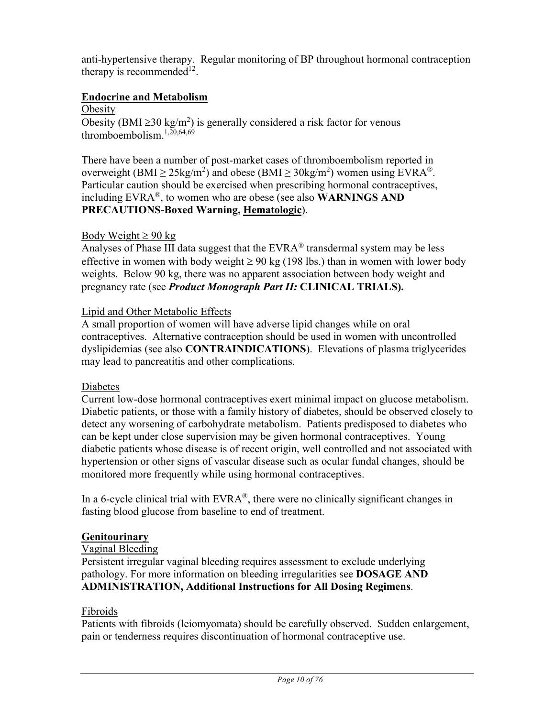anti-hypertensive therapy. Regular monitoring of BP throughout hormonal contraception therapy is recommended<sup>12</sup>.

### **Endocrine and Metabolism**

**Obesity** 

Obesity (BMI  $\geq$ 30 kg/m<sup>2</sup>) is generally considered a risk factor for venous thromboembolism.<sup>1,20,64,69</sup>

There have been a number of post-market cases of thromboembolism reported in overweight (BMI  $\geq$  25kg/m<sup>2</sup>) and obese (BMI  $\geq$  30kg/m<sup>2</sup>) women using EVRA<sup>®</sup>. Particular caution should be exercised when prescribing hormonal contraceptives, including EVRA®, to women who are obese (see also **WARNINGS AND PRECAUTIONS**-**Boxed Warning, Hematologic**).

### Body Weight  $\geq 90$  kg

Analyses of Phase III data suggest that the  $EVRA^{\circledR}$  transdermal system may be less effective in women with body weight  $\geq 90 \text{ kg}$  (198 lbs.) than in women with lower body weights. Below 90 kg, there was no apparent association between body weight and pregnancy rate (see *Product Monograph Part II:* **CLINICAL TRIALS).**

### Lipid and Other Metabolic Effects

A small proportion of women will have adverse lipid changes while on oral contraceptives. Alternative contraception should be used in women with uncontrolled dyslipidemias (see also **CONTRAINDICATIONS**). Elevations of plasma triglycerides may lead to pancreatitis and other complications.

#### Diabetes

Current low-dose hormonal contraceptives exert minimal impact on glucose metabolism. Diabetic patients, or those with a family history of diabetes, should be observed closely to detect any worsening of carbohydrate metabolism. Patients predisposed to diabetes who can be kept under close supervision may be given hormonal contraceptives. Young diabetic patients whose disease is of recent origin, well controlled and not associated with hypertension or other signs of vascular disease such as ocular fundal changes, should be monitored more frequently while using hormonal contraceptives.

In a 6-cycle clinical trial with  $EVRA^{\otimes}$ , there were no clinically significant changes in fasting blood glucose from baseline to end of treatment.

### **Genitourinary**

#### Vaginal Bleeding

Persistent irregular vaginal bleeding requires assessment to exclude underlying pathology. For more information on bleeding irregularities see **DOSAGE AND ADMINISTRATION, Additional Instructions for All Dosing Regimens**.

### Fibroids

Patients with fibroids (leiomyomata) should be carefully observed. Sudden enlargement, pain or tenderness requires discontinuation of hormonal contraceptive use.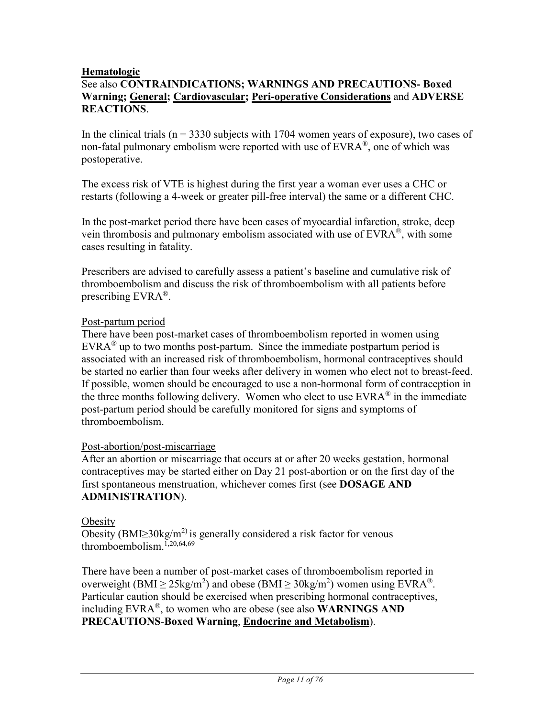#### **Hematologic**

### See also **CONTRAINDICATIONS; WARNINGS AND PRECAUTIONS- Boxed Warning; General; Cardiovascular; Peri-operative Considerations** and **ADVERSE REACTIONS**.

In the clinical trials ( $n = 3330$  subjects with 1704 women years of exposure), two cases of non-fatal pulmonary embolism were reported with use of  $EVARA^{\mathcal{B}}$ , one of which was postoperative.

The excess risk of VTE is highest during the first year a woman ever uses a CHC or restarts (following a 4-week or greater pill-free interval) the same or a different CHC.

In the post-market period there have been cases of myocardial infarction, stroke, deep vein thrombosis and pulmonary embolism associated with use of EVRA®, with some cases resulting in fatality.

Prescribers are advised to carefully assess a patient's baseline and cumulative risk of thromboembolism and discuss the risk of thromboembolism with all patients before prescribing EVRA®.

### Post-partum period

There have been post-market cases of thromboembolism reported in women using  $EVRA^{\circledR}$  up to two months post-partum. Since the immediate postpartum period is associated with an increased risk of thromboembolism, hormonal contraceptives should be started no earlier than four weeks after delivery in women who elect not to breast-feed. If possible, women should be encouraged to use a non-hormonal form of contraception in the three months following delivery. Women who elect to use  $EVRA^{\otimes}$  in the immediate post-partum period should be carefully monitored for signs and symptoms of thromboembolism.

#### Post-abortion/post-miscarriage

After an abortion or miscarriage that occurs at or after 20 weeks gestation, hormonal contraceptives may be started either on Day 21 post-abortion or on the first day of the first spontaneous menstruation, whichever comes first (see **DOSAGE AND ADMINISTRATION**).

#### **Obesity**

Obesity (BMI $\geq$ 30kg/m<sup>2)</sup> is generally considered a risk factor for venous thromboembolism.<sup>1,20,64,69</sup>

There have been a number of post-market cases of thromboembolism reported in overweight (BMI  $\geq$  25kg/m<sup>2</sup>) and obese (BMI  $\geq$  30kg/m<sup>2</sup>) women using EVRA<sup>®</sup>. Particular caution should be exercised when prescribing hormonal contraceptives, including EVRA®, to women who are obese (see also **WARNINGS AND PRECAUTIONS**-**Boxed Warning**, **Endocrine and Metabolism**).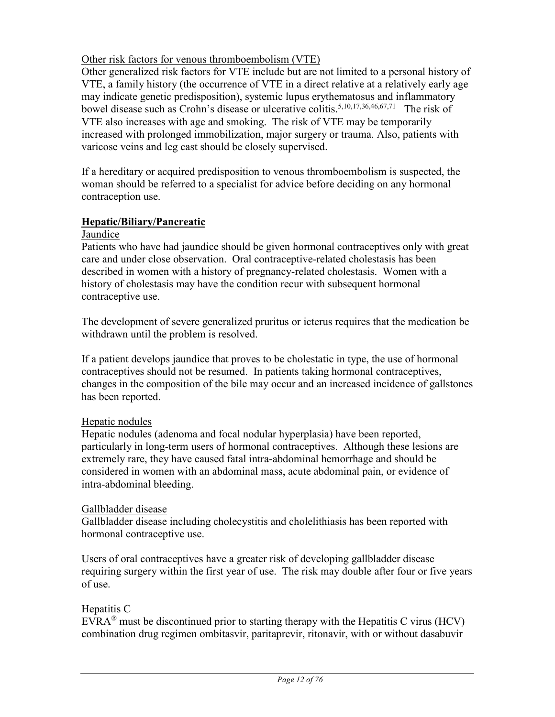### Other risk factors for venous thromboembolism (VTE)

Other generalized risk factors for VTE include but are not limited to a personal history of VTE, a family history (the occurrence of VTE in a direct relative at a relatively early age may indicate genetic predisposition), systemic lupus erythematosus and inflammatory bowel disease such as Crohn's disease or ulcerative colitis.<sup>5,10,17,36,46,67,71</sup> The risk of VTE also increases with age and smoking. The risk of VTE may be temporarily increased with prolonged immobilization, major surgery or trauma. Also, patients with varicose veins and leg cast should be closely supervised.

If a hereditary or acquired predisposition to venous thromboembolism is suspected, the woman should be referred to a specialist for advice before deciding on any hormonal contraception use.

### **Hepatic/Biliary/Pancreatic**

#### Jaundice

Patients who have had jaundice should be given hormonal contraceptives only with great care and under close observation. Oral contraceptive-related cholestasis has been described in women with a history of pregnancy-related cholestasis. Women with a history of cholestasis may have the condition recur with subsequent hormonal contraceptive use.

The development of severe generalized pruritus or icterus requires that the medication be withdrawn until the problem is resolved.

If a patient develops jaundice that proves to be cholestatic in type, the use of hormonal contraceptives should not be resumed. In patients taking hormonal contraceptives, changes in the composition of the bile may occur and an increased incidence of gallstones has been reported.

#### Hepatic nodules

Hepatic nodules (adenoma and focal nodular hyperplasia) have been reported, particularly in long-term users of hormonal contraceptives. Although these lesions are extremely rare, they have caused fatal intra-abdominal hemorrhage and should be considered in women with an abdominal mass, acute abdominal pain, or evidence of intra-abdominal bleeding.

#### Gallbladder disease

Gallbladder disease including cholecystitis and cholelithiasis has been reported with hormonal contraceptive use.

Users of oral contraceptives have a greater risk of developing gallbladder disease requiring surgery within the first year of use. The risk may double after four or five years of use.

#### Hepatitis C

EVRA<sup>®</sup> must be discontinued prior to starting therapy with the Hepatitis C virus (HCV) combination drug regimen ombitasvir, paritaprevir, ritonavir, with or without dasabuvir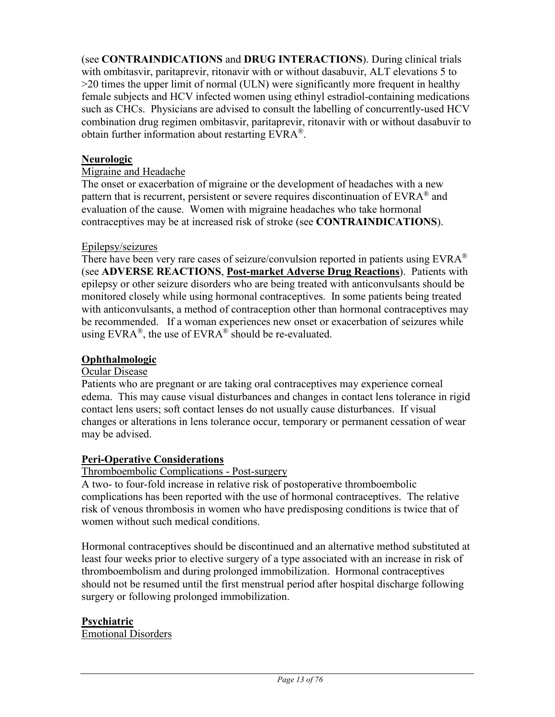(see **CONTRAINDICATIONS** and **DRUG INTERACTIONS**). During clinical trials with ombitasvir, paritaprevir, ritonavir with or without dasabuvir, ALT elevations 5 to >20 times the upper limit of normal (ULN) were significantly more frequent in healthy female subjects and HCV infected women using ethinyl estradiol-containing medications such as CHCs. Physicians are advised to consult the labelling of concurrently-used HCV combination drug regimen ombitasvir, paritaprevir, ritonavir with or without dasabuvir to obtain further information about restarting EVRA®.

### **Neurologic**

#### Migraine and Headache

The onset or exacerbation of migraine or the development of headaches with a new pattern that is recurrent, persistent or severe requires discontinuation of EVRA® and evaluation of the cause. Women with migraine headaches who take hormonal contraceptives may be at increased risk of stroke (see **CONTRAINDICATIONS**).

#### Epilepsy/seizures

There have been very rare cases of seizure/convulsion reported in patients using  $EVRA^{\otimes}$ (see **ADVERSE REACTIONS**, **Post-market Adverse Drug Reactions**). Patients with epilepsy or other seizure disorders who are being treated with anticonvulsants should be monitored closely while using hormonal contraceptives. In some patients being treated with anticonvulsants, a method of contraception other than hormonal contraceptives may be recommended. If a woman experiences new onset or exacerbation of seizures while using  $EVARA^{\circledast}$ , the use of  $EVARA^{\circledast}$  should be re-evaluated.

#### **Ophthalmologic**

#### Ocular Disease

Patients who are pregnant or are taking oral contraceptives may experience corneal edema. This may cause visual disturbances and changes in contact lens tolerance in rigid contact lens users; soft contact lenses do not usually cause disturbances. If visual changes or alterations in lens tolerance occur, temporary or permanent cessation of wear may be advised.

#### **Peri-Operative Considerations**

#### Thromboembolic Complications - Post-surgery

A two- to four-fold increase in relative risk of postoperative thromboembolic complications has been reported with the use of hormonal contraceptives. The relative risk of venous thrombosis in women who have predisposing conditions is twice that of women without such medical conditions.

Hormonal contraceptives should be discontinued and an alternative method substituted at least four weeks prior to elective surgery of a type associated with an increase in risk of thromboembolism and during prolonged immobilization. Hormonal contraceptives should not be resumed until the first menstrual period after hospital discharge following surgery or following prolonged immobilization.

### **Psychiatric**

Emotional Disorders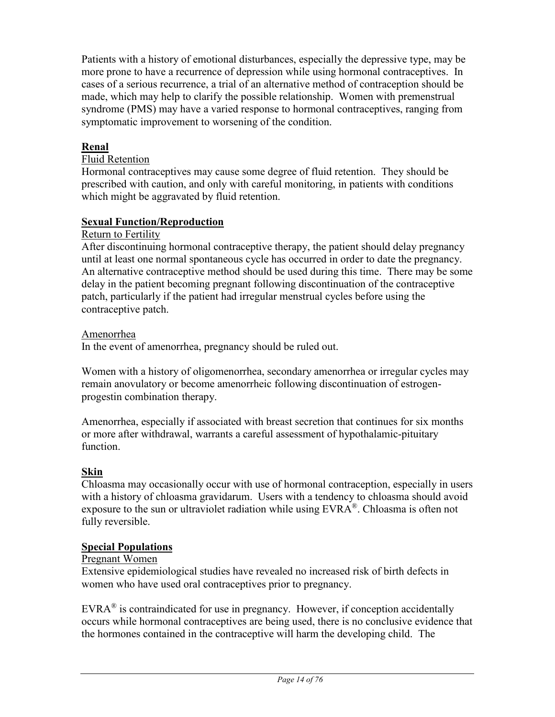Patients with a history of emotional disturbances, especially the depressive type, may be more prone to have a recurrence of depression while using hormonal contraceptives. In cases of a serious recurrence, a trial of an alternative method of contraception should be made, which may help to clarify the possible relationship. Women with premenstrual syndrome (PMS) may have a varied response to hormonal contraceptives, ranging from symptomatic improvement to worsening of the condition.

### **Renal**

### Fluid Retention

Hormonal contraceptives may cause some degree of fluid retention. They should be prescribed with caution, and only with careful monitoring, in patients with conditions which might be aggravated by fluid retention.

### **Sexual Function/Reproduction**

#### Return to Fertility

After discontinuing hormonal contraceptive therapy, the patient should delay pregnancy until at least one normal spontaneous cycle has occurred in order to date the pregnancy. An alternative contraceptive method should be used during this time. There may be some delay in the patient becoming pregnant following discontinuation of the contraceptive patch, particularly if the patient had irregular menstrual cycles before using the contraceptive patch.

#### Amenorrhea

In the event of amenorrhea, pregnancy should be ruled out.

Women with a history of oligomenorrhea, secondary amenorrhea or irregular cycles may remain anovulatory or become amenorrheic following discontinuation of estrogenprogestin combination therapy.

Amenorrhea, especially if associated with breast secretion that continues for six months or more after withdrawal, warrants a careful assessment of hypothalamic-pituitary function.

#### **Skin**

Chloasma may occasionally occur with use of hormonal contraception, especially in users with a history of chloasma gravidarum. Users with a tendency to chloasma should avoid exposure to the sun or ultraviolet radiation while using EVRA®. Chloasma is often not fully reversible.

#### **Special Populations**

#### Pregnant Women

Extensive epidemiological studies have revealed no increased risk of birth defects in women who have used oral contraceptives prior to pregnancy.

 $EVARA^{\circledast}$  is contraindicated for use in pregnancy. However, if conception accidentally occurs while hormonal contraceptives are being used, there is no conclusive evidence that the hormones contained in the contraceptive will harm the developing child. The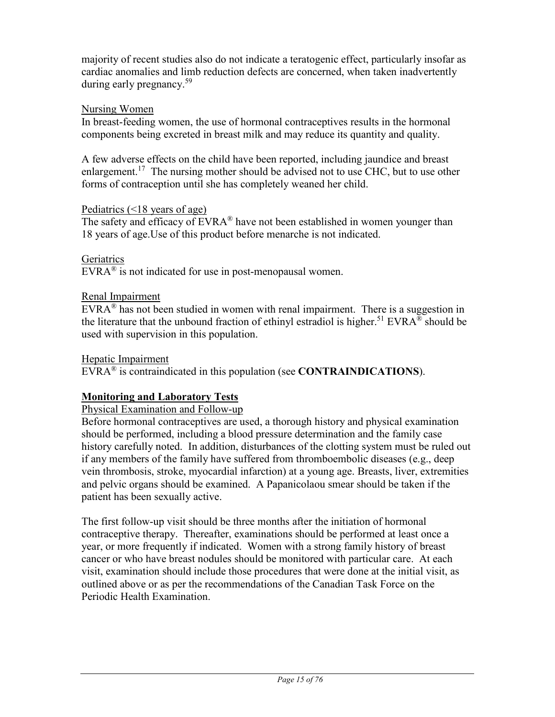majority of recent studies also do not indicate a teratogenic effect, particularly insofar as cardiac anomalies and limb reduction defects are concerned, when taken inadvertently during early pregnancy.<sup>59</sup>

#### Nursing Women

In breast-feeding women, the use of hormonal contraceptives results in the hormonal components being excreted in breast milk and may reduce its quantity and quality.

A few adverse effects on the child have been reported, including jaundice and breast enlargement.<sup>17</sup> The nursing mother should be advised not to use CHC, but to use other forms of contraception until she has completely weaned her child.

### Pediatrics (<18 years of age)

The safety and efficacy of  $EVARA^{\circledast}$  have not been established in women younger than 18 years of age.Use of this product before menarche is not indicated.

### **Geriatrics**

 $EVARA^{\circledR}$  is not indicated for use in post-menopausal women.

### Renal Impairment

 $EVRA^{\otimes}$  has not been studied in women with renal impairment. There is a suggestion in the literature that the unbound fraction of ethinyl estradiol is higher.<sup>51</sup> EVRA<sup>®</sup> should be used with supervision in this population.

#### Hepatic Impairment

EVRA® is contraindicated in this population (see **CONTRAINDICATIONS**).

### **Monitoring and Laboratory Tests**

Physical Examination and Follow-up

Before hormonal contraceptives are used, a thorough history and physical examination should be performed, including a blood pressure determination and the family case history carefully noted. In addition, disturbances of the clotting system must be ruled out if any members of the family have suffered from thromboembolic diseases (e.g., deep vein thrombosis, stroke, myocardial infarction) at a young age. Breasts, liver, extremities and pelvic organs should be examined. A Papanicolaou smear should be taken if the patient has been sexually active.

The first follow-up visit should be three months after the initiation of hormonal contraceptive therapy. Thereafter, examinations should be performed at least once a year, or more frequently if indicated. Women with a strong family history of breast cancer or who have breast nodules should be monitored with particular care. At each visit, examination should include those procedures that were done at the initial visit, as outlined above or as per the recommendations of the Canadian Task Force on the Periodic Health Examination.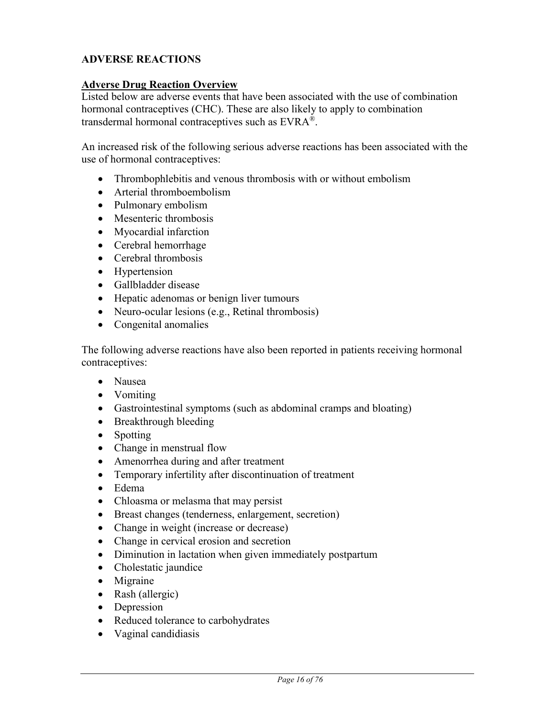### **ADVERSE REACTIONS**

#### **Adverse Drug Reaction Overview**

Listed below are adverse events that have been associated with the use of combination hormonal contraceptives (CHC). These are also likely to apply to combination transdermal hormonal contraceptives such as EVRA®.

An increased risk of the following serious adverse reactions has been associated with the use of hormonal contraceptives:

- Thrombophlebitis and venous thrombosis with or without embolism
- Arterial thromboembolism
- Pulmonary embolism
- Mesenteric thrombosis
- Myocardial infarction
- Cerebral hemorrhage
- Cerebral thrombosis
- Hypertension
- Gallbladder disease
- Hepatic adenomas or benign liver tumours
- Neuro-ocular lesions (e.g., Retinal thrombosis)
- Congenital anomalies

The following adverse reactions have also been reported in patients receiving hormonal contraceptives:

- Nausea
- Vomiting
- Gastrointestinal symptoms (such as abdominal cramps and bloating)
- Breakthrough bleeding
- Spotting
- Change in menstrual flow
- Amenorrhea during and after treatment
- Temporary infertility after discontinuation of treatment
- Edema
- Chloasma or melasma that may persist
- Breast changes (tenderness, enlargement, secretion)
- Change in weight (increase or decrease)
- Change in cervical erosion and secretion
- Diminution in lactation when given immediately postpartum
- Cholestatic jaundice
- Migraine
- Rash (allergic)
- Depression
- Reduced tolerance to carbohydrates
- Vaginal candidiasis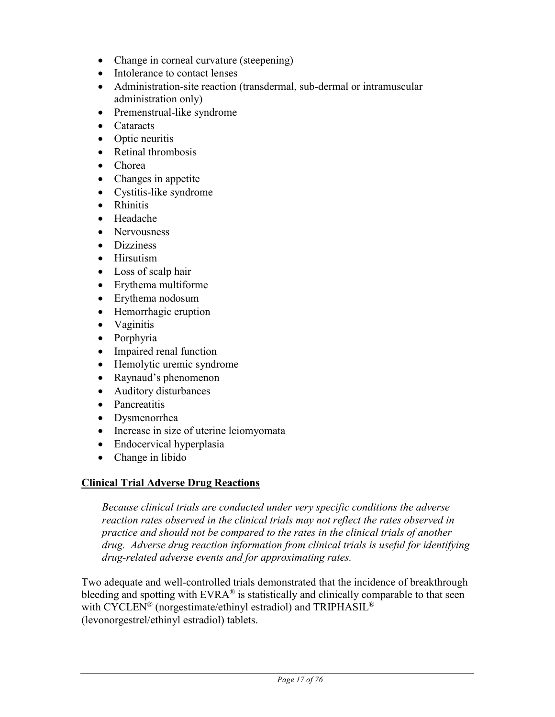- Change in corneal curvature (steepening)
- Intolerance to contact lenses
- Administration-site reaction (transdermal, sub-dermal or intramuscular administration only)
- Premenstrual-like syndrome
- Cataracts
- Optic neuritis
- Retinal thrombosis
- Chorea
- Changes in appetite
- Cystitis-like syndrome
- Rhinitis
- Headache
- Nervousness
- Dizziness
- Hirsutism
- Loss of scalp hair
- Erythema multiforme
- Erythema nodosum
- Hemorrhagic eruption
- Vaginitis
- Porphyria
- Impaired renal function
- Hemolytic uremic syndrome
- Raynaud's phenomenon
- Auditory disturbances
- Pancreatitis
- Dysmenorrhea
- Increase in size of uterine leiomyomata
- Endocervical hyperplasia
- Change in libido

# **Clinical Trial Adverse Drug Reactions**

*Because clinical trials are conducted under very specific conditions the adverse reaction rates observed in the clinical trials may not reflect the rates observed in practice and should not be compared to the rates in the clinical trials of another drug. Adverse drug reaction information from clinical trials is useful for identifying drug-related adverse events and for approximating rates.*

Two adequate and well-controlled trials demonstrated that the incidence of breakthrough bleeding and spotting with  $EVRA^{\otimes}$  is statistically and clinically comparable to that seen with CYCLEN® (norgestimate/ethinyl estradiol) and TRIPHASIL<sup>®</sup> (levonorgestrel/ethinyl estradiol) tablets.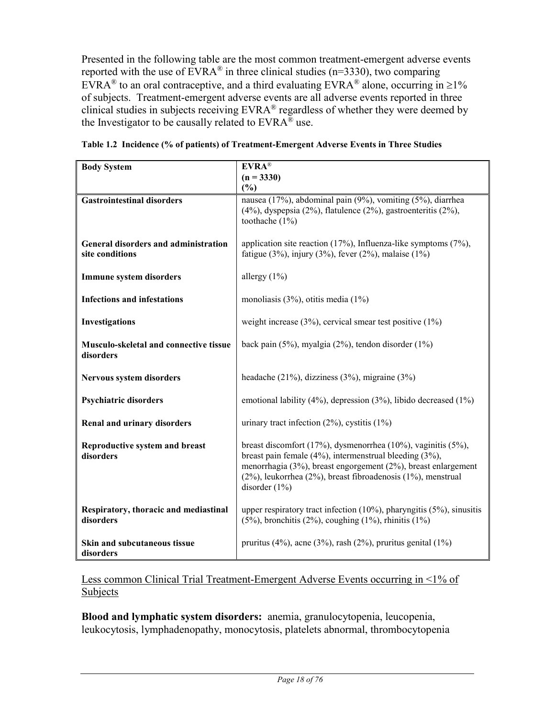Presented in the following table are the most common treatment-emergent adverse events reported with the use of  $\text{EVRA}^{\otimes}$  in three clinical studies (n=3330), two comparing EVRA<sup>®</sup> to an oral contraceptive, and a third evaluating EVRA<sup>®</sup> alone, occurring in  $\geq$ 1% of subjects. Treatment-emergent adverse events are all adverse events reported in three clinical studies in subjects receiving EVRA® regardless of whether they were deemed by the Investigator to be causally related to  $EVRA^{\overline{\otimes}}$  use.

| <b>Body System</b>                                      | $EVRA^{\circledR}$                                                                                                                                                                                                                                                        |
|---------------------------------------------------------|---------------------------------------------------------------------------------------------------------------------------------------------------------------------------------------------------------------------------------------------------------------------------|
|                                                         | $(n = 3330)$                                                                                                                                                                                                                                                              |
|                                                         | (%)                                                                                                                                                                                                                                                                       |
| <b>Gastrointestinal disorders</b>                       | nausea (17%), abdominal pain (9%), vomiting (5%), diarrhea<br>$(4\%)$ , dyspepsia $(2\%)$ , flatulence $(2\%)$ , gastroenteritis $(2\%)$ ,<br>toothache $(1%)$                                                                                                            |
| General disorders and administration<br>site conditions | application site reaction $(17%)$ , Influenza-like symptoms $(7%)$ ,<br>fatigue (3%), injury (3%), fever (2%), malaise (1%)                                                                                                                                               |
| <b>Immune system disorders</b>                          | allergy $(1\%)$                                                                                                                                                                                                                                                           |
| <b>Infections and infestations</b>                      | monoliasis $(3\%)$ , otitis media $(1\%)$                                                                                                                                                                                                                                 |
| Investigations                                          | weight increase $(3\%)$ , cervical smear test positive $(1\%)$                                                                                                                                                                                                            |
| Musculo-skeletal and connective tissue<br>disorders     | back pain $(5\%)$ , myalgia $(2\%)$ , tendon disorder $(1\%)$                                                                                                                                                                                                             |
| Nervous system disorders                                | headache (21%), dizziness (3%), migraine (3%)                                                                                                                                                                                                                             |
| <b>Psychiatric disorders</b>                            | emotional lability (4%), depression (3%), libido decreased (1%)                                                                                                                                                                                                           |
| <b>Renal and urinary disorders</b>                      | urinary tract infection $(2\%)$ , cystitis $(1\%)$                                                                                                                                                                                                                        |
| <b>Reproductive system and breast</b><br>disorders      | breast discomfort (17%), dysmenorrhea (10%), vaginitis (5%),<br>breast pain female (4%), intermenstrual bleeding (3%),<br>menorrhagia (3%), breast engorgement (2%), breast enlargement<br>(2%), leukorrhea (2%), breast fibroadenosis (1%), menstrual<br>disorder $(1%)$ |
| Respiratory, thoracic and mediastinal<br>disorders      | upper respiratory tract infection $(10\%)$ , pharyngitis $(5\%)$ , sinusitis<br>$(5\%)$ , bronchitis $(2\%)$ , coughing $(1\%)$ , rhinitis $(1\%)$                                                                                                                        |
| Skin and subcutaneous tissue<br>disorders               | pruritus (4%), acne (3%), rash (2%), pruritus genital (1%)                                                                                                                                                                                                                |

|  |  | Table 1.2 Incidence (% of patients) of Treatment-Emergent Adverse Events in Three Studies |  |  |  |
|--|--|-------------------------------------------------------------------------------------------|--|--|--|

Less common Clinical Trial Treatment-Emergent Adverse Events occurring in <1% of **Subjects** 

**Blood and lymphatic system disorders:** anemia, granulocytopenia, leucopenia, leukocytosis, lymphadenopathy, monocytosis, platelets abnormal, thrombocytopenia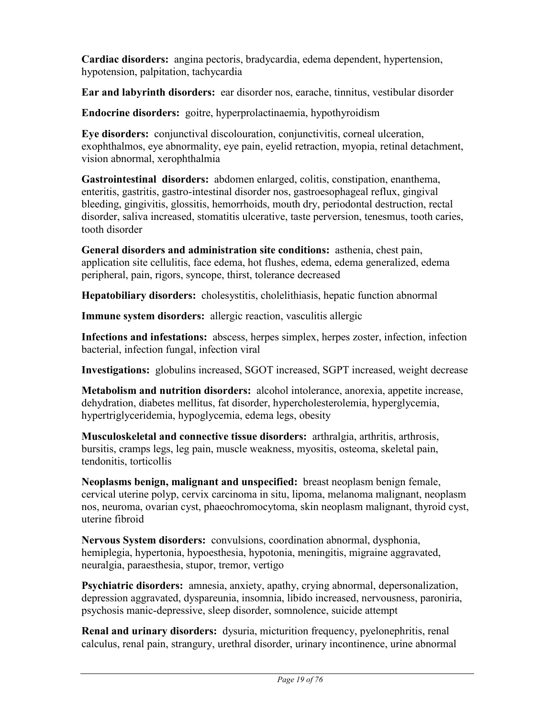**Cardiac disorders:** angina pectoris, bradycardia, edema dependent, hypertension, hypotension, palpitation, tachycardia

**Ear and labyrinth disorders:** ear disorder nos, earache, tinnitus, vestibular disorder

**Endocrine disorders:** goitre, hyperprolactinaemia, hypothyroidism

**Eye disorders:** conjunctival discolouration, conjunctivitis, corneal ulceration, exophthalmos, eye abnormality, eye pain, eyelid retraction, myopia, retinal detachment, vision abnormal, xerophthalmia

**Gastrointestinal disorders:** abdomen enlarged, colitis, constipation, enanthema, enteritis, gastritis, gastro-intestinal disorder nos, gastroesophageal reflux, gingival bleeding, gingivitis, glossitis, hemorrhoids, mouth dry, periodontal destruction, rectal disorder, saliva increased, stomatitis ulcerative, taste perversion, tenesmus, tooth caries, tooth disorder

**General disorders and administration site conditions:** asthenia, chest pain, application site cellulitis, face edema, hot flushes, edema, edema generalized, edema peripheral, pain, rigors, syncope, thirst, tolerance decreased

**Hepatobiliary disorders:** cholesystitis, cholelithiasis, hepatic function abnormal

**Immune system disorders:** allergic reaction, vasculitis allergic

**Infections and infestations:** abscess, herpes simplex, herpes zoster, infection, infection bacterial, infection fungal, infection viral

**Investigations:** globulins increased, SGOT increased, SGPT increased, weight decrease

**Metabolism and nutrition disorders:** alcohol intolerance, anorexia, appetite increase, dehydration, diabetes mellitus, fat disorder, hypercholesterolemia, hyperglycemia, hypertriglyceridemia, hypoglycemia, edema legs, obesity

**Musculoskeletal and connective tissue disorders:** arthralgia, arthritis, arthrosis, bursitis, cramps legs, leg pain, muscle weakness, myositis, osteoma, skeletal pain, tendonitis, torticollis

**Neoplasms benign, malignant and unspecified:** breast neoplasm benign female, cervical uterine polyp, cervix carcinoma in situ, lipoma, melanoma malignant, neoplasm nos, neuroma, ovarian cyst, phaeochromocytoma, skin neoplasm malignant, thyroid cyst, uterine fibroid

**Nervous System disorders:** convulsions, coordination abnormal, dysphonia, hemiplegia, hypertonia, hypoesthesia, hypotonia, meningitis, migraine aggravated, neuralgia, paraesthesia, stupor, tremor, vertigo

**Psychiatric disorders:** amnesia, anxiety, apathy, crying abnormal, depersonalization, depression aggravated, dyspareunia, insomnia, libido increased, nervousness, paroniria, psychosis manic-depressive, sleep disorder, somnolence, suicide attempt

**Renal and urinary disorders:** dysuria, micturition frequency, pyelonephritis, renal calculus, renal pain, strangury, urethral disorder, urinary incontinence, urine abnormal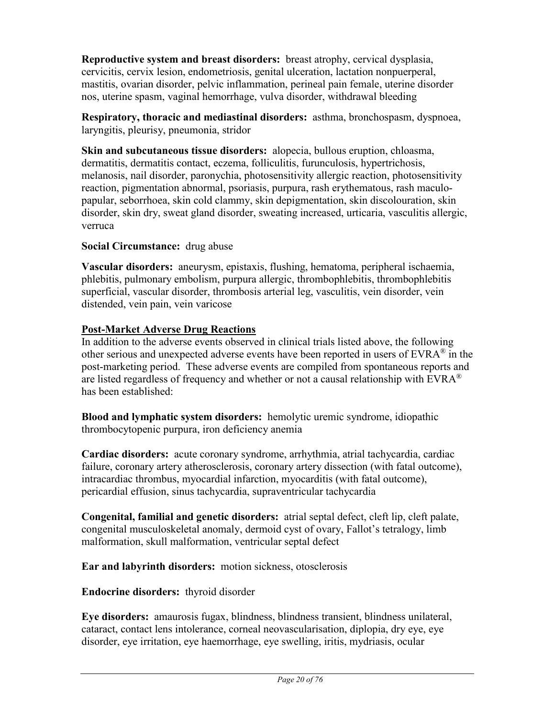**Reproductive system and breast disorders:** breast atrophy, cervical dysplasia, cervicitis, cervix lesion, endometriosis, genital ulceration, lactation nonpuerperal, mastitis, ovarian disorder, pelvic inflammation, perineal pain female, uterine disorder nos, uterine spasm, vaginal hemorrhage, vulva disorder, withdrawal bleeding

**Respiratory, thoracic and mediastinal disorders:** asthma, bronchospasm, dyspnoea, laryngitis, pleurisy, pneumonia, stridor

**Skin and subcutaneous tissue disorders:** alopecia, bullous eruption, chloasma, dermatitis, dermatitis contact, eczema, folliculitis, furunculosis, hypertrichosis, melanosis, nail disorder, paronychia, photosensitivity allergic reaction, photosensitivity reaction, pigmentation abnormal, psoriasis, purpura, rash erythematous, rash maculopapular, seborrhoea, skin cold clammy, skin depigmentation, skin discolouration, skin disorder, skin dry, sweat gland disorder, sweating increased, urticaria, vasculitis allergic, verruca

### **Social Circumstance:** drug abuse

**Vascular disorders:** aneurysm, epistaxis, flushing, hematoma, peripheral ischaemia, phlebitis, pulmonary embolism, purpura allergic, thrombophlebitis, thrombophlebitis superficial, vascular disorder, thrombosis arterial leg, vasculitis, vein disorder, vein distended, vein pain, vein varicose

### **Post-Market Adverse Drug Reactions**

In addition to the adverse events observed in clinical trials listed above, the following other serious and unexpected adverse events have been reported in users of EVRA<sup>®</sup> in the post-marketing period. These adverse events are compiled from spontaneous reports and are listed regardless of frequency and whether or not a causal relationship with  $EVAR^{\otimes}$ has been established:

**Blood and lymphatic system disorders:** hemolytic uremic syndrome, idiopathic thrombocytopenic purpura, iron deficiency anemia

**Cardiac disorders:** acute coronary syndrome, arrhythmia, atrial tachycardia, cardiac failure, coronary artery atherosclerosis, coronary artery dissection (with fatal outcome), intracardiac thrombus, myocardial infarction, myocarditis (with fatal outcome), pericardial effusion, sinus tachycardia, supraventricular tachycardia

**Congenital, familial and genetic disorders:** atrial septal defect, cleft lip, cleft palate, congenital musculoskeletal anomaly, dermoid cyst of ovary, Fallot's tetralogy, limb malformation, skull malformation, ventricular septal defect

**Ear and labyrinth disorders:** motion sickness, otosclerosis

**Endocrine disorders:** thyroid disorder

**Eye disorders:** amaurosis fugax, blindness, blindness transient, blindness unilateral, cataract, contact lens intolerance, corneal neovascularisation, diplopia, dry eye, eye disorder, eye irritation, eye haemorrhage, eye swelling, iritis, mydriasis, ocular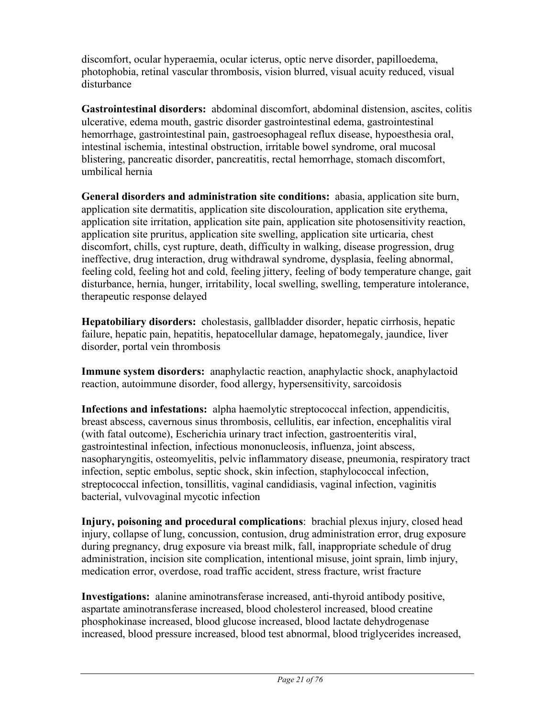discomfort, ocular hyperaemia, ocular icterus, optic nerve disorder, papilloedema, photophobia, retinal vascular thrombosis, vision blurred, visual acuity reduced, visual disturbance

**Gastrointestinal disorders:** abdominal discomfort, abdominal distension, ascites, colitis ulcerative, edema mouth, gastric disorder gastrointestinal edema, gastrointestinal hemorrhage, gastrointestinal pain, gastroesophageal reflux disease, hypoesthesia oral, intestinal ischemia, intestinal obstruction, irritable bowel syndrome, oral mucosal blistering, pancreatic disorder, pancreatitis, rectal hemorrhage, stomach discomfort, umbilical hernia

**General disorders and administration site conditions:** abasia, application site burn, application site dermatitis, application site discolouration, application site erythema, application site irritation, application site pain, application site photosensitivity reaction, application site pruritus, application site swelling, application site urticaria, chest discomfort, chills, cyst rupture, death, difficulty in walking, disease progression, drug ineffective, drug interaction, drug withdrawal syndrome, dysplasia, feeling abnormal, feeling cold, feeling hot and cold, feeling jittery, feeling of body temperature change, gait disturbance, hernia, hunger, irritability, local swelling, swelling, temperature intolerance, therapeutic response delayed

**Hepatobiliary disorders:** cholestasis, gallbladder disorder, hepatic cirrhosis, hepatic failure, hepatic pain, hepatitis, hepatocellular damage, hepatomegaly, jaundice, liver disorder, portal vein thrombosis

**Immune system disorders:** anaphylactic reaction, anaphylactic shock, anaphylactoid reaction, autoimmune disorder, food allergy, hypersensitivity, sarcoidosis

**Infections and infestations:** alpha haemolytic streptococcal infection, appendicitis, breast abscess, cavernous sinus thrombosis, cellulitis, ear infection, encephalitis viral (with fatal outcome), Escherichia urinary tract infection, gastroenteritis viral, gastrointestinal infection, infectious mononucleosis, influenza, joint abscess, nasopharyngitis, osteomyelitis, pelvic inflammatory disease, pneumonia, respiratory tract infection, septic embolus, septic shock, skin infection, staphylococcal infection, streptococcal infection, tonsillitis, vaginal candidiasis, vaginal infection, vaginitis bacterial, vulvovaginal mycotic infection

**Injury, poisoning and procedural complications**: brachial plexus injury, closed head injury, collapse of lung, concussion, contusion, drug administration error, drug exposure during pregnancy, drug exposure via breast milk, fall, inappropriate schedule of drug administration, incision site complication, intentional misuse, joint sprain, limb injury, medication error, overdose, road traffic accident, stress fracture, wrist fracture

**Investigations:** alanine aminotransferase increased, anti-thyroid antibody positive, aspartate aminotransferase increased, blood cholesterol increased, blood creatine phosphokinase increased, blood glucose increased, blood lactate dehydrogenase increased, blood pressure increased, blood test abnormal, blood triglycerides increased,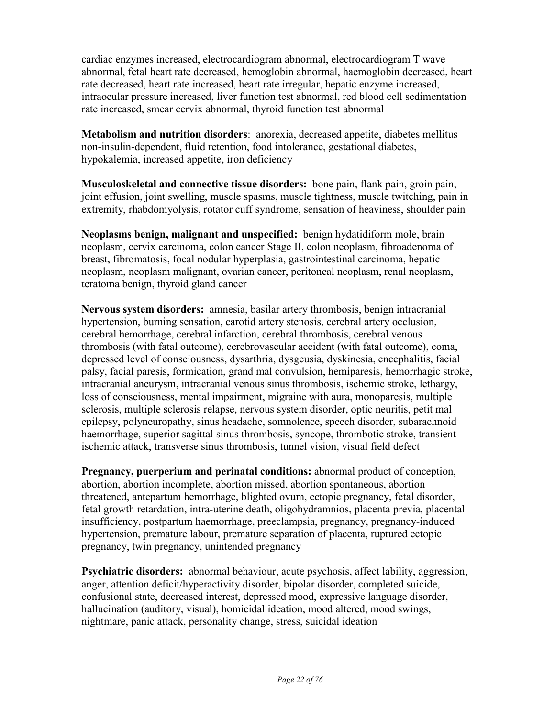cardiac enzymes increased, electrocardiogram abnormal, electrocardiogram T wave abnormal, fetal heart rate decreased, hemoglobin abnormal, haemoglobin decreased, heart rate decreased, heart rate increased, heart rate irregular, hepatic enzyme increased, intraocular pressure increased, liver function test abnormal, red blood cell sedimentation rate increased, smear cervix abnormal, thyroid function test abnormal

**Metabolism and nutrition disorders**: anorexia, decreased appetite, diabetes mellitus non-insulin-dependent, fluid retention, food intolerance, gestational diabetes, hypokalemia, increased appetite, iron deficiency

**Musculoskeletal and connective tissue disorders:** bone pain, flank pain, groin pain, joint effusion, joint swelling, muscle spasms, muscle tightness, muscle twitching, pain in extremity, rhabdomyolysis, rotator cuff syndrome, sensation of heaviness, shoulder pain

**Neoplasms benign, malignant and unspecified:** benign hydatidiform mole, brain neoplasm, cervix carcinoma, colon cancer Stage II, colon neoplasm, fibroadenoma of breast, fibromatosis, focal nodular hyperplasia, gastrointestinal carcinoma, hepatic neoplasm, neoplasm malignant, ovarian cancer, peritoneal neoplasm, renal neoplasm, teratoma benign, thyroid gland cancer

**Nervous system disorders:** amnesia, basilar artery thrombosis, benign intracranial hypertension, burning sensation, carotid artery stenosis, cerebral artery occlusion, cerebral hemorrhage, cerebral infarction, cerebral thrombosis, cerebral venous thrombosis (with fatal outcome), cerebrovascular accident (with fatal outcome), coma, depressed level of consciousness, dysarthria, dysgeusia, dyskinesia, encephalitis, facial palsy, facial paresis, formication, grand mal convulsion, hemiparesis, hemorrhagic stroke, intracranial aneurysm, intracranial venous sinus thrombosis, ischemic stroke, lethargy, loss of consciousness, mental impairment, migraine with aura, monoparesis, multiple sclerosis, multiple sclerosis relapse, nervous system disorder, optic neuritis, petit mal epilepsy, polyneuropathy, sinus headache, somnolence, speech disorder, subarachnoid haemorrhage, superior sagittal sinus thrombosis, syncope, thrombotic stroke, transient ischemic attack, transverse sinus thrombosis, tunnel vision, visual field defect

**Pregnancy, puerperium and perinatal conditions:** abnormal product of conception, abortion, abortion incomplete, abortion missed, abortion spontaneous, abortion threatened, antepartum hemorrhage, blighted ovum, ectopic pregnancy, fetal disorder, fetal growth retardation, intra-uterine death, oligohydramnios, placenta previa, placental insufficiency, postpartum haemorrhage, preeclampsia, pregnancy, pregnancy-induced hypertension, premature labour, premature separation of placenta, ruptured ectopic pregnancy, twin pregnancy, unintended pregnancy

**Psychiatric disorders:** abnormal behaviour, acute psychosis, affect lability, aggression, anger, attention deficit/hyperactivity disorder, bipolar disorder, completed suicide, confusional state, decreased interest, depressed mood, expressive language disorder, hallucination (auditory, visual), homicidal ideation, mood altered, mood swings, nightmare, panic attack, personality change, stress, suicidal ideation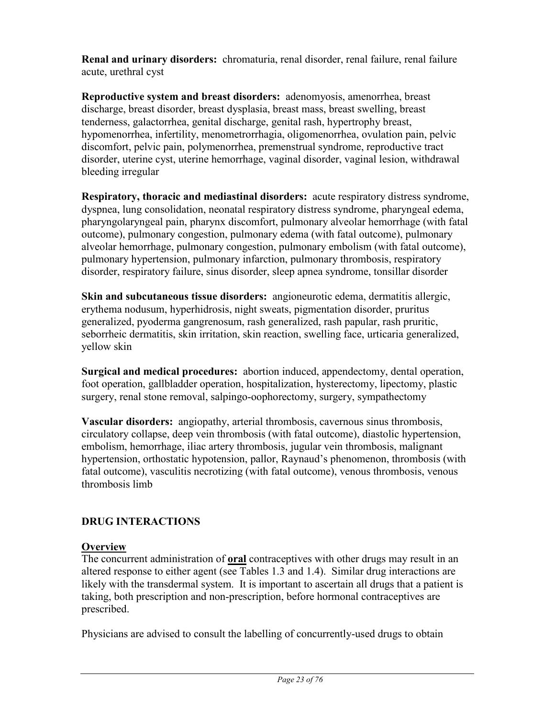**Renal and urinary disorders:** chromaturia, renal disorder, renal failure, renal failure acute, urethral cyst

**Reproductive system and breast disorders:** adenomyosis, amenorrhea, breast discharge, breast disorder, breast dysplasia, breast mass, breast swelling, breast tenderness, galactorrhea, genital discharge, genital rash, hypertrophy breast, hypomenorrhea, infertility, menometrorrhagia, oligomenorrhea, ovulation pain, pelvic discomfort, pelvic pain, polymenorrhea, premenstrual syndrome, reproductive tract disorder, uterine cyst, uterine hemorrhage, vaginal disorder, vaginal lesion, withdrawal bleeding irregular

**Respiratory, thoracic and mediastinal disorders:** acute respiratory distress syndrome, dyspnea, lung consolidation, neonatal respiratory distress syndrome, pharyngeal edema, pharyngolaryngeal pain, pharynx discomfort, pulmonary alveolar hemorrhage (with fatal outcome), pulmonary congestion, pulmonary edema (with fatal outcome), pulmonary alveolar hemorrhage, pulmonary congestion, pulmonary embolism (with fatal outcome), pulmonary hypertension, pulmonary infarction, pulmonary thrombosis, respiratory disorder, respiratory failure, sinus disorder, sleep apnea syndrome, tonsillar disorder

**Skin and subcutaneous tissue disorders:** angioneurotic edema, dermatitis allergic, erythema nodusum, hyperhidrosis, night sweats, pigmentation disorder, pruritus generalized, pyoderma gangrenosum, rash generalized, rash papular, rash pruritic, seborrheic dermatitis, skin irritation, skin reaction, swelling face, urticaria generalized, yellow skin

**Surgical and medical procedures:** abortion induced, appendectomy, dental operation, foot operation, gallbladder operation, hospitalization, hysterectomy, lipectomy, plastic surgery, renal stone removal, salpingo-oophorectomy, surgery, sympathectomy

**Vascular disorders:** angiopathy, arterial thrombosis, cavernous sinus thrombosis, circulatory collapse, deep vein thrombosis (with fatal outcome), diastolic hypertension, embolism, hemorrhage, iliac artery thrombosis, jugular vein thrombosis, malignant hypertension, orthostatic hypotension, pallor, Raynaud's phenomenon, thrombosis (with fatal outcome), vasculitis necrotizing (with fatal outcome), venous thrombosis, venous thrombosis limb

# **DRUG INTERACTIONS**

#### **Overview**

The concurrent administration of **oral** contraceptives with other drugs may result in an altered response to either agent (see Tables 1.3 and 1.4). Similar drug interactions are likely with the transdermal system. It is important to ascertain all drugs that a patient is taking, both prescription and non-prescription, before hormonal contraceptives are prescribed.

Physicians are advised to consult the labelling of concurrently-used drugs to obtain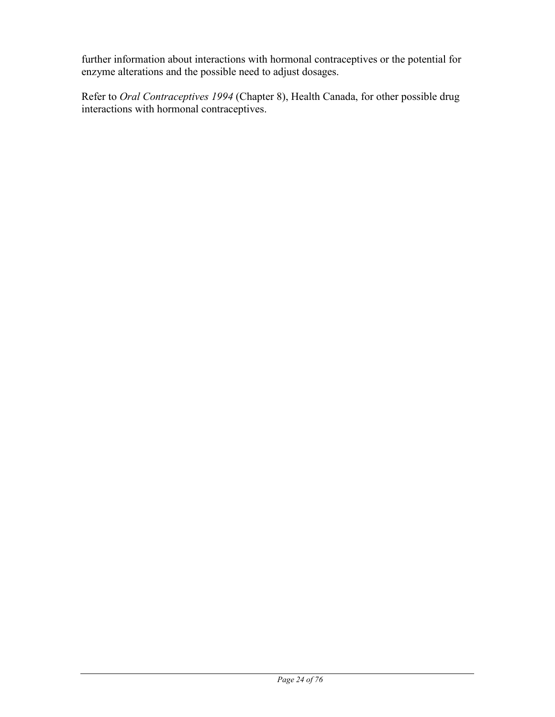further information about interactions with hormonal contraceptives or the potential for enzyme alterations and the possible need to adjust dosages.

Refer to *Oral Contraceptives 1994* (Chapter 8), Health Canada, for other possible drug interactions with hormonal contraceptives.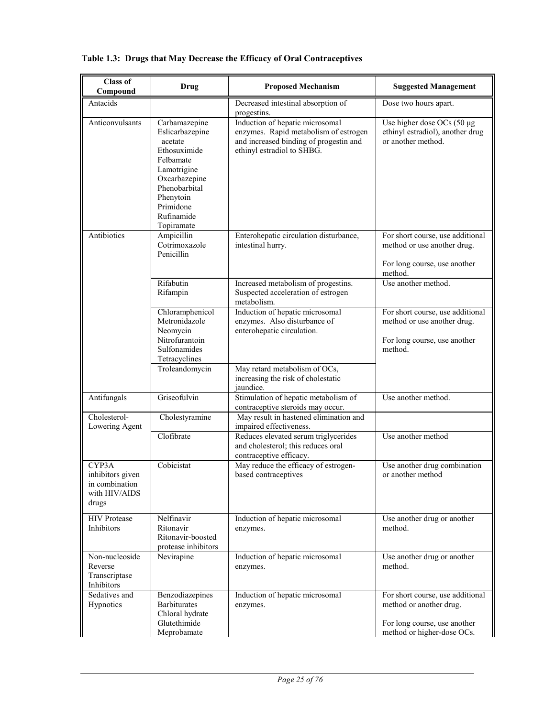| <b>Class of</b><br>Compound                                           | <b>Drug</b>                                                                                                                                                                     | <b>Proposed Mechanism</b>                                                                                                                        | <b>Suggested Management</b>                                                                                               |
|-----------------------------------------------------------------------|---------------------------------------------------------------------------------------------------------------------------------------------------------------------------------|--------------------------------------------------------------------------------------------------------------------------------------------------|---------------------------------------------------------------------------------------------------------------------------|
| Antacids                                                              |                                                                                                                                                                                 | Decreased intestinal absorption of<br>progestins.                                                                                                | Dose two hours apart.                                                                                                     |
| Anticonvulsants                                                       | Carbamazepine<br>Eslicarbazepine<br>acetate<br>Ethosuximide<br>Felbamate<br>Lamotrigine<br>Oxcarbazepine<br>Phenobarbital<br>Phenytoin<br>Primidone<br>Rufinamide<br>Topiramate | Induction of hepatic microsomal<br>enzymes. Rapid metabolism of estrogen<br>and increased binding of progestin and<br>ethinyl estradiol to SHBG. | Use higher dose OCs (50 µg<br>ethinyl estradiol), another drug<br>or another method.                                      |
| Antibiotics                                                           | Ampicillin<br>Cotrimoxazole<br>Penicillin                                                                                                                                       | Enterohepatic circulation disturbance,<br>intestinal hurry.                                                                                      | For short course, use additional<br>method or use another drug.<br>For long course, use another<br>method.                |
|                                                                       | Rifabutin<br>Rifampin                                                                                                                                                           | Increased metabolism of progestins.<br>Suspected acceleration of estrogen<br>metabolism.                                                         | Use another method.                                                                                                       |
|                                                                       | Chloramphenicol<br>Metronidazole<br>Neomycin<br>Nitrofurantoin<br>Sulfonamides<br>Tetracyclines                                                                                 | Induction of hepatic microsomal<br>enzymes. Also disturbance of<br>enterohepatic circulation.                                                    | For short course, use additional<br>method or use another drug.<br>For long course, use another<br>method.                |
|                                                                       | Troleandomycin                                                                                                                                                                  | May retard metabolism of OCs,<br>increasing the risk of cholestatic<br>jaundice.                                                                 |                                                                                                                           |
| Antifungals                                                           | Griseofulvin                                                                                                                                                                    | Stimulation of hepatic metabolism of<br>contraceptive steroids may occur.                                                                        | Use another method.                                                                                                       |
| Cholesterol-<br>Lowering Agent                                        | Cholestyramine                                                                                                                                                                  | May result in hastened elimination and<br>impaired effectiveness.                                                                                |                                                                                                                           |
|                                                                       | Clofibrate                                                                                                                                                                      | Reduces elevated serum triglycerides<br>and cholesterol; this reduces oral<br>contraceptive efficacy.                                            | Use another method                                                                                                        |
| CYP3A<br>inhibitors given<br>in combination<br>with HIV/AIDS<br>drugs | Cobicistat                                                                                                                                                                      | May reduce the efficacy of estrogen-<br>based contraceptives                                                                                     | Use another drug combination<br>or another method                                                                         |
| <b>HIV</b> Protease<br>Inhibitors                                     | Nelfinavir<br>Ritonavir<br>Ritonavir-boosted<br>protease inhibitors                                                                                                             | Induction of hepatic microsomal<br>enzymes.                                                                                                      | Use another drug or another<br>method.                                                                                    |
| Non-nucleoside<br>Reverse<br>Transcriptase<br>Inhibitors              | Nevirapine                                                                                                                                                                      | Induction of hepatic microsomal<br>enzymes.                                                                                                      | Use another drug or another<br>method.                                                                                    |
| Sedatives and<br>Hypnotics                                            | Benzodiazepines<br><b>Barbiturates</b><br>Chloral hydrate<br>Glutethimide<br>Meprobamate                                                                                        | Induction of hepatic microsomal<br>enzymes.                                                                                                      | For short course, use additional<br>method or another drug.<br>For long course, use another<br>method or higher-dose OCs. |

### **Table 1.3: Drugs that May Decrease the Efficacy of Oral Contraceptives**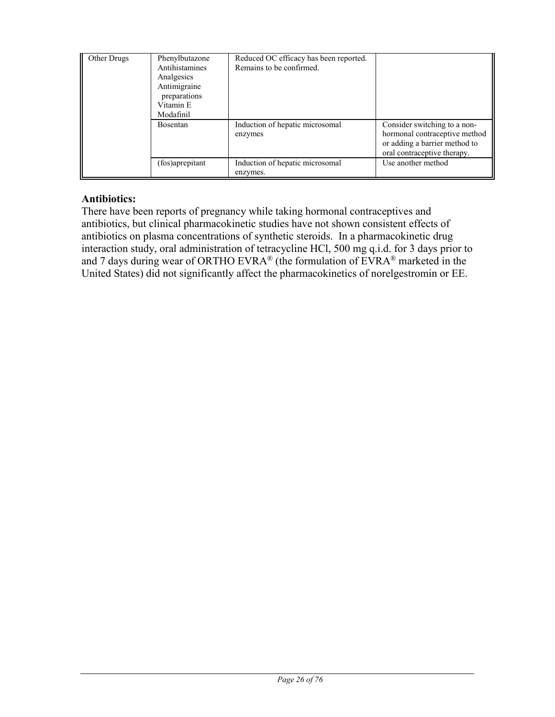| Other Drugs | Phenylbutazone<br>Antihistamines<br>Analgesics<br>Antimigraine<br>preparations<br>Vitamin E<br>Modafinil | Reduced OC efficacy has been reported.<br>Remains to be confirmed. |                                                                                                                               |
|-------------|----------------------------------------------------------------------------------------------------------|--------------------------------------------------------------------|-------------------------------------------------------------------------------------------------------------------------------|
|             | <b>Bosentan</b>                                                                                          | Induction of hepatic microsomal<br>enzymes                         | Consider switching to a non-<br>hormonal contraceptive method<br>or adding a barrier method to<br>oral contraceptive therapy. |
|             | (fos)aprepitant                                                                                          | Induction of hepatic microsomal<br>enzymes.                        | Use another method                                                                                                            |

### **Antibiotics:**

There have been reports of pregnancy while taking hormonal contraceptives and antibiotics, but clinical pharmacokinetic studies have not shown consistent effects of antibiotics on plasma concentrations of synthetic steroids. In a pharmacokinetic drug interaction study, oral administration of tetracycline HCl, 500 mg q.i.d. for 3 days prior to and 7 days during wear of ORTHO EVRA<sup>®</sup> (the formulation of EVRA<sup>®</sup> marketed in the United States) did not significantly affect the pharmacokinetics of norelgestromin or EE.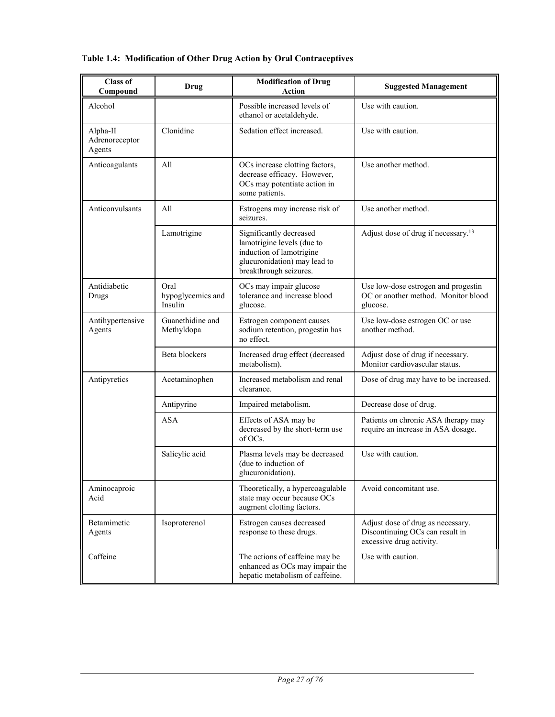### **Table 1.4: Modification of Other Drug Action by Oral Contraceptives**

| <b>Class of</b><br>Compound          | Drug                                 | <b>Modification of Drug</b><br><b>Action</b>                                                                                                | <b>Suggested Management</b>                                                                      |
|--------------------------------------|--------------------------------------|---------------------------------------------------------------------------------------------------------------------------------------------|--------------------------------------------------------------------------------------------------|
| Alcohol                              |                                      | Possible increased levels of<br>ethanol or acetaldehyde.                                                                                    | Use with caution.                                                                                |
| Alpha-II<br>Adrenoreceptor<br>Agents | Clonidine                            | Sedation effect increased.                                                                                                                  | Use with caution.                                                                                |
| Anticoagulants                       | All                                  | OCs increase clotting factors,<br>decrease efficacy. However,<br>OCs may potentiate action in<br>some patients.                             | Use another method.                                                                              |
| Anticonvulsants                      | All                                  | Estrogens may increase risk of<br>seizures.                                                                                                 | Use another method.                                                                              |
|                                      | Lamotrigine                          | Significantly decreased<br>lamotrigine levels (due to<br>induction of lamotrigine<br>glucuronidation) may lead to<br>breakthrough seizures. | Adjust dose of drug if necessary. <sup>13</sup>                                                  |
| Antidiabetic<br>Drugs                | Oral<br>hypoglycemics and<br>Insulin | OCs may impair glucose<br>tolerance and increase blood<br>glucose.                                                                          | Use low-dose estrogen and progestin<br>OC or another method. Monitor blood<br>glucose.           |
| Antihypertensive<br>Agents           | Guanethidine and<br>Methyldopa       | Estrogen component causes<br>sodium retention, progestin has<br>no effect.                                                                  | Use low-dose estrogen OC or use<br>another method.                                               |
|                                      | Beta blockers                        | Increased drug effect (decreased<br>metabolism).                                                                                            | Adjust dose of drug if necessary.<br>Monitor cardiovascular status.                              |
| Antipyretics                         | Acetaminophen                        | Increased metabolism and renal<br>clearance.                                                                                                | Dose of drug may have to be increased.                                                           |
|                                      | Antipyrine                           | Impaired metabolism.                                                                                                                        | Decrease dose of drug.                                                                           |
|                                      | <b>ASA</b>                           | Effects of ASA may be<br>decreased by the short-term use<br>of OCs.                                                                         | Patients on chronic ASA therapy may<br>require an increase in ASA dosage.                        |
|                                      | Salicylic acid                       | Plasma levels may be decreased<br>(due to induction of<br>glucuronidation).                                                                 | Use with caution.                                                                                |
| Aminocaproic<br>Acid                 |                                      | Theoretically, a hypercoagulable<br>state may occur because OCs<br>augment clotting factors.                                                | Avoid concomitant use.                                                                           |
| Betamimetic<br>Agents                | Isoproterenol                        | Estrogen causes decreased<br>response to these drugs.                                                                                       | Adjust dose of drug as necessary.<br>Discontinuing OCs can result in<br>excessive drug activity. |
| Caffeine                             |                                      | The actions of caffeine may be<br>enhanced as OCs may impair the<br>hepatic metabolism of caffeine.                                         | Use with caution.                                                                                |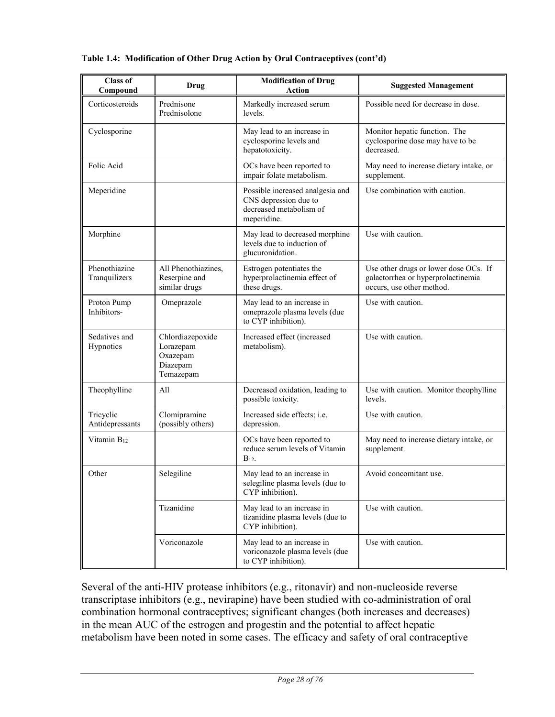| <b>Class of</b><br>Compound    | <b>Drug</b>                                                        | <b>Modification of Drug</b><br><b>Action</b>                                                        | <b>Suggested Management</b>                                                                              |
|--------------------------------|--------------------------------------------------------------------|-----------------------------------------------------------------------------------------------------|----------------------------------------------------------------------------------------------------------|
| Corticosteroids                | Prednisone<br>Prednisolone                                         | Markedly increased serum<br>levels.                                                                 | Possible need for decrease in dose.                                                                      |
| Cyclosporine                   |                                                                    | May lead to an increase in<br>cyclosporine levels and<br>hepatotoxicity.                            | Monitor hepatic function. The<br>cyclosporine dose may have to be<br>decreased.                          |
| Folic Acid                     |                                                                    | OCs have been reported to<br>impair folate metabolism.                                              | May need to increase dietary intake, or<br>supplement.                                                   |
| Meperidine                     |                                                                    | Possible increased analgesia and<br>CNS depression due to<br>decreased metabolism of<br>meperidine. | Use combination with caution.                                                                            |
| Morphine                       |                                                                    | May lead to decreased morphine<br>levels due to induction of<br>glucuronidation.                    | Use with caution.                                                                                        |
| Phenothiazine<br>Tranquilizers | All Phenothiazines,<br>Reserpine and<br>similar drugs              | Estrogen potentiates the<br>hyperprolactinemia effect of<br>these drugs.                            | Use other drugs or lower dose OCs. If<br>galactorrhea or hyperprolactinemia<br>occurs, use other method. |
| Proton Pump<br>Inhibitors-     | Omeprazole                                                         | May lead to an increase in<br>omeprazole plasma levels (due<br>to CYP inhibition).                  | Use with caution.                                                                                        |
| Sedatives and<br>Hypnotics     | Chlordiazepoxide<br>Lorazepam<br>Oxazepam<br>Diazepam<br>Temazepam | Increased effect (increased<br>metabolism).                                                         | Use with caution.                                                                                        |
| Theophylline                   | All                                                                | Decreased oxidation, leading to<br>possible toxicity.                                               | Use with caution. Monitor theophylline<br>levels.                                                        |
| Tricyclic<br>Antidepressants   | Clomipramine<br>(possibly others)                                  | Increased side effects; i.e.<br>depression.                                                         | Use with caution.                                                                                        |
| Vitamin B <sub>12</sub>        |                                                                    | OCs have been reported to<br>reduce serum levels of Vitamin<br>$B_{12}$                             | May need to increase dietary intake, or<br>supplement.                                                   |
| Other                          | Selegiline                                                         | May lead to an increase in<br>selegiline plasma levels (due to<br>CYP inhibition).                  | Avoid concomitant use.                                                                                   |
|                                | Tizanidine                                                         | May lead to an increase in<br>tizanidine plasma levels (due to<br>CYP inhibition).                  | Use with caution.                                                                                        |
|                                | Voriconazole                                                       | May lead to an increase in<br>voriconazole plasma levels (due<br>to CYP inhibition).                | Use with caution.                                                                                        |

#### **Table 1.4: Modification of Other Drug Action by Oral Contraceptives (cont'd)**

Several of the anti-HIV protease inhibitors (e.g., ritonavir) and non-nucleoside reverse transcriptase inhibitors (e.g., nevirapine) have been studied with co-administration of oral combination hormonal contraceptives; significant changes (both increases and decreases) in the mean AUC of the estrogen and progestin and the potential to affect hepatic metabolism have been noted in some cases. The efficacy and safety of oral contraceptive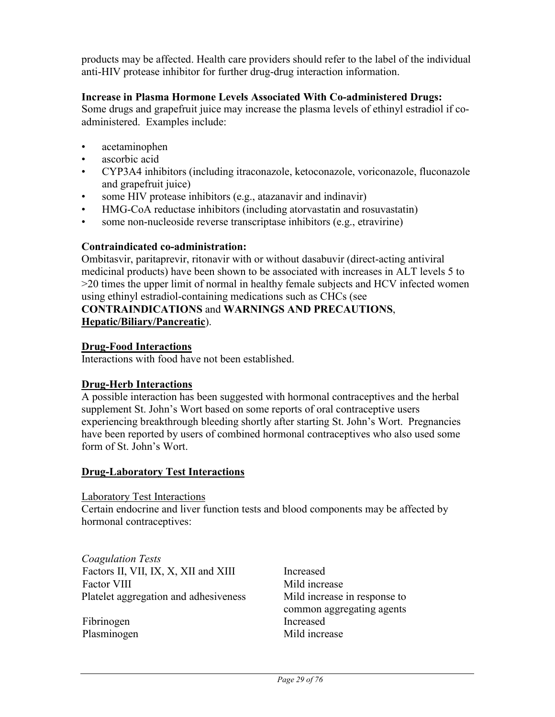products may be affected. Health care providers should refer to the label of the individual anti-HIV protease inhibitor for further drug-drug interaction information.

#### **Increase in Plasma Hormone Levels Associated With Co-administered Drugs:**

Some drugs and grapefruit juice may increase the plasma levels of ethinyl estradiol if coadministered. Examples include:

- acetaminophen
- ascorbic acid
- CYP3A4 inhibitors (including itraconazole, ketoconazole, voriconazole, fluconazole and grapefruit juice)
- some HIV protease inhibitors (e.g., atazanavir and indinavir)
- HMG-CoA reductase inhibitors (including atorvastatin and rosuvastatin)
- some non-nucleoside reverse transcriptase inhibitors (e.g., etravirine)

### **Contraindicated co-administration:**

Ombitasvir, paritaprevir, ritonavir with or without dasabuvir (direct-acting antiviral medicinal products) have been shown to be associated with increases in ALT levels 5 to >20 times the upper limit of normal in healthy female subjects and HCV infected women using ethinyl estradiol-containing medications such as CHCs (see

#### **CONTRAINDICATIONS** and **WARNINGS AND PRECAUTIONS**, **Hepatic/Biliary/Pancreatic**).

#### **Drug-Food Interactions**

Interactions with food have not been established.

#### **Drug-Herb Interactions**

A possible interaction has been suggested with hormonal contraceptives and the herbal supplement St. John's Wort based on some reports of oral contraceptive users experiencing breakthrough bleeding shortly after starting St. John's Wort. Pregnancies have been reported by users of combined hormonal contraceptives who also used some form of St. John's Wort.

#### **Drug-Laboratory Test Interactions**

#### Laboratory Test Interactions

Certain endocrine and liver function tests and blood components may be affected by hormonal contraceptives:

*Coagulation Tests* Factors II, VII, IX, X, XII and XIII Increased Factor VIII Mild increase Platelet aggregation and adhesiveness Mild increase in response to

Fibrinogen Increased

common aggregating agents Plasminogen Mild increase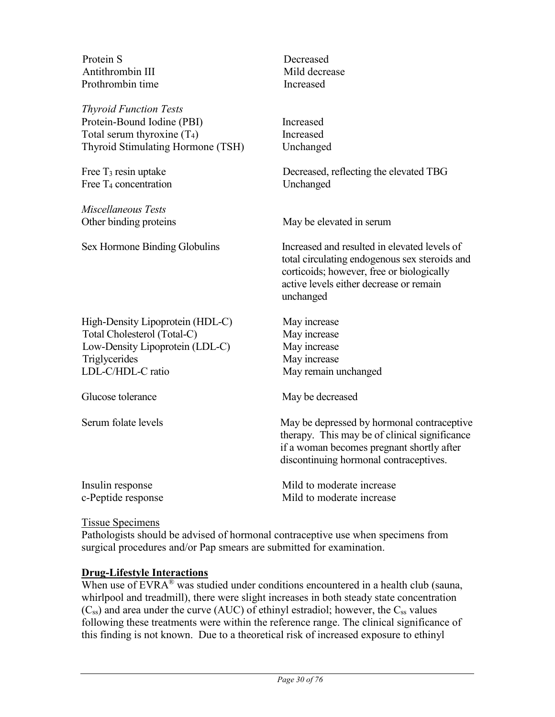| Protein S<br>Antithrombin III<br>Prothrombin time                                                                                        | Decreased<br>Mild decrease<br>Increased                                                                                                                                                            |
|------------------------------------------------------------------------------------------------------------------------------------------|----------------------------------------------------------------------------------------------------------------------------------------------------------------------------------------------------|
| <b>Thyroid Function Tests</b><br>Protein-Bound Iodine (PBI)<br>Total serum thyroxine $(T_4)$<br>Thyroid Stimulating Hormone (TSH)        | Increased<br>Increased<br>Unchanged                                                                                                                                                                |
| Free $T_3$ resin uptake<br>Free $T_4$ concentration                                                                                      | Decreased, reflecting the elevated TBG<br>Unchanged                                                                                                                                                |
| Miscellaneous Tests<br>Other binding proteins                                                                                            | May be elevated in serum                                                                                                                                                                           |
| Sex Hormone Binding Globulins                                                                                                            | Increased and resulted in elevated levels of<br>total circulating endogenous sex steroids and<br>corticoids; however, free or biologically<br>active levels either decrease or remain<br>unchanged |
| High-Density Lipoprotein (HDL-C)<br>Total Cholesterol (Total-C)<br>Low-Density Lipoprotein (LDL-C)<br>Triglycerides<br>LDL-C/HDL-C ratio | May increase<br>May increase<br>May increase<br>May increase<br>May remain unchanged                                                                                                               |
| Glucose tolerance                                                                                                                        | May be decreased                                                                                                                                                                                   |
| Serum folate levels                                                                                                                      | May be depressed by hormonal contraceptive<br>therapy. This may be of clinical significance<br>if a woman becomes pregnant shortly after<br>discontinuing hormonal contraceptives.                 |
| Insulin response<br>c-Peptide response                                                                                                   | Mild to moderate increase<br>Mild to moderate increase                                                                                                                                             |

### Tissue Specimens

Pathologists should be advised of hormonal contraceptive use when specimens from surgical procedures and/or Pap smears are submitted for examination.

### **Drug-Lifestyle Interactions**

When use of EVRA<sup>®</sup> was studied under conditions encountered in a health club (sauna, whirlpool and treadmill), there were slight increases in both steady state concentration  $(C_{ss})$  and area under the curve (AUC) of ethinyl estradiol; however, the  $C_{ss}$  values following these treatments were within the reference range. The clinical significance of this finding is not known. Due to a theoretical risk of increased exposure to ethinyl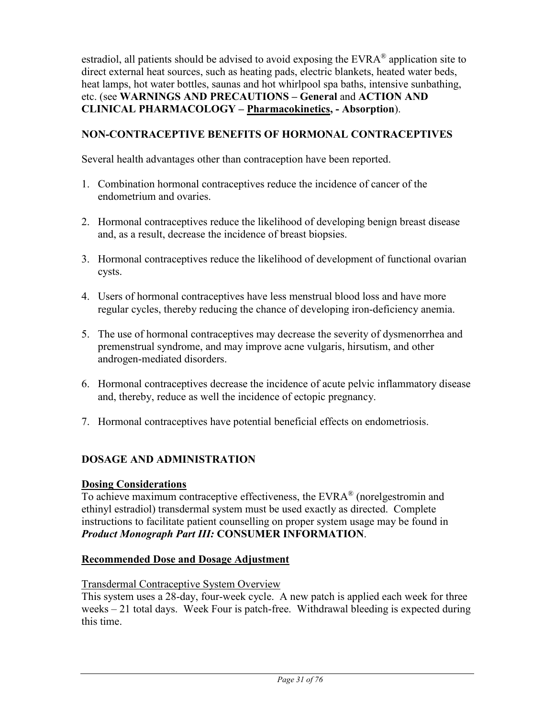estradiol, all patients should be advised to avoid exposing the EVRA® application site to direct external heat sources, such as heating pads, electric blankets, heated water beds, heat lamps, hot water bottles, saunas and hot whirlpool spa baths, intensive sunbathing, etc. (see **WARNINGS AND PRECAUTIONS – General** and **ACTION AND CLINICAL PHARMACOLOGY – Pharmacokinetics, - Absorption**).

### **NON-CONTRACEPTIVE BENEFITS OF HORMONAL CONTRACEPTIVES**

Several health advantages other than contraception have been reported.

- 1. Combination hormonal contraceptives reduce the incidence of cancer of the endometrium and ovaries.
- 2. Hormonal contraceptives reduce the likelihood of developing benign breast disease and, as a result, decrease the incidence of breast biopsies.
- 3. Hormonal contraceptives reduce the likelihood of development of functional ovarian cysts.
- 4. Users of hormonal contraceptives have less menstrual blood loss and have more regular cycles, thereby reducing the chance of developing iron-deficiency anemia.
- 5. The use of hormonal contraceptives may decrease the severity of dysmenorrhea and premenstrual syndrome, and may improve acne vulgaris, hirsutism, and other androgen-mediated disorders.
- 6. Hormonal contraceptives decrease the incidence of acute pelvic inflammatory disease and, thereby, reduce as well the incidence of ectopic pregnancy.
- 7. Hormonal contraceptives have potential beneficial effects on endometriosis.

### **DOSAGE AND ADMINISTRATION**

### **Dosing Considerations**

To achieve maximum contraceptive effectiveness, the  $EVARA^{\circledast}$  (norelgestromin and ethinyl estradiol) transdermal system must be used exactly as directed. Complete instructions to facilitate patient counselling on proper system usage may be found in *Product Monograph Part III:* **CONSUMER INFORMATION**.

### **Recommended Dose and Dosage Adjustment**

#### Transdermal Contraceptive System Overview

This system uses a 28-day, four-week cycle. A new patch is applied each week for three weeks – 21 total days. Week Four is patch-free. Withdrawal bleeding is expected during this time.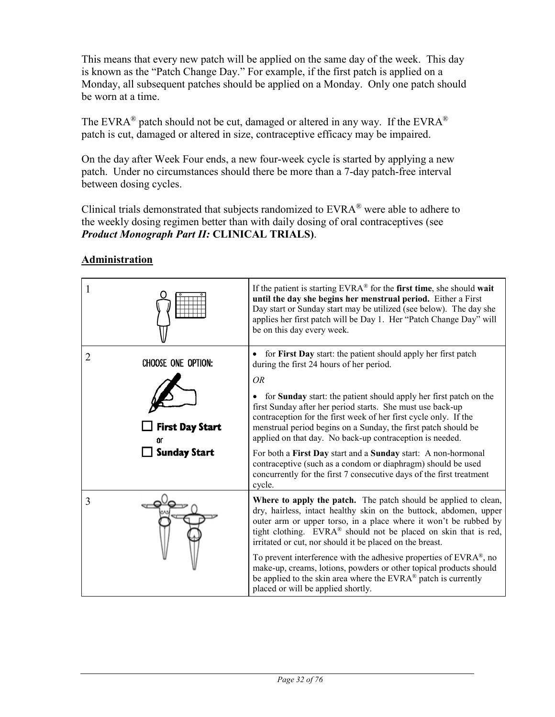This means that every new patch will be applied on the same day of the week. This day is known as the "Patch Change Day." For example, if the first patch is applied on a Monday, all subsequent patches should be applied on a Monday. Only one patch should be worn at a time.

The EVRA<sup>®</sup> patch should not be cut, damaged or altered in any way. If the EVRA<sup>®</sup> patch is cut, damaged or altered in size, contraceptive efficacy may be impaired.

On the day after Week Four ends, a new four-week cycle is started by applying a new patch. Under no circumstances should there be more than a 7-day patch-free interval between dosing cycles.

Clinical trials demonstrated that subjects randomized to  $EVRA^{\circledast}$  were able to adhere to the weekly dosing regimen better than with daily dosing of oral contraceptives (see *Product Monograph Part II:* **CLINICAL TRIALS)**.

#### 1 If the patient is starting EVRA® for the **first time**, she should **wait until the day she begins her menstrual period.** Either a First Day start or Sunday start may be utilized (see below). The day she applies her first patch will be Day 1. Her "Patch Change Day" will be on this day every week. 2 **CHOOSE ONE OPTION:**  $\begin{cases} \bullet \text{ for First Day start: the patient should apply her first patch} \\ \text{during the first 24 hours of her period.} \end{cases}$ during the first 24 hours of her period. *OR* • for **Sunday** start: the patient should apply her first patch on the first Sunday after her period starts. She must use back-up contraception for the first week of her first cycle only. If the  $\Box$  First Day Start menstrual period begins on a Sunday, the first patch should be applied on that day. No back-up contraception is needed. 'n٢  $\Box$  Sunday Start For both a **First Day** start and a **Sunday** start: A non-hormonal contraceptive (such as a condom or diaphragm) should be used concurrently for the first 7 consecutive days of the first treatment cycle.  $\frac{3}{2}$  Where to apply the patch. The patch should be applied to clean, dry, hairless, intact healthy skin on the buttock, abdomen, upper outer arm or upper torso, in a place where it won't be rubbed by tight clothing. EVRA® should not be placed on skin that is red, irritated or cut, nor should it be placed on the breast. To prevent interference with the adhesive properties of EVRA®, no make-up, creams, lotions, powders or other topical products should be applied to the skin area where the EVRA<sup>®</sup> patch is currently placed or will be applied shortly.

# **Administration**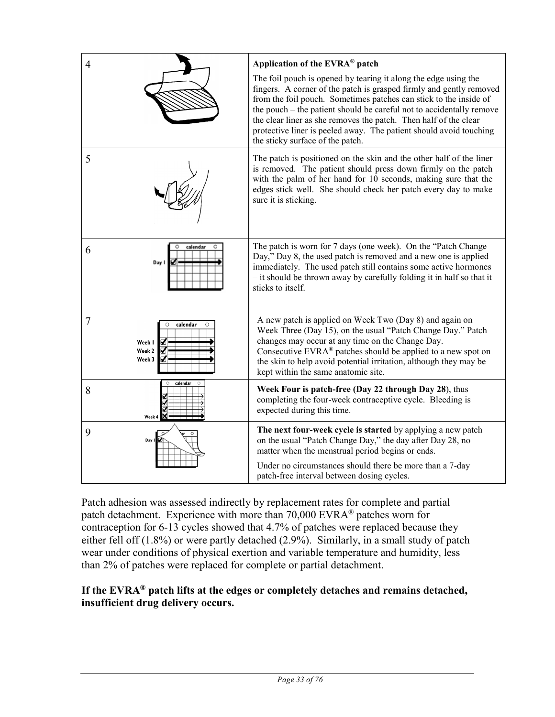| $\overline{4}$                                                     | Application of the EVRA® patch<br>The foil pouch is opened by tearing it along the edge using the                                                                                                                                                                                                                                                                                              |
|--------------------------------------------------------------------|------------------------------------------------------------------------------------------------------------------------------------------------------------------------------------------------------------------------------------------------------------------------------------------------------------------------------------------------------------------------------------------------|
|                                                                    | fingers. A corner of the patch is grasped firmly and gently removed<br>from the foil pouch. Sometimes patches can stick to the inside of<br>the pouch – the patient should be careful not to accidentally remove<br>the clear liner as she removes the patch. Then half of the clear<br>protective liner is peeled away. The patient should avoid touching<br>the sticky surface of the patch. |
| 5                                                                  | The patch is positioned on the skin and the other half of the liner<br>is removed. The patient should press down firmly on the patch<br>with the palm of her hand for 10 seconds, making sure that the<br>edges stick well. She should check her patch every day to make<br>sure it is sticking.                                                                                               |
| calendar<br>6<br>Day 1                                             | The patch is worn for 7 days (one week). On the "Patch Change"<br>Day," Day 8, the used patch is removed and a new one is applied<br>immediately. The used patch still contains some active hormones<br>- it should be thrown away by carefully folding it in half so that it<br>sticks to itself.                                                                                             |
| 7<br>calendar<br>$\Omega$<br>Week I<br>Week <sub>2</sub><br>Week 3 | A new patch is applied on Week Two (Day 8) and again on<br>Week Three (Day 15), on the usual "Patch Change Day." Patch<br>changes may occur at any time on the Change Day.<br>Consecutive $EVRA^{\otimes}$ patches should be applied to a new spot on<br>the skin to help avoid potential irritation, although they may be<br>kept within the same anatomic site.                              |
| calendar<br>8<br>Week 4                                            | Week Four is patch-free (Day 22 through Day 28), thus<br>completing the four-week contraceptive cycle. Bleeding is<br>expected during this time.                                                                                                                                                                                                                                               |
| 9                                                                  | The next four-week cycle is started by applying a new patch<br>on the usual "Patch Change Day," the day after Day 28, no<br>matter when the menstrual period begins or ends.                                                                                                                                                                                                                   |
|                                                                    | Under no circumstances should there be more than a 7-day<br>patch-free interval between dosing cycles.                                                                                                                                                                                                                                                                                         |

Patch adhesion was assessed indirectly by replacement rates for complete and partial patch detachment. Experience with more than 70,000 EVRA® patches worn for contraception for 6-13 cycles showed that 4.7% of patches were replaced because they either fell off (1.8%) or were partly detached (2.9%). Similarly, in a small study of patch wear under conditions of physical exertion and variable temperature and humidity, less than 2% of patches were replaced for complete or partial detachment.

### **If the EVRA® patch lifts at the edges or completely detaches and remains detached, insufficient drug delivery occurs.**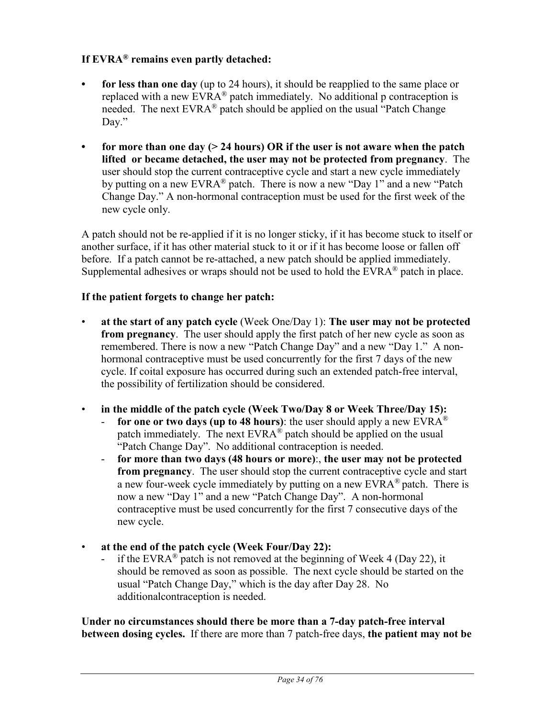### **If EVRA® remains even partly detached:**

- **• for less than one day** (up to 24 hours), it should be reapplied to the same place or replaced with a new  $EVRA^{\otimes}$  patch immediately. No additional p contraception is needed. The next EVRA® patch should be applied on the usual "Patch Change Day."
- **• for more than one day (> 24 hours) OR if the user is not aware when the patch lifted or became detached, the user may not be protected from pregnancy**. The user should stop the current contraceptive cycle and start a new cycle immediately by putting on a new EVRA® patch. There is now a new "Day 1" and a new "Patch Change Day." A non-hormonal contraception must be used for the first week of the new cycle only.

A patch should not be re-applied if it is no longer sticky, if it has become stuck to itself or another surface, if it has other material stuck to it or if it has become loose or fallen off before. If a patch cannot be re-attached, a new patch should be applied immediately. Supplemental adhesives or wraps should not be used to hold the  $EVRA^{\circledR}$  patch in place.

#### **If the patient forgets to change her patch:**

- **at the start of any patch cycle** (Week One/Day 1): **The user may not be protected from pregnancy**. The user should apply the first patch of her new cycle as soon as remembered. There is now a new "Patch Change Day" and a new "Day 1." A nonhormonal contraceptive must be used concurrently for the first 7 days of the new cycle. If coital exposure has occurred during such an extended patch-free interval, the possibility of fertilization should be considered.
- **in the middle of the patch cycle (Week Two/Day 8 or Week Three/Day 15):**
	- **for one or two days (up to 48 hours)**: the user should apply a new  $EVARA^{\circledR}$ patch immediately. The next EVRA® patch should be applied on the usual "Patch Change Day". No additional contraception is needed.
	- **for more than two days (48 hours or more)**:, **the user may not be protected from pregnancy**. The user should stop the current contraceptive cycle and start a new four-week cycle immediately by putting on a new EVRA® patch. There is now a new "Day 1" and a new "Patch Change Day". A non-hormonal contraceptive must be used concurrently for the first 7 consecutive days of the new cycle.
- **at the end of the patch cycle (Week Four/Day 22):**
	- if the EVRA<sup>®</sup> patch is not removed at the beginning of Week 4 (Day 22), it should be removed as soon as possible. The next cycle should be started on the usual "Patch Change Day," which is the day after Day 28. No additionalcontraception is needed.

**Under no circumstances should there be more than a 7-day patch-free interval between dosing cycles.** If there are more than 7 patch-free days, **the patient may not be**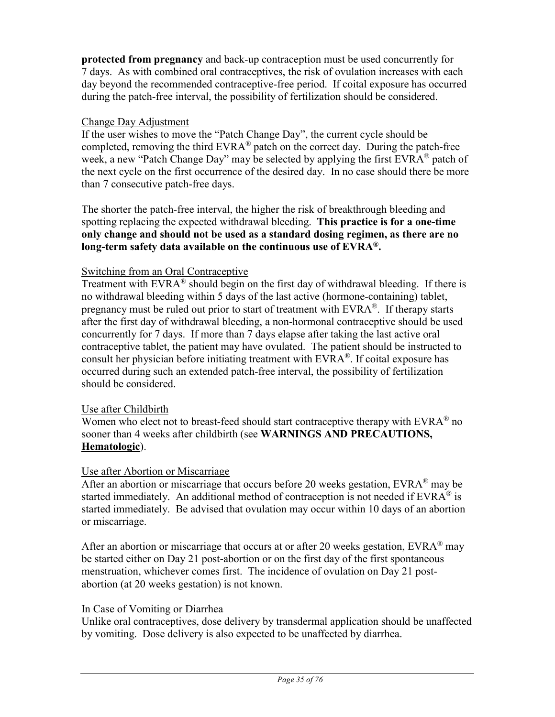**protected from pregnancy** and back-up contraception must be used concurrently for 7 days. As with combined oral contraceptives, the risk of ovulation increases with each day beyond the recommended contraceptive-free period. If coital exposure has occurred during the patch-free interval, the possibility of fertilization should be considered.

### Change Day Adjustment

If the user wishes to move the "Patch Change Day", the current cycle should be completed, removing the third  $EVRA^{\otimes}$  patch on the correct day. During the patch-free week, a new "Patch Change Day" may be selected by applying the first EVRA<sup>®</sup> patch of the next cycle on the first occurrence of the desired day. In no case should there be more than 7 consecutive patch-free days.

The shorter the patch-free interval, the higher the risk of breakthrough bleeding and spotting replacing the expected withdrawal bleeding. **This practice is for a one-time only change and should not be used as a standard dosing regimen, as there are no long-term safety data available on the continuous use of EVRA®.**

### Switching from an Oral Contraceptive

Treatment with  $EVAR^{\circledR}$  should begin on the first day of withdrawal bleeding. If there is no withdrawal bleeding within 5 days of the last active (hormone-containing) tablet, pregnancy must be ruled out prior to start of treatment with  $EVAR<sup>®</sup>$ . If therapy starts after the first day of withdrawal bleeding, a non-hormonal contraceptive should be used concurrently for 7 days. If more than 7 days elapse after taking the last active oral contraceptive tablet, the patient may have ovulated. The patient should be instructed to consult her physician before initiating treatment with  $EVRA^{\otimes}$ . If coital exposure has occurred during such an extended patch-free interval, the possibility of fertilization should be considered.

### Use after Childbirth

Women who elect not to breast-feed should start contraceptive therapy with  $EVRA^{\otimes}$  no sooner than 4 weeks after childbirth (see **WARNINGS AND PRECAUTIONS, Hematologic**).

### Use after Abortion or Miscarriage

After an abortion or miscarriage that occurs before 20 weeks gestation,  $EVRA^{\circledast}$  may be started immediately. An additional method of contraception is not needed if  $EVAR^{\circledast}$  is started immediately. Be advised that ovulation may occur within 10 days of an abortion or miscarriage.

After an abortion or miscarriage that occurs at or after 20 weeks gestation,  $EVRA^{\circledast}$  may be started either on Day 21 post-abortion or on the first day of the first spontaneous menstruation, whichever comes first. The incidence of ovulation on Day 21 postabortion (at 20 weeks gestation) is not known.

#### In Case of Vomiting or Diarrhea

Unlike oral contraceptives, dose delivery by transdermal application should be unaffected by vomiting. Dose delivery is also expected to be unaffected by diarrhea.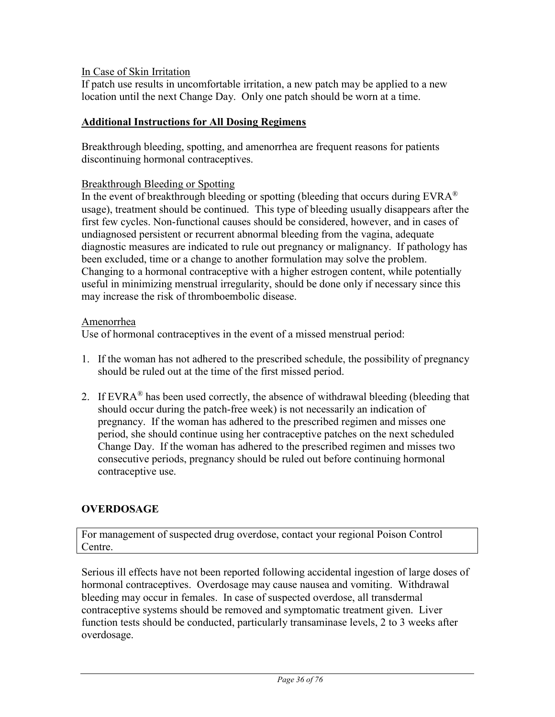### In Case of Skin Irritation

If patch use results in uncomfortable irritation, a new patch may be applied to a new location until the next Change Day. Only one patch should be worn at a time.

### **Additional Instructions for All Dosing Regimens**

Breakthrough bleeding, spotting, and amenorrhea are frequent reasons for patients discontinuing hormonal contraceptives.

### Breakthrough Bleeding or Spotting

In the event of breakthrough bleeding or spotting (bleeding that occurs during  $EVRA^{\otimes}$ usage), treatment should be continued. This type of bleeding usually disappears after the first few cycles. Non-functional causes should be considered, however, and in cases of undiagnosed persistent or recurrent abnormal bleeding from the vagina, adequate diagnostic measures are indicated to rule out pregnancy or malignancy. If pathology has been excluded, time or a change to another formulation may solve the problem. Changing to a hormonal contraceptive with a higher estrogen content, while potentially useful in minimizing menstrual irregularity, should be done only if necessary since this may increase the risk of thromboembolic disease.

#### Amenorrhea

Use of hormonal contraceptives in the event of a missed menstrual period:

- 1. If the woman has not adhered to the prescribed schedule, the possibility of pregnancy should be ruled out at the time of the first missed period.
- 2. If EVRA<sup>®</sup> has been used correctly, the absence of withdrawal bleeding (bleeding that should occur during the patch-free week) is not necessarily an indication of pregnancy. If the woman has adhered to the prescribed regimen and misses one period, she should continue using her contraceptive patches on the next scheduled Change Day. If the woman has adhered to the prescribed regimen and misses two consecutive periods, pregnancy should be ruled out before continuing hormonal contraceptive use.

### **OVERDOSAGE**

For management of suspected drug overdose, contact your regional Poison Control Centre.

Serious ill effects have not been reported following accidental ingestion of large doses of hormonal contraceptives. Overdosage may cause nausea and vomiting. Withdrawal bleeding may occur in females. In case of suspected overdose, all transdermal contraceptive systems should be removed and symptomatic treatment given. Liver function tests should be conducted, particularly transaminase levels, 2 to 3 weeks after overdosage.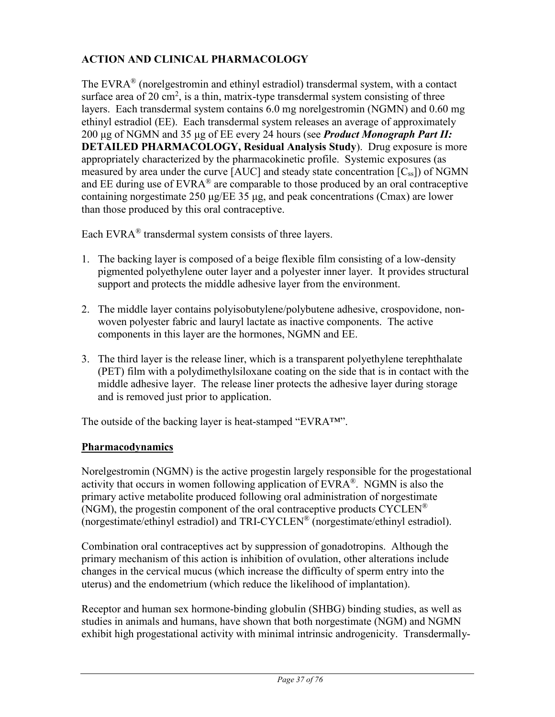# **ACTION AND CLINICAL PHARMACOLOGY**

The EVRA® (norelgestromin and ethinyl estradiol) transdermal system, with a contact surface area of 20 cm<sup>2</sup>, is a thin, matrix-type transdermal system consisting of three layers. Each transdermal system contains 6.0 mg norelgestromin (NGMN) and 0.60 mg ethinyl estradiol (EE). Each transdermal system releases an average of approximately 200 μg of NGMN and 35 μg of EE every 24 hours (see *Product Monograph Part II:* **DETAILED PHARMACOLOGY, Residual Analysis Study**). Drug exposure is more appropriately characterized by the pharmacokinetic profile. Systemic exposures (as measured by area under the curve  $[AUC]$  and steady state concentration  $[C_{ss}])$  of NGMN and EE during use of  $EVARA^{\circledast}$  are comparable to those produced by an oral contraceptive containing norgestimate 250 μg/EE 35 μg, and peak concentrations (Cmax) are lower than those produced by this oral contraceptive.

Each EVR $A^{\circledR}$  transdermal system consists of three layers.

- 1. The backing layer is composed of a beige flexible film consisting of a low-density pigmented polyethylene outer layer and a polyester inner layer. It provides structural support and protects the middle adhesive layer from the environment.
- 2. The middle layer contains polyisobutylene/polybutene adhesive, crospovidone, nonwoven polyester fabric and lauryl lactate as inactive components. The active components in this layer are the hormones, NGMN and EE.
- 3. The third layer is the release liner, which is a transparent polyethylene terephthalate (PET) film with a polydimethylsiloxane coating on the side that is in contact with the middle adhesive layer. The release liner protects the adhesive layer during storage and is removed just prior to application.

The outside of the backing layer is heat-stamped "EVRA<sup>TM"</sup>.

## **Pharmacodynamics**

Norelgestromin (NGMN) is the active progestin largely responsible for the progestational activity that occurs in women following application of  $EVRA^{\otimes}$ . NGMN is also the primary active metabolite produced following oral administration of norgestimate (NGM), the progestin component of the oral contraceptive products  $CYCLEN^{\circledR}$ (norgestimate/ethinyl estradiol) and TRI-CYCLEN® (norgestimate/ethinyl estradiol).

Combination oral contraceptives act by suppression of gonadotropins. Although the primary mechanism of this action is inhibition of ovulation, other alterations include changes in the cervical mucus (which increase the difficulty of sperm entry into the uterus) and the endometrium (which reduce the likelihood of implantation).

Receptor and human sex hormone-binding globulin (SHBG) binding studies, as well as studies in animals and humans, have shown that both norgestimate (NGM) and NGMN exhibit high progestational activity with minimal intrinsic androgenicity. Transdermally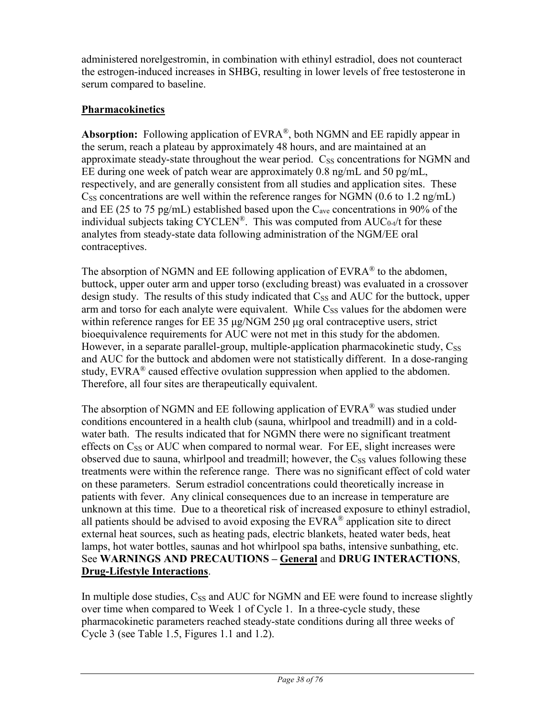administered norelgestromin, in combination with ethinyl estradiol, does not counteract the estrogen-induced increases in SHBG, resulting in lower levels of free testosterone in serum compared to baseline.

# **Pharmacokinetics**

**Absorption:** Following application of EVRA®, both NGMN and EE rapidly appear in the serum, reach a plateau by approximately 48 hours, and are maintained at an approximate steady-state throughout the wear period.  $C_{SS}$  concentrations for NGMN and EE during one week of patch wear are approximately  $0.8 \text{ ng/mL}$  and  $50 \text{ pg/mL}$ , respectively, and are generally consistent from all studies and application sites. These  $C_{SS}$  concentrations are well within the reference ranges for NGMN (0.6 to 1.2 ng/mL) and EE (25 to 75 pg/mL) established based upon the  $C_{ave}$  concentrations in 90% of the individual subjects taking CYCLEN<sup>®</sup>. This was computed from  $AUC_{0-t}/t$  for these analytes from steady-state data following administration of the NGM/EE oral contraceptives.

The absorption of NGMN and EE following application of  $EVAR<sup>®</sup>$  to the abdomen, buttock, upper outer arm and upper torso (excluding breast) was evaluated in a crossover design study. The results of this study indicated that  $C_{SS}$  and AUC for the buttock, upper arm and torso for each analyte were equivalent. While  $C_{SS}$  values for the abdomen were within reference ranges for EE 35 μg/NGM 250 μg oral contraceptive users, strict bioequivalence requirements for AUC were not met in this study for the abdomen. However, in a separate parallel-group, multiple-application pharmacokinetic study,  $C_{SS}$ and AUC for the buttock and abdomen were not statistically different. In a dose-ranging study,  $EVRA^{\circledast}$  caused effective ovulation suppression when applied to the abdomen. Therefore, all four sites are therapeutically equivalent.

The absorption of NGMN and EE following application of EVRA® was studied under conditions encountered in a health club (sauna, whirlpool and treadmill) and in a coldwater bath. The results indicated that for NGMN there were no significant treatment effects on  $C_{SS}$  or  $AUC$  when compared to normal wear. For EE, slight increases were observed due to sauna, whirlpool and treadmill; however, the  $C_{SS}$  values following these treatments were within the reference range. There was no significant effect of cold water on these parameters. Serum estradiol concentrations could theoretically increase in patients with fever. Any clinical consequences due to an increase in temperature are unknown at this time. Due to a theoretical risk of increased exposure to ethinyl estradiol, all patients should be advised to avoid exposing the  $EVAR^{\circledR}$  application site to direct external heat sources, such as heating pads, electric blankets, heated water beds, heat lamps, hot water bottles, saunas and hot whirlpool spa baths, intensive sunbathing, etc. See **WARNINGS AND PRECAUTIONS – General** and **DRUG INTERACTIONS**, **Drug-Lifestyle Interactions**.

In multiple dose studies,  $C_{SS}$  and  $AUC$  for NGMN and EE were found to increase slightly over time when compared to Week 1 of Cycle 1. In a three-cycle study, these pharmacokinetic parameters reached steady-state conditions during all three weeks of Cycle 3 (see Table 1.5, Figures 1.1 and 1.2).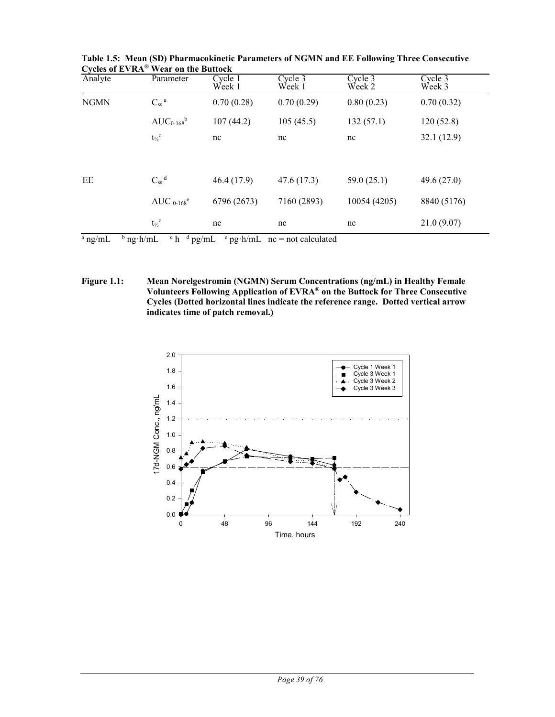| Analyte                                                                                              | Parameter                       | Cycle 1<br>Week 1 | Cycle 3<br>Week 1 | Cycle 3<br>Week 2 | Cycle 3<br>Week 3 |  |
|------------------------------------------------------------------------------------------------------|---------------------------------|-------------------|-------------------|-------------------|-------------------|--|
| <b>NGMN</b>                                                                                          | $C_{\rm ss}$ a                  | 0.70(0.28)        | 0.70(0.29)        | 0.80(0.23)        | 0.70(0.32)        |  |
|                                                                                                      | $AUC_{0-168}$ <sup>b</sup>      | 107(44.2)         | 105(45.5)         | 132(57.1)         | 120(52.8)         |  |
|                                                                                                      | $t_{\mathbin{\mathcal{V}}_2}^c$ | nc                | nc                | nc                | 32.1(12.9)        |  |
|                                                                                                      |                                 |                   |                   |                   |                   |  |
| EE                                                                                                   | $C_{ss}$ <sup>d</sup>           | 46.4(17.9)        | 47.6(17.3)        | 59.0(25.1)        | 49.6 $(27.0)$     |  |
|                                                                                                      | AUC $_{0-168}$ <sup>e</sup>     | 6796 (2673)       | 7160 (2893)       | 10054 (4205)      | 8840 (5176)       |  |
|                                                                                                      | $t_{\frac{1}{2}}^{\mathrm{c}}$  | nc                | nc                | nc                | 21.0(9.07)        |  |
| $a$ ng/mL<br>$^{\rm b}$ ng ·h/mL<br>$ch$ <sup>d</sup> pg/mL<br>$\degree$ pg·h/mL nc = not calculated |                                 |                   |                   |                   |                   |  |

**Table 1.5: Mean (SD) Pharmacokinetic Parameters of NGMN and EE Following Three Consecutive Cycles of EVRA® Wear on the Buttock**

**Figure 1.1: Mean Norelgestromin (NGMN) Serum Concentrations (ng/mL) in Healthy Female Volunteers Following Application of EVRA® on the Buttock for Three Consecutive Cycles (Dotted horizontal lines indicate the reference range. Dotted vertical arrow indicates time of patch removal.)** 

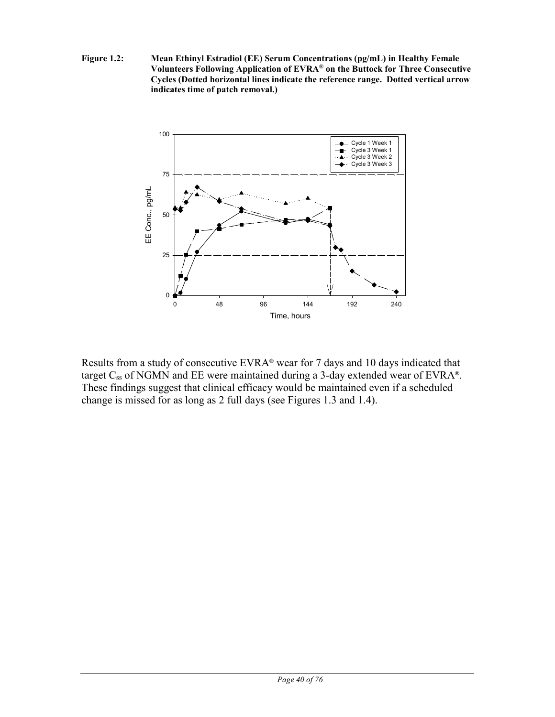**Figure 1.2: Mean Ethinyl Estradiol (EE) Serum Concentrations (pg/mL) in Healthy Female Volunteers Following Application of EVRA® on the Buttock for Three Consecutive Cycles (Dotted horizontal lines indicate the reference range. Dotted vertical arrow indicates time of patch removal.)**



Results from a study of consecutive EVRA**®** wear for 7 days and 10 days indicated that target Css of NGMN and EE were maintained during a 3-day extended wear of EVRA**®**. These findings suggest that clinical efficacy would be maintained even if a scheduled change is missed for as long as 2 full days (see Figures 1.3 and 1.4).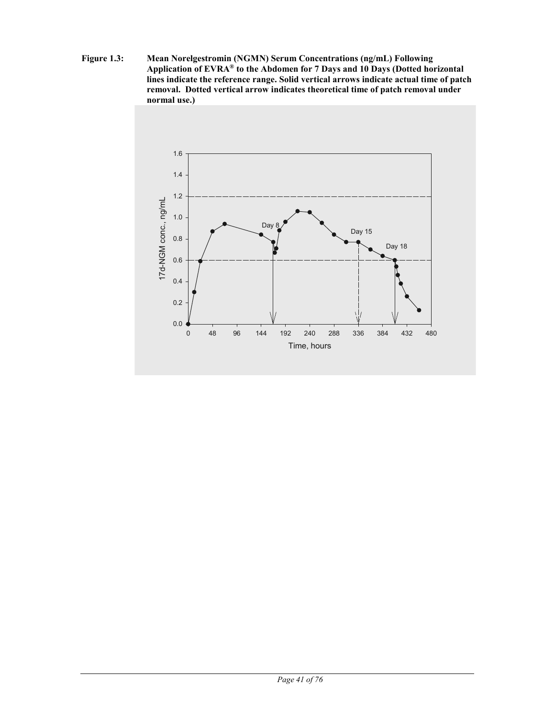**Figure 1.3: Mean Norelgestromin (NGMN) Serum Concentrations (ng/mL) Following Application of EVRA® to the Abdomen for 7 Days and 10 Days (Dotted horizontal lines indicate the reference range. Solid vertical arrows indicate actual time of patch removal. Dotted vertical arrow indicates theoretical time of patch removal under normal use.)**

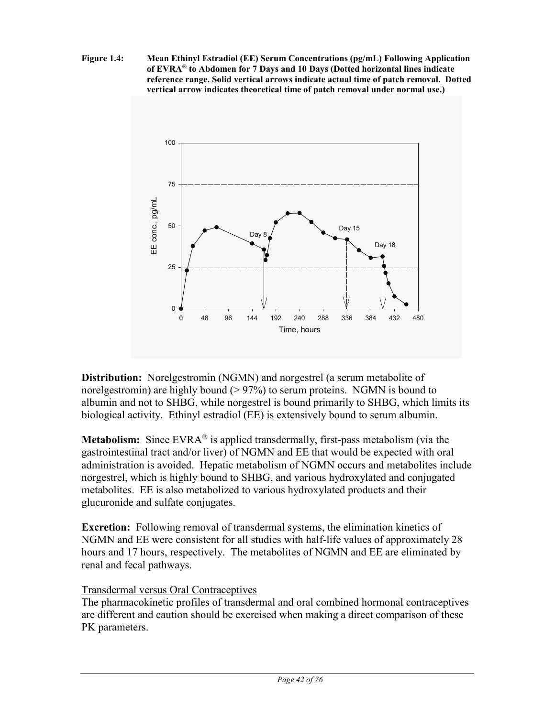**Figure 1.4: Mean Ethinyl Estradiol (EE) Serum Concentrations (pg/mL) Following Application of EVRA® to Abdomen for 7 Days and 10 Days (Dotted horizontal lines indicate reference range. Solid vertical arrows indicate actual time of patch removal. Dotted vertical arrow indicates theoretical time of patch removal under normal use.)**



**Distribution:** Norelgestromin (NGMN) and norgestrel (a serum metabolite of norelgestromin) are highly bound  $(> 97%)$  to serum proteins. NGMN is bound to albumin and not to SHBG, while norgestrel is bound primarily to SHBG, which limits its biological activity. Ethinyl estradiol (EE) is extensively bound to serum albumin.

**Metabolism:** Since EVRA<sup>®</sup> is applied transdermally, first-pass metabolism (via the gastrointestinal tract and/or liver) of NGMN and EE that would be expected with oral administration is avoided. Hepatic metabolism of NGMN occurs and metabolites include norgestrel, which is highly bound to SHBG, and various hydroxylated and conjugated metabolites. EE is also metabolized to various hydroxylated products and their glucuronide and sulfate conjugates.

**Excretion:** Following removal of transdermal systems, the elimination kinetics of NGMN and EE were consistent for all studies with half-life values of approximately 28 hours and 17 hours, respectively. The metabolites of NGMN and EE are eliminated by renal and fecal pathways.

# Transdermal versus Oral Contraceptives

The pharmacokinetic profiles of transdermal and oral combined hormonal contraceptives are different and caution should be exercised when making a direct comparison of these PK parameters.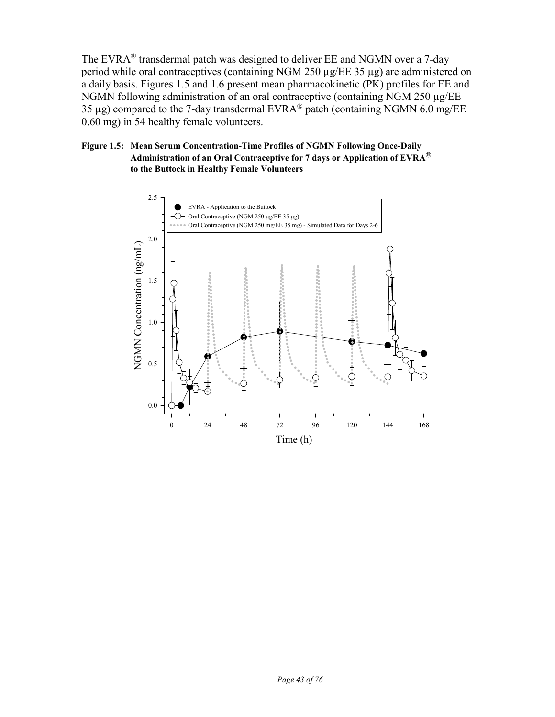The EVRA® transdermal patch was designed to deliver EE and NGMN over a 7-day period while oral contraceptives (containing NGM 250 µg/EE 35 µg) are administered on a daily basis. Figures 1.5 and 1.6 present mean pharmacokinetic (PK) profiles for EE and NGMN following administration of an oral contraceptive (containing NGM 250 µg/EE 35 µg) compared to the 7-day transdermal  $EVRA^{\circledR}$  patch (containing NGMN 6.0 mg/EE 0.60 mg) in 54 healthy female volunteers.

### **Figure 1.5: Mean Serum Concentration-Time Profiles of NGMN Following Once-Daily Administration of an Oral Contraceptive for 7 days or Application of EVRA® to the Buttock in Healthy Female Volunteers**

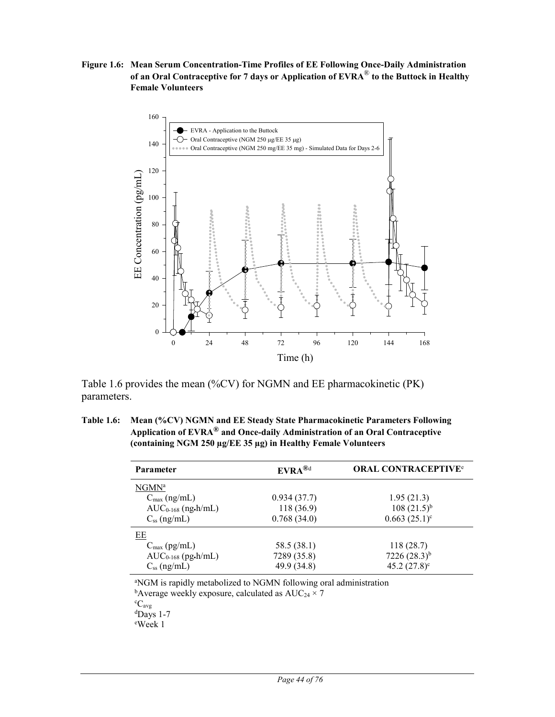**Figure 1.6: Mean Serum Concentration-Time Profiles of EE Following Once-Daily Administration of an Oral Contraceptive for 7 days or Application of EVRA**® **to the Buttock in Healthy Female Volunteers**



Table 1.6 provides the mean (%CV) for NGMN and EE pharmacokinetic (PK) parameters.

**Table 1.6: Mean (%CV) NGMN and EE Steady State Pharmacokinetic Parameters Following Application of EVRA® and Once-daily Administration of an Oral Contraceptive (containing NGM 250 µg/EE 35 µg) in Healthy Female Volunteers**

| Parameter                | $EVRA^{\textcircled{8}d}$ | <b>ORAL CONTRACEPTIVE®</b> |
|--------------------------|---------------------------|----------------------------|
| NGMN <sup>a</sup>        |                           |                            |
| $C_{\text{max}}$ (ng/mL) | 0.934(37.7)               | 1.95(21.3)                 |
| $AUC_{0-168}$ (ng.h/mL)  | 118 (36.9)                | $108(21.5)^{b}$            |
| $C_{ss}$ (ng/mL)         | 0.768(34.0)               | $0.663(25.1)^c$            |
| EЕ                       |                           |                            |
| $C_{\text{max}}$ (pg/mL) | 58.5 (38.1)               | 118(28.7)                  |
| $AUC_{0-168}$ (pg.h/mL)  | 7289 (35.8)               | $7226(28.3)^{b}$           |
| $C_{ss}$ (ng/mL)         | 49.9 (34.8)               | 45.2 $(27.8)^c$            |

a NGM is rapidly metabolized to NGMN following oral administration <sup>b</sup>Average weekly exposure, calculated as  $\text{AUC}_{24} \times 7$ 

°C<sub>avg</sub><br>ªDays 1-7

e Week 1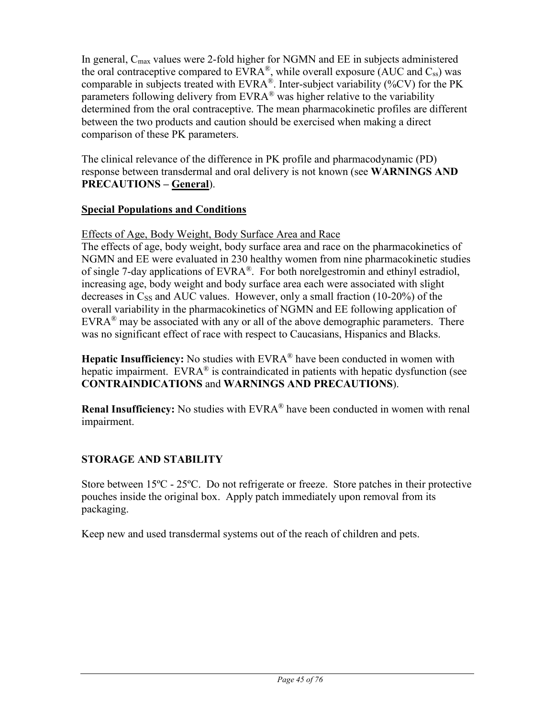In general,  $C_{\text{max}}$  values were 2-fold higher for NGMN and EE in subjects administered the oral contraceptive compared to  $EVRA^{\circledast}$ , while overall exposure (AUC and Css) was comparable in subjects treated with EVRA®. Inter-subject variability (%CV) for the PK parameters following delivery from EVRA<sup>®</sup> was higher relative to the variability determined from the oral contraceptive. The mean pharmacokinetic profiles are different between the two products and caution should be exercised when making a direct comparison of these PK parameters.

The clinical relevance of the difference in PK profile and pharmacodynamic (PD) response between transdermal and oral delivery is not known (see **WARNINGS AND PRECAUTIONS – General**).

## **Special Populations and Conditions**

# Effects of Age, Body Weight, Body Surface Area and Race

The effects of age, body weight, body surface area and race on the pharmacokinetics of NGMN and EE were evaluated in 230 healthy women from nine pharmacokinetic studies of single 7-day applications of  $EVRA^{\otimes}$ . For both norelgestromin and ethinyl estradiol, increasing age, body weight and body surface area each were associated with slight decreases in  $C_{SS}$  and AUC values. However, only a small fraction (10-20%) of the overall variability in the pharmacokinetics of NGMN and EE following application of  $EVARA^{\otimes}$  may be associated with any or all of the above demographic parameters. There was no significant effect of race with respect to Caucasians, Hispanics and Blacks.

**Hepatic Insufficiency:** No studies with EVRA<sup>®</sup> have been conducted in women with hepatic impairment. EVRA<sup>®</sup> is contraindicated in patients with hepatic dysfunction (see **CONTRAINDICATIONS** and **WARNINGS AND PRECAUTIONS**).

**Renal Insufficiency:** No studies with EVRA<sup>®</sup> have been conducted in women with renal impairment.

# **STORAGE AND STABILITY**

Store between 15ºC - 25ºC. Do not refrigerate or freeze. Store patches in their protective pouches inside the original box. Apply patch immediately upon removal from its packaging.

Keep new and used transdermal systems out of the reach of children and pets.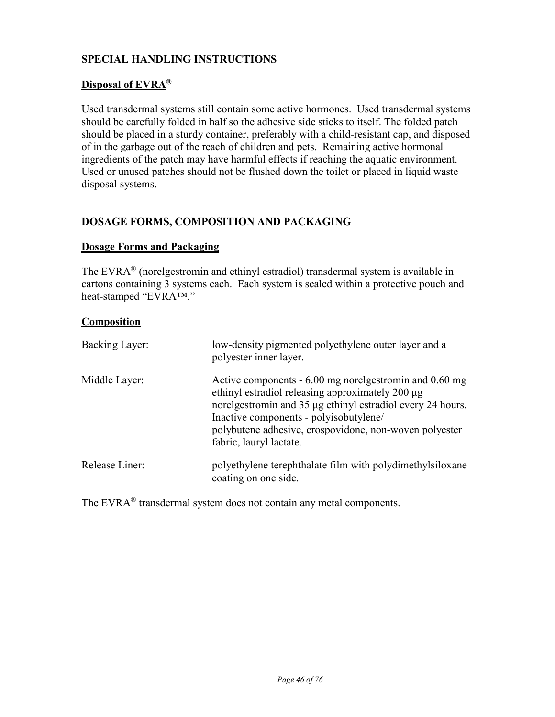# **SPECIAL HANDLING INSTRUCTIONS**

## **Disposal of EVRA®**

Used transdermal systems still contain some active hormones. Used transdermal systems should be carefully folded in half so the adhesive side sticks to itself. The folded patch should be placed in a sturdy container, preferably with a child-resistant cap, and disposed of in the garbage out of the reach of children and pets. Remaining active hormonal ingredients of the patch may have harmful effects if reaching the aquatic environment. Used or unused patches should not be flushed down the toilet or placed in liquid waste disposal systems.

# **DOSAGE FORMS, COMPOSITION AND PACKAGING**

### **Dosage Forms and Packaging**

The EVRA® (norelgestromin and ethinyl estradiol) transdermal system is available in cartons containing 3 systems each. Each system is sealed within a protective pouch and heat-stamped "EVRA™."

### **Composition**

| Backing Layer: | low-density pigmented polyethylene outer layer and a<br>polyester inner layer.                                                                                                                                                                                                                          |
|----------------|---------------------------------------------------------------------------------------------------------------------------------------------------------------------------------------------------------------------------------------------------------------------------------------------------------|
| Middle Layer:  | Active components - 6.00 mg norelgestromin and 0.60 mg<br>ethinyl estradiol releasing approximately 200 µg<br>norelgestromin and 35 µg ethinyl estradiol every 24 hours.<br>Inactive components - polyisobutylene/<br>polybutene adhesive, crospovidone, non-woven polyester<br>fabric, lauryl lactate. |
| Release Liner: | polyethylene terephthalate film with polydimethylsiloxane<br>coating on one side.                                                                                                                                                                                                                       |

The EVRA<sup>®</sup> transdermal system does not contain any metal components.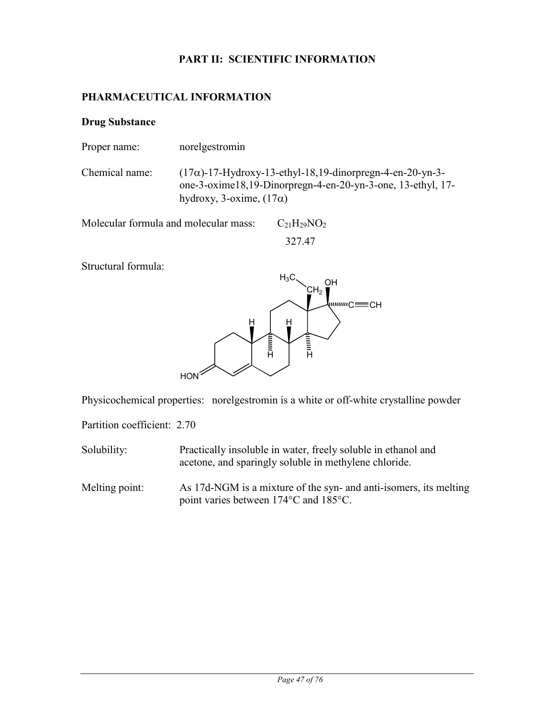# **PART II: SCIENTIFIC INFORMATION**

## **PHARMACEUTICAL INFORMATION**

### **Drug Substance**

Proper name: norelgestromin

Chemical name:  $(17\alpha)$ -17-Hydroxy-13-ethyl-18,19-dinorpregn-4-en-20-yn-3one-3-oxime18,19-Dinorpregn-4-en-20-yn-3-one, 13-ethyl, 17 hydroxy, 3-oxime,  $(17\alpha)$ 

Molecular formula and molecular mass:  $C_{21}H_{29}NO_2$ 327.47

Structural formula:



Physicochemical properties: norelgestromin is a white or off-white crystalline powder

Partition coefficient: 2.70

Solubility: Practically insoluble in water, freely soluble in ethanol and acetone, and sparingly soluble in methylene chloride.

Melting point: As 17d-NGM is a mixture of the syn- and anti-isomers, its melting point varies between 174°C and 185°C.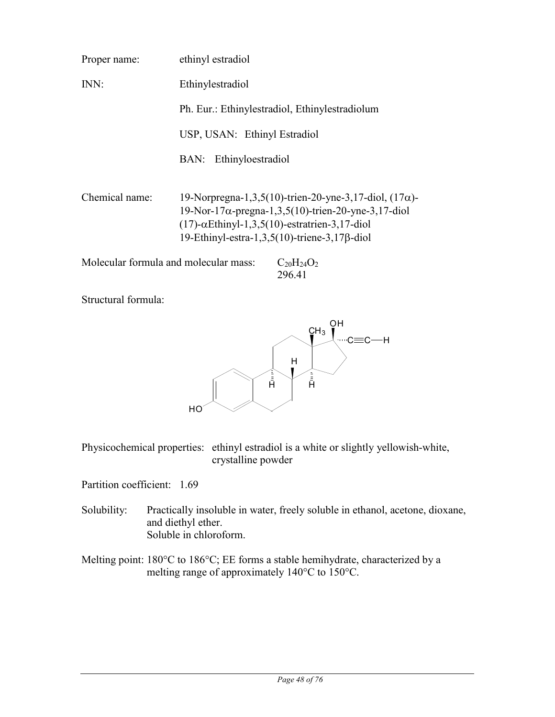| Proper name:   | ethinyl estradiol                                                                                                                                                                                                                                   |
|----------------|-----------------------------------------------------------------------------------------------------------------------------------------------------------------------------------------------------------------------------------------------------|
| INN:           | Ethinylestradiol                                                                                                                                                                                                                                    |
|                | Ph. Eur.: Ethinylestradiol, Ethinylestradiolum                                                                                                                                                                                                      |
|                | USP, USAN: Ethinyl Estradiol                                                                                                                                                                                                                        |
|                | Ethinyloestradiol<br>BAN:                                                                                                                                                                                                                           |
| Chemical name: | 19-Norpregna-1,3,5(10)-trien-20-yne-3,17-diol, $(17\alpha)$ -<br>$19$ -Nor-17 $\alpha$ -pregna-1,3,5(10)-trien-20-yne-3,17-diol<br>$(17)$ - $\alpha$ Ethinyl-1,3,5(10)-estratrien-3,17-diol<br>19-Ethinyl-estra-1,3,5(10)-triene-3,17 $\beta$ -diol |
|                | Molecular formula and molecular mass:<br>$C_{20}H_{24}O_2$                                                                                                                                                                                          |

Structural formula:



296.41

Physicochemical properties: ethinyl estradiol is a white or slightly yellowish-white, crystalline powder

Partition coefficient: 1.69

- Solubility: Practically insoluble in water, freely soluble in ethanol, acetone, dioxane, and diethyl ether. Soluble in chloroform.
- Melting point: 180°C to 186°C; EE forms a stable hemihydrate, characterized by a melting range of approximately 140°C to 150°C.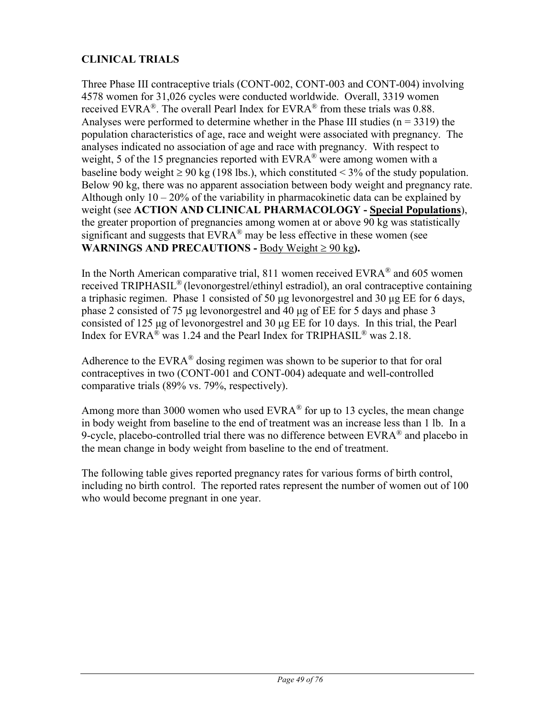# **CLINICAL TRIALS**

Three Phase III contraceptive trials (CONT-002, CONT-003 and CONT-004) involving 4578 women for 31,026 cycles were conducted worldwide. Overall, 3319 women received EVRA<sup>®</sup>. The overall Pearl Index for EVRA<sup>®</sup> from these trials was 0.88. Analyses were performed to determine whether in the Phase III studies ( $n = 3319$ ) the population characteristics of age, race and weight were associated with pregnancy. The analyses indicated no association of age and race with pregnancy. With respect to weight, 5 of the 15 pregnancies reported with  $EVRA^{\otimes}$  were among women with a baseline body weight  $\geq 90$  kg (198 lbs.), which constituted  $\leq 3\%$  of the study population. Below 90 kg, there was no apparent association between body weight and pregnancy rate. Although only  $10 - 20\%$  of the variability in pharmacokinetic data can be explained by weight (see **ACTION AND CLINICAL PHARMACOLOGY - Special Populations**), the greater proportion of pregnancies among women at or above 90 kg was statistically significant and suggests that  $EVAR^{\circledR}$  may be less effective in these women (see **WARNINGS AND PRECAUTIONS -** Body Weight  $\geq 90$  kg).

In the North American comparative trial, 811 women received  $EVRA^{\otimes}$  and 605 women received TRIPHASIL® (levonorgestrel/ethinyl estradiol), an oral contraceptive containing a triphasic regimen. Phase 1 consisted of 50 μg levonorgestrel and 30 μg EE for 6 days, phase 2 consisted of 75 μg levonorgestrel and 40 μg of EE for 5 days and phase 3 consisted of 125 μg of levonorgestrel and 30 μg EE for 10 days. In this trial, the Pearl Index for EVRA® was 1.24 and the Pearl Index for TRIPHASIL® was 2.18.

Adherence to the  $EVARA^{\circledast}$  dosing regimen was shown to be superior to that for oral contraceptives in two (CONT-001 and CONT-004) adequate and well-controlled comparative trials (89% vs. 79%, respectively).

Among more than 3000 women who used  $EVRA^{\otimes}$  for up to 13 cycles, the mean change in body weight from baseline to the end of treatment was an increase less than 1 lb. In a 9-cycle, placebo-controlled trial there was no difference between  $EVRA^{\otimes}$  and placebo in the mean change in body weight from baseline to the end of treatment.

The following table gives reported pregnancy rates for various forms of birth control, including no birth control. The reported rates represent the number of women out of 100 who would become pregnant in one year.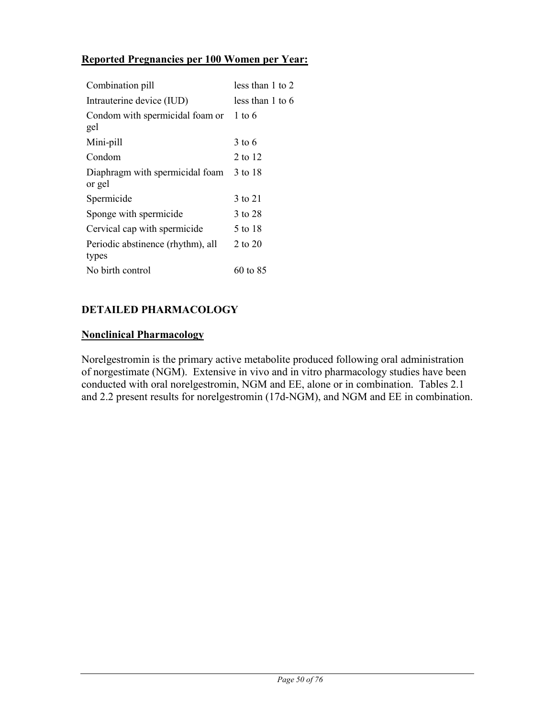# **Reported Pregnancies per 100 Women per Year:**

| Combination pill                           | less than 1 to 2  |
|--------------------------------------------|-------------------|
| Intrauterine device (IUD)                  | less than 1 to 6  |
| Condom with spermicidal foam or<br>gel     | $1 \text{ to } 6$ |
| Mini-pill                                  | 3 to 6            |
| Condom                                     | 2 to 12           |
| Diaphragm with spermicidal foam<br>or gel  | 3 to 18           |
| Spermicide                                 | 3 to 21           |
| Sponge with spermicide                     | 3 to 28           |
| Cervical cap with spermicide               | 5 to 18           |
| Periodic abstinence (rhythm), all<br>types | 2 to 20           |
| No birth control                           | 60 to 85          |

# **DETAILED PHARMACOLOGY**

### **Nonclinical Pharmacology**

Norelgestromin is the primary active metabolite produced following oral administration of norgestimate (NGM). Extensive in vivo and in vitro pharmacology studies have been conducted with oral norelgestromin, NGM and EE, alone or in combination. Tables 2.1 and 2.2 present results for norelgestromin (17d-NGM), and NGM and EE in combination.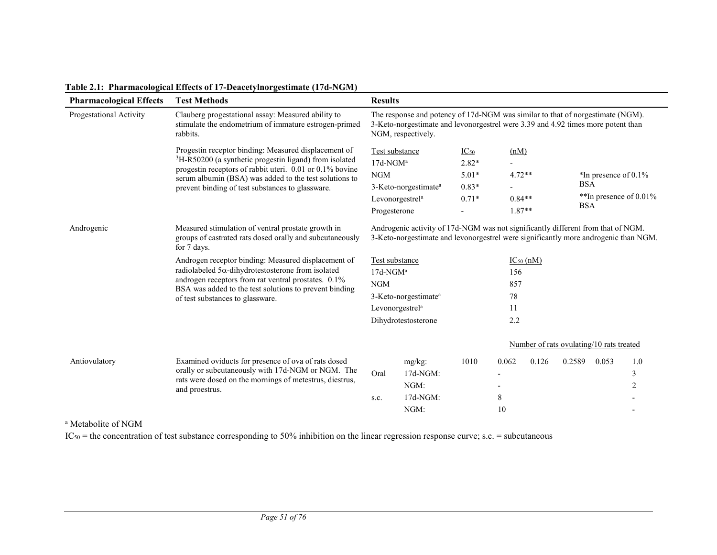| <b>Pharmacological Effects</b> | <b>Test Methods</b>                                                                                                                                                                                                                                                                                      | <b>Results</b>                                                                                                                                                                           |                                                                                                                                                                         |         |                      |                                                                                        |                                          |       |     |
|--------------------------------|----------------------------------------------------------------------------------------------------------------------------------------------------------------------------------------------------------------------------------------------------------------------------------------------------------|------------------------------------------------------------------------------------------------------------------------------------------------------------------------------------------|-------------------------------------------------------------------------------------------------------------------------------------------------------------------------|---------|----------------------|----------------------------------------------------------------------------------------|------------------------------------------|-------|-----|
| Progestational Activity        | Clauberg progestational assay: Measured ability to<br>stimulate the endometrium of immature estrogen-primed<br>rabbits.                                                                                                                                                                                  | The response and potency of 17d-NGM was similar to that of norgestimate (NGM).<br>3-Keto-norgestimate and levonorgestrel were 3.39 and 4.92 times more potent than<br>NGM, respectively. |                                                                                                                                                                         |         |                      |                                                                                        |                                          |       |     |
|                                | Progestin receptor binding: Measured displacement of<br><sup>3</sup> H-R50200 (a synthetic progestin ligand) from isolated<br>progestin receptors of rabbit uteri. 0.01 or 0.1% bovine<br>serum albumin (BSA) was added to the test solutions to<br>prevent binding of test substances to glassware.     | Test substance<br>$IC_{50}$<br>$17d$ -NGM <sup>a</sup><br>$2.82*$<br><b>NGM</b><br>$5.01*$<br>$0.83*$<br>3-Keto-norgestimate <sup>a</sup>                                                |                                                                                                                                                                         |         |                      | (nM)<br>$4.72**$<br>*In presence of $0.1\%$<br><b>BSA</b><br>**In presence of $0.01\%$ |                                          |       |     |
|                                |                                                                                                                                                                                                                                                                                                          | Progesterone                                                                                                                                                                             | Levonorgestrel <sup>a</sup>                                                                                                                                             | $0.71*$ | $0.84**$<br>$1.87**$ |                                                                                        | <b>BSA</b>                               |       |     |
| Androgenic                     | Measured stimulation of ventral prostate growth in<br>groups of castrated rats dosed orally and subcutaneously<br>for 7 days.<br>Androgen receptor binding: Measured displacement of<br>radiolabeled $5\alpha$ -dihydrotestosterone from isolated<br>androgen receptors from rat ventral prostates. 0.1% | Test substance<br>$17d$ -NGM <sup>a</sup><br>NGM                                                                                                                                         | Androgenic activity of 17d-NGM was not significantly different from that of NGM.<br>3-Keto-norgestimate and levonorgestrel were significantly more androgenic than NGM. |         | 156<br>857           | $IC_{50}$ (nM)                                                                         |                                          |       |     |
|                                | BSA was added to the test solutions to prevent binding<br>of test substances to glassware.                                                                                                                                                                                                               | 3-Keto-norgestimate <sup>a</sup>                                                                                                                                                         |                                                                                                                                                                         |         | 78                   |                                                                                        |                                          |       |     |
|                                |                                                                                                                                                                                                                                                                                                          |                                                                                                                                                                                          | Levonorgestrel <sup>a</sup><br>11<br>2.2<br>Dihydrotestosterone                                                                                                         |         |                      |                                                                                        |                                          |       |     |
|                                |                                                                                                                                                                                                                                                                                                          |                                                                                                                                                                                          |                                                                                                                                                                         |         |                      |                                                                                        | Number of rats ovulating/10 rats treated |       |     |
| Antiovulatory                  | Examined oviducts for presence of ova of rats dosed                                                                                                                                                                                                                                                      |                                                                                                                                                                                          | mg/kg:                                                                                                                                                                  | 1010    | 0.062                | 0.126                                                                                  | 0.2589                                   | 0.053 | 1.0 |
|                                | orally or subcutaneously with 17d-NGM or NGM. The<br>rats were dosed on the mornings of metestrus, diestrus,                                                                                                                                                                                             | Oral                                                                                                                                                                                     | $17d-NGM$ :                                                                                                                                                             |         |                      |                                                                                        |                                          |       | 3   |
|                                | and proestrus.                                                                                                                                                                                                                                                                                           |                                                                                                                                                                                          | NGM:                                                                                                                                                                    |         |                      |                                                                                        |                                          |       | 2   |
|                                |                                                                                                                                                                                                                                                                                                          | s.c.                                                                                                                                                                                     | 17d-NGM:                                                                                                                                                                |         | 8                    |                                                                                        |                                          |       |     |
|                                |                                                                                                                                                                                                                                                                                                          |                                                                                                                                                                                          | NGM:                                                                                                                                                                    |         | 10                   |                                                                                        |                                          |       |     |

**Table 2.1: Pharmacological Effects of 17-Deacetylnorgestimate (17d-NGM)**

<sup>a</sup> Metabolite of NGM

 $IC_{50}$  = the concentration of test substance corresponding to 50% inhibition on the linear regression response curve; s.c. = subcutaneous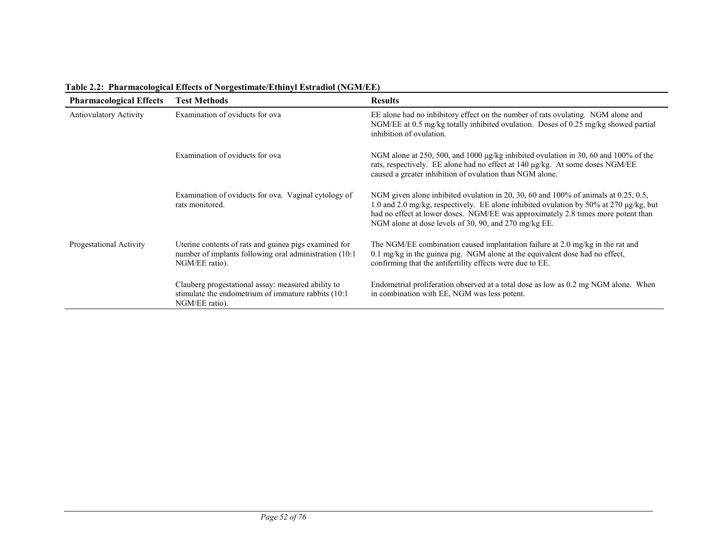| <b>Pharmacological Effects</b> | <b>Test Methods</b>                                                                                                               | <b>Results</b>                                                                                                                                                                                                                                                                                                              |
|--------------------------------|-----------------------------------------------------------------------------------------------------------------------------------|-----------------------------------------------------------------------------------------------------------------------------------------------------------------------------------------------------------------------------------------------------------------------------------------------------------------------------|
| <b>Antiovulatory Activity</b>  | Examination of oviducts for ova                                                                                                   | EE alone had no inhibitory effect on the number of rats ovulating. NGM alone and<br>NGM/EE at 0.5 mg/kg totally inhibited ovulation. Doses of 0.25 mg/kg showed partial<br>inhibition of ovulation.                                                                                                                         |
|                                | Examination of oviducts for ova                                                                                                   | NGM alone at 250, 500, and 1000 µg/kg inhibited ovulation in 30, 60 and 100% of the<br>rats, respectively. EE alone had no effect at $140 \mu g/kg$ . At some doses NGM/EE<br>caused a greater inhibition of ovulation than NGM alone.                                                                                      |
|                                | Examination of oviducts for ova. Vaginal cytology of<br>rats monitored.                                                           | NGM given alone inhibited ovulation in 20, 30, 60 and 100% of animals at 0.25, 0.5,<br>1.0 and 2.0 mg/kg, respectively. EE alone inhibited ovulation by 50% at 270 µg/kg, but<br>had no effect at lower doses. NGM/EE was approximately 2.8 times more potent than<br>NGM alone at dose levels of 30, 90, and 270 mg/kg EE. |
| Progestational Activity        | Uterine contents of rats and guinea pigs examined for<br>number of implants following oral administration (10:1<br>NGM/EE ratio). | The NGM/EE combination caused implantation failure at 2.0 mg/kg in the rat and<br>0.1 mg/kg in the guinea pig. NGM alone at the equivalent dose had no effect,<br>confirming that the antifertility effects were due to EE.                                                                                                 |
|                                | Clauberg progestational assay: measured ability to<br>stimulate the endometrium of immature rabbits (10:1<br>NGM/EE ratio).       | Endometrial proliferation observed at a total dose as low as 0.2 mg NGM alone. When<br>in combination with EE, NGM was less potent.                                                                                                                                                                                         |

### **Table 2.2: Pharmacological Effects of Norgestimate/Ethinyl Estradiol (NGM/EE)**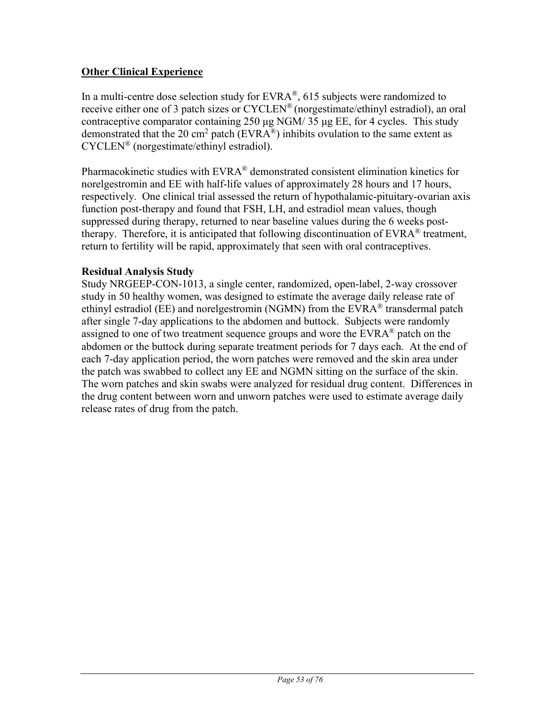# **Other Clinical Experience**

In a multi-centre dose selection study for  $EVARA^{\mathcal{R}}$ , 615 subjects were randomized to receive either one of 3 patch sizes or  $CYCLEN^{\circledast}$  (norgestimate/ethinyl estradiol), an oral contraceptive comparator containing 250 μg NGM/ 35 μg EE, for 4 cycles. This study demonstrated that the 20 cm<sup>2</sup> patch (EVRA<sup>®</sup>) inhibits ovulation to the same extent as CYCLEN® (norgestimate/ethinyl estradiol).

Pharmacokinetic studies with EVRA<sup>®</sup> demonstrated consistent elimination kinetics for norelgestromin and EE with half-life values of approximately 28 hours and 17 hours, respectively. One clinical trial assessed the return of hypothalamic-pituitary-ovarian axis function post-therapy and found that FSH, LH, and estradiol mean values, though suppressed during therapy, returned to near baseline values during the 6 weeks posttherapy. Therefore, it is anticipated that following discontinuation of  $EVRA^{\otimes}$  treatment, return to fertility will be rapid, approximately that seen with oral contraceptives.

## **Residual Analysis Study**

Study NRGEEP-CON-1013, a single center, randomized, open-label, 2-way crossover study in 50 healthy women, was designed to estimate the average daily release rate of ethinyl estradiol (EE) and norelgestromin (NGMN) from the  $EVAR<sup>®</sup>$  transdermal patch after single 7-day applications to the abdomen and buttock. Subjects were randomly assigned to one of two treatment sequence groups and wore the EVRA<sup>®</sup> patch on the abdomen or the buttock during separate treatment periods for 7 days each. At the end of each 7-day application period, the worn patches were removed and the skin area under the patch was swabbed to collect any EE and NGMN sitting on the surface of the skin. The worn patches and skin swabs were analyzed for residual drug content. Differences in the drug content between worn and unworn patches were used to estimate average daily release rates of drug from the patch.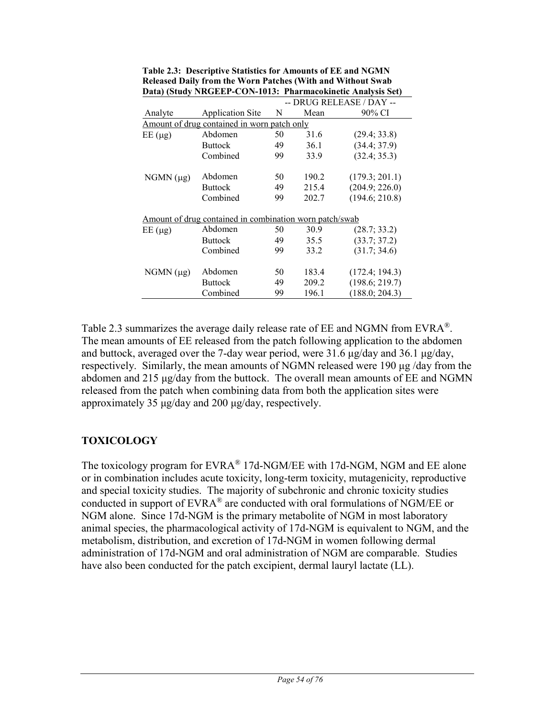|                |                                                         |    |       | -- DRUG RELEASE / DAY -- |
|----------------|---------------------------------------------------------|----|-------|--------------------------|
| Analyte        | <b>Application Site</b>                                 | N  | Mean  | 90% CI                   |
|                | Amount of drug contained in worn patch only             |    |       |                          |
| $EE(\mu g)$    | Abdomen                                                 | 50 | 31.6  | (29.4; 33.8)             |
|                | <b>Buttock</b>                                          | 49 | 36.1  | (34.4; 37.9)             |
|                | Combined                                                | 99 | 33.9  | (32.4; 35.3)             |
| $NGMN (\mu g)$ | Abdomen                                                 | 50 | 190.2 | (179.3; 201.1)           |
|                | <b>Buttock</b>                                          | 49 | 215.4 | (204.9; 226.0)           |
|                | Combined                                                | 99 | 202.7 | (194.6; 210.8)           |
|                | Amount of drug contained in combination worn patch/swab |    |       |                          |
| $EE(\mu g)$    | Abdomen                                                 | 50 | 30.9  | (28.7; 33.2)             |
|                | <b>Buttock</b>                                          | 49 | 35.5  | (33.7; 37.2)             |
|                | Combined                                                | 99 | 33.2  | (31.7; 34.6)             |
| $NGMN (\mu g)$ | Abdomen                                                 | 50 | 183.4 | (172.4; 194.3)           |
|                | <b>Buttock</b>                                          | 49 | 209.2 | (198.6; 219.7)           |
|                | Combined                                                | 99 | 196.1 | (188.0; 204.3)           |

**Table 2.3: Descriptive Statistics for Amounts of EE and NGMN Released Daily from the Worn Patches (With and Without Swab Data) (Study NRGEEP-CON-1013: Pharmacokinetic Analysis Set)** 

Table 2.3 summarizes the average daily release rate of EE and NGMN from EVRA<sup>®</sup>. The mean amounts of EE released from the patch following application to the abdomen and buttock, averaged over the 7-day wear period, were 31.6 μg/day and 36.1 μg/day, respectively. Similarly, the mean amounts of NGMN released were 190 μg /day from the abdomen and 215 μg/day from the buttock. The overall mean amounts of EE and NGMN released from the patch when combining data from both the application sites were approximately 35 μg/day and 200 μg/day, respectively.

# **TOXICOLOGY**

The toxicology program for EVRA<sup>®</sup> 17d-NGM/EE with 17d-NGM, NGM and EE alone or in combination includes acute toxicity, long-term toxicity, mutagenicity, reproductive and special toxicity studies. The majority of subchronic and chronic toxicity studies conducted in support of  $EVARA^{\circledast}$  are conducted with oral formulations of NGM/EE or NGM alone. Since 17d-NGM is the primary metabolite of NGM in most laboratory animal species, the pharmacological activity of 17d-NGM is equivalent to NGM, and the metabolism, distribution, and excretion of 17d-NGM in women following dermal administration of 17d-NGM and oral administration of NGM are comparable. Studies have also been conducted for the patch excipient, dermal lauryl lactate (LL).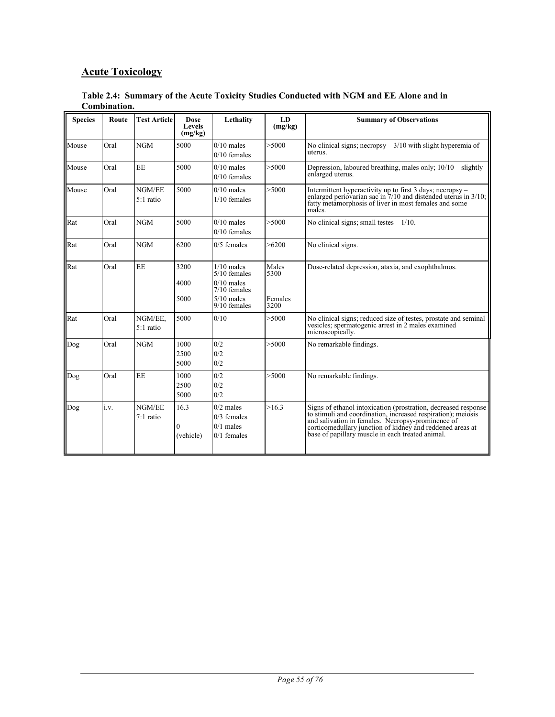# **Acute Toxicology**

**Table 2.4: Summary of the Acute Toxicity Studies Conducted with NGM and EE Alone and in Combination.**

| <b>Species</b> | Route | <b>Test Article</b>    | <b>Dose</b><br>Levels<br>(mg/kg) | Lethality                                                                                          | LD<br>(mg/kg)                    | <b>Summary of Observations</b>                                                                                                                                                                                                                                                                       |
|----------------|-------|------------------------|----------------------------------|----------------------------------------------------------------------------------------------------|----------------------------------|------------------------------------------------------------------------------------------------------------------------------------------------------------------------------------------------------------------------------------------------------------------------------------------------------|
| Mouse          | Oral  | <b>NGM</b>             | 5000                             | $0/10$ males<br>$0/10$ females                                                                     | >5000                            | No clinical signs; necropsy $-3/10$ with slight hyperemia of<br>uterus.                                                                                                                                                                                                                              |
| Mouse          | Oral  | <b>EE</b>              | 5000                             | $0/10$ males<br>$0/10$ females                                                                     | > 5000                           | Depression, laboured breathing, males only; $10/10 -$ slightly<br>enlarged uterus.                                                                                                                                                                                                                   |
| Mouse          | Oral  | NGM/EE<br>5:1 ratio    | 5000                             | $0/10$ males<br>$1/10$ females                                                                     | > 5000                           | Intermittent hyperactivity up to first 3 days; necropsy -<br>enlarged periovarian sac in $7/10$ and distended uterus in $3/10$ ;<br>fatty metamorphosis of liver in most females and some<br>males.                                                                                                  |
| Rat            | Oral  | <b>NGM</b>             | 5000                             | $0/10$ males<br>$0/10$ females                                                                     | > 5000                           | No clinical signs; small testes $-1/10$ .                                                                                                                                                                                                                                                            |
| Rat            | Oral  | NGM                    | 6200                             | $0/5$ females                                                                                      | >6200                            | No clinical signs.                                                                                                                                                                                                                                                                                   |
| Rat            | Oral  | <b>EE</b>              | 3200<br>4000<br>5000             | $1/10$ males<br>$5/10$ females<br>$0/10$ males<br>$7/10$ females<br>$5/10$ males<br>$9/10$ females | Males<br>5300<br>Females<br>3200 | Dose-related depression, ataxia, and exophthalmos.                                                                                                                                                                                                                                                   |
| Rat            | Oral  | NGM/EE,<br>$5:1$ ratio | 5000                             | 0/10                                                                                               | > 5000                           | No clinical signs; reduced size of testes, prostate and seminal<br>vesicles; spermatogenic arrest in 2 males examined<br>microscopically.                                                                                                                                                            |
| Dog            | Oral  | <b>NGM</b>             | 1000<br>2500<br>5000             | 0/2<br>0/2<br>0/2                                                                                  | > 5000                           | No remarkable findings.                                                                                                                                                                                                                                                                              |
| Dog            | Oral  | <b>EE</b>              | 1000<br>2500<br>5000             | 0/2<br>0/2<br>0/2                                                                                  | > 5000                           | No remarkable findings.                                                                                                                                                                                                                                                                              |
| Dog            | i.v.  | NGM/EE<br>7:1 ratio    | 16.3<br>0<br>(vehicle)           | $0/2$ males<br>$0/3$ females<br>$0/1$ males<br>$0/1$ females                                       | >16.3                            | Signs of ethanol intoxication (prostration, decreased response<br>to stimuli and coordination, increased respiration); meiosis<br>and salivation in females. Necropsy-prominence of<br>corticomedullary junction of kidney and reddened areas at<br>base of papillary muscle in each treated animal. |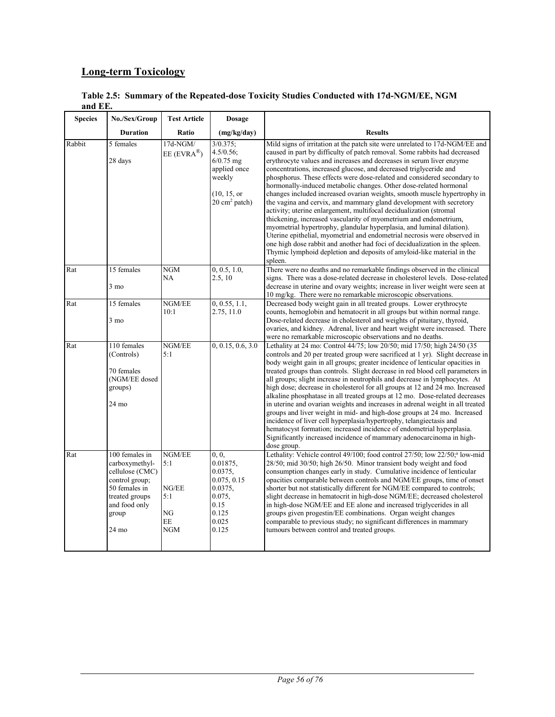# **Long-term Toxicology**

|         | Table 2.5: Summary of the Repeated-dose Toxicity Studies Conducted with 17d-NGM/EE, NGM |  |  |
|---------|-----------------------------------------------------------------------------------------|--|--|
| and EE. |                                                                                         |  |  |

| <b>Species</b> | No./Sex/Group                                                                                                                                         | <b>Test Article</b>                                     | <b>Dosage</b>                                                                                                 |                                                                                                                                                                                                                                                                                                                                                                                                                                                                                                                                                                                                                                                                                                                                                                                                                                                                                                                                                                                                                                                                             |
|----------------|-------------------------------------------------------------------------------------------------------------------------------------------------------|---------------------------------------------------------|---------------------------------------------------------------------------------------------------------------|-----------------------------------------------------------------------------------------------------------------------------------------------------------------------------------------------------------------------------------------------------------------------------------------------------------------------------------------------------------------------------------------------------------------------------------------------------------------------------------------------------------------------------------------------------------------------------------------------------------------------------------------------------------------------------------------------------------------------------------------------------------------------------------------------------------------------------------------------------------------------------------------------------------------------------------------------------------------------------------------------------------------------------------------------------------------------------|
|                | <b>Duration</b>                                                                                                                                       | Ratio                                                   | (mg/kg/day)                                                                                                   | <b>Results</b>                                                                                                                                                                                                                                                                                                                                                                                                                                                                                                                                                                                                                                                                                                                                                                                                                                                                                                                                                                                                                                                              |
| Rabbit         | 5 females<br>28 days                                                                                                                                  | 17d-NGM/<br>$EE$ (EVRA <sup>®</sup> )                   | $3/0.375$ ;<br>4.5/0.56;<br>$6/0.75$ mg<br>applied once<br>weekly<br>(10, 15, or<br>20 cm <sup>2</sup> patch) | Mild signs of irritation at the patch site were unrelated to 17d-NGM/EE and<br>caused in part by difficulty of patch removal. Some rabbits had decreased<br>erythrocyte values and increases and decreases in serum liver enzyme<br>concentrations, increased glucose, and decreased triglyceride and<br>phosphorus. These effects were dose-related and considered secondary to<br>hormonally-induced metabolic changes. Other dose-related hormonal<br>changes included increased ovarian weights, smooth muscle hypertrophy in<br>the vagina and cervix, and mammary gland development with secretory<br>activity; uterine enlargement, multifocal decidualization (stromal<br>thickening, increased vascularity of myometrium and endometrium,<br>myometrial hypertrophy, glandular hyperplasia, and luminal dilation).<br>Uterine epithelial, myometrial and endometrial necrosis were observed in<br>one high dose rabbit and another had foci of decidualization in the spleen.<br>Thymic lymphoid depletion and deposits of amyloid-like material in the<br>spleen. |
| Rat            | 15 females<br>$3 \text{ mo}$                                                                                                                          | <b>NGM</b><br>NA                                        | 0, 0.5, 1.0,<br>2.5, 10                                                                                       | There were no deaths and no remarkable findings observed in the clinical<br>signs. There was a dose-related decrease in cholesterol levels. Dose-related<br>decrease in uterine and ovary weights; increase in liver weight were seen at<br>10 mg/kg. There were no remarkable microscopic observations.                                                                                                                                                                                                                                                                                                                                                                                                                                                                                                                                                                                                                                                                                                                                                                    |
| Rat            | 15 females<br>$3 \text{ mo}$                                                                                                                          | NGM/EE<br>10:1                                          | 0, 0.55, 1.1,<br>2.75, 11.0                                                                                   | Decreased body weight gain in all treated groups. Lower erythrocyte<br>counts, hemoglobin and hematocrit in all groups but within normal range.<br>Dose-related decrease in cholesterol and weights of pituitary, thyroid,<br>ovaries, and kidney. Adrenal, liver and heart weight were increased. There<br>were no remarkable microscopic observations and no deaths.                                                                                                                                                                                                                                                                                                                                                                                                                                                                                                                                                                                                                                                                                                      |
| Rat            | 110 females<br>(Controls)<br>70 females<br>(NGM/EE dosed<br>groups)<br>24 mo                                                                          | NGM/EE<br>5:1                                           | 0, 0.15, 0.6, 3.0                                                                                             | Lethality at 24 mo: Control 44/75; low 20/50; mid 17/50; high 24/50 (35<br>controls and 20 per treated group were sacrificed at 1 yr). Slight decrease in<br>body weight gain in all groups; greater incidence of lenticular opacities in<br>treated groups than controls. Slight decrease in red blood cell parameters in<br>all groups; slight increase in neutrophils and decrease in lymphocytes. At<br>high dose; decrease in cholesterol for all groups at 12 and 24 mo. Increased<br>alkaline phosphatase in all treated groups at 12 mo. Dose-related decreases<br>in uterine and ovarian weights and increases in adrenal weight in all treated<br>groups and liver weight in mid- and high-dose groups at 24 mo. Increased<br>incidence of liver cell hyperplasia/hypertrophy, telangiectasis and<br>hematocyst formation; increased incidence of endometrial hyperplasia.<br>Significantly increased incidence of mammary adenocarcinoma in high-<br>dose group.                                                                                                 |
| Rat            | 100 females in<br>carboxymethyl-<br>cellulose (CMC)<br>control group;<br>50 females in<br>treated groups<br>and food only<br>group<br>$24 \text{ mo}$ | NGM/EE<br>5:1<br>NG/EE<br>5:1<br>NG<br>EE<br><b>NGM</b> | 0, 0,<br>0.01875,<br>0.0375,<br>0.075, 0.15<br>0.0375,<br>0.075,<br>0.15<br>0.125<br>0.025<br>0.125           | Lethality: Vehicle control 49/100; food control 27/50; low 22/50; <sup>a</sup> low-mid<br>28/50; mid 30/50; high 26/50. Minor transient body weight and food<br>consumption changes early in study. Cumulative incidence of lenticular<br>opacities comparable between controls and NGM/EE groups, time of onset<br>shorter but not statistically different for NGM/EE compared to controls;<br>slight decrease in hematocrit in high-dose NGM/EE; decreased cholesterol<br>in high-dose NGM/EE and EE alone and increased triglycerides in all<br>groups given progestin/EE combinations. Organ weight changes<br>comparable to previous study; no significant differences in mammary<br>tumours between control and treated groups.                                                                                                                                                                                                                                                                                                                                       |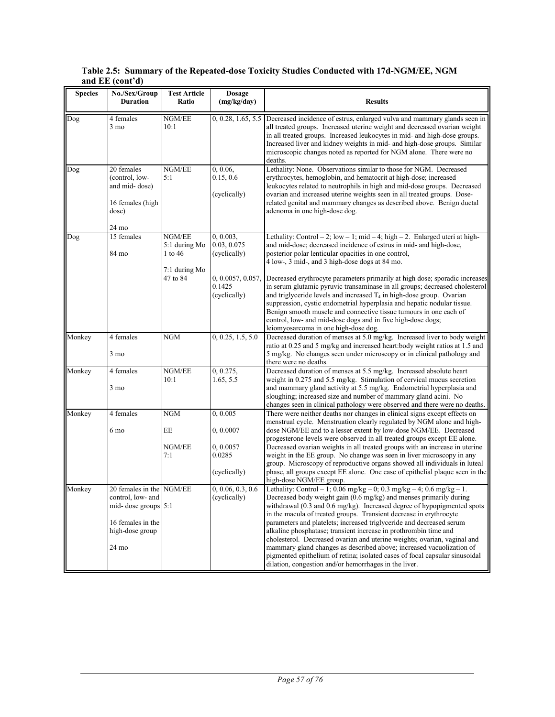### **Table 2.5: Summary of the Repeated-dose Toxicity Studies Conducted with 17d-NGM/EE, NGM and EE (cont'd)**

| <b>Species</b> | No./Sex/Group<br><b>Duration</b>                                                                                      | <b>Test Article</b><br>Ratio                                    | <b>Dosage</b><br>(mg/kg/day)                                                            | <b>Results</b>                                                                                                                                                                                                                                                                                                                                                                                                                                                                                                                                                                                                                                                                                                                                              |
|----------------|-----------------------------------------------------------------------------------------------------------------------|-----------------------------------------------------------------|-----------------------------------------------------------------------------------------|-------------------------------------------------------------------------------------------------------------------------------------------------------------------------------------------------------------------------------------------------------------------------------------------------------------------------------------------------------------------------------------------------------------------------------------------------------------------------------------------------------------------------------------------------------------------------------------------------------------------------------------------------------------------------------------------------------------------------------------------------------------|
| Dog            | 4 females<br>$3 \text{ mo}$                                                                                           | NGM/EE<br>10:1                                                  | 0, 0.28, 1.65, 5.5                                                                      | Decreased incidence of estrus, enlarged vulva and mammary glands seen in<br>all treated groups. Increased uterine weight and decreased ovarian weight<br>in all treated groups. Increased leukocytes in mid- and high-dose groups.<br>Increased liver and kidney weights in mid- and high-dose groups. Similar<br>microscopic changes noted as reported for NGM alone. There were no<br>deaths.                                                                                                                                                                                                                                                                                                                                                             |
| Dog            | 20 females<br>(control, low-<br>and mid-dose)<br>16 females (high<br>dose)<br>24 mo                                   | NGM/EE<br>5:1                                                   | 0, 0.06,<br>0.15, 0.6<br>(cyclically)                                                   | Lethality: None. Observations similar to those for NGM. Decreased<br>erythrocytes, hemoglobin, and hematocrit at high-dose; increased<br>leukocytes related to neutrophils in high and mid-dose groups. Decreased<br>ovarian and increased uterine weights seen in all treated groups. Dose-<br>related genital and mammary changes as described above. Benign ductal<br>adenoma in one high-dose dog.                                                                                                                                                                                                                                                                                                                                                      |
| Dog            | 15 females<br>84 mo                                                                                                   | NGM/EE<br>5:1 during Mo<br>1 to 46<br>7:1 during Mo<br>47 to 84 | 0, 0.003,<br>0.03, 0.075<br>(cyclically)<br>0, 0.0057, 0.057,<br>0.1425<br>(cyclically) | Lethality: Control - 2; low - 1; mid - 4; high - 2. Enlarged uteri at high-<br>and mid-dose; decreased incidence of estrus in mid- and high-dose,<br>posterior polar lenticular opacities in one control,<br>4 low-, 3 mid-, and 3 high-dose dogs at 84 mo.<br>Decreased erythrocyte parameters primarily at high dose; sporadic increases<br>in serum glutamic pyruvic transaminase in all groups; decreased cholesterol<br>and triglyceride levels and increased $T_4$ in high-dose group. Ovarian<br>suppression, cystic endometrial hyperplasia and hepatic nodular tissue.<br>Benign smooth muscle and connective tissue tumours in one each of<br>control, low- and mid-dose dogs and in five high-dose dogs;<br>leiomyosarcoma in one high-dose dog. |
| Monkey         | 4 females<br>3 mo                                                                                                     | <b>NGM</b>                                                      | 0, 0.25, 1.5, 5.0                                                                       | Decreased duration of menses at 5.0 mg/kg. Increased liver to body weight<br>ratio at 0.25 and 5 mg/kg and increased heart:body weight ratios at 1.5 and<br>5 mg/kg. No changes seen under microscopy or in clinical pathology and<br>there were no deaths.                                                                                                                                                                                                                                                                                                                                                                                                                                                                                                 |
| Monkey         | 4 females<br>3 mo                                                                                                     | NGM/EE<br>10:1                                                  | 0, 0.275,<br>1.65, 5.5                                                                  | Decreased duration of menses at 5.5 mg/kg. Increased absolute heart<br>weight in 0.275 and 5.5 mg/kg. Stimulation of cervical mucus secretion<br>and mammary gland activity at 5.5 mg/kg. Endometrial hyperplasia and<br>sloughing; increased size and number of mammary gland acini. No<br>changes seen in clinical pathology were observed and there were no deaths.                                                                                                                                                                                                                                                                                                                                                                                      |
| Monkey         | 4 females<br>6 mo                                                                                                     | <b>NGM</b><br>EE<br>NGM/EE<br>7:1                               | 0, 0.005<br>0, 0.0007<br>0,0.0057<br>0.0285<br>(cyclically)                             | There were neither deaths nor changes in clinical signs except effects on<br>menstrual cycle. Menstruation clearly regulated by NGM alone and high-<br>dose NGM/EE and to a lesser extent by low-dose NGM/EE. Decreased<br>progesterone levels were observed in all treated groups except EE alone.<br>Decreased ovarian weights in all treated groups with an increase in uterine<br>weight in the EE group. No change was seen in liver microscopy in any<br>group. Microscopy of reproductive organs showed all individuals in luteal<br>phase, all groups except EE alone. One case of epithelial plaque seen in the<br>high-dose NGM/EE group.                                                                                                         |
| Monkey         | 20 females in the NGM/EE<br>control, low- and<br>mid-dose groups 5:1<br>16 females in the<br>high-dose group<br>24 mo |                                                                 | 0, 0.06, 0.3, 0.6<br>(cyclically)                                                       | Lethality: Control - 1; 0.06 mg/kg - 0; 0.3 mg/kg - 4; 0.6 mg/kg - 1.<br>Decreased body weight gain (0.6 mg/kg) and menses primarily during<br>withdrawal (0.3 and 0.6 mg/kg). Increased degree of hypopigmented spots<br>in the macula of treated groups. Transient decrease in erythrocyte<br>parameters and platelets; increased triglyceride and decreased serum<br>alkaline phosphatase; transient increase in prothrombin time and<br>cholesterol. Decreased ovarian and uterine weights; ovarian, vaginal and<br>mammary gland changes as described above; increased vacuolization of<br>pigmented epithelium of retina; isolated cases of focal capsular sinusoidal<br>dilation, congestion and/or hemorrhages in the liver.                        |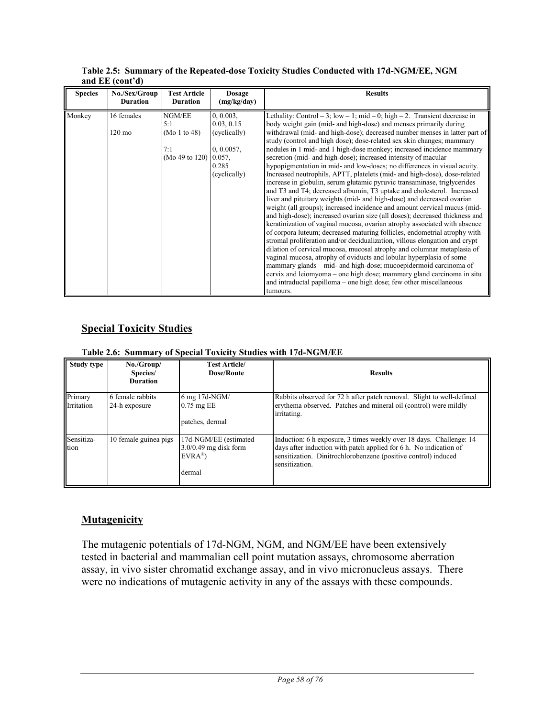| <b>Species</b> | No./Sex/Group<br><b>Duration</b> | <b>Test Article</b><br><b>Duration</b>                 | <b>Dosage</b><br>(mg/kg/day)                                                           | <b>Results</b>                                                                                                                                                                                                                                                                                                                                                                                                                                                                                                                                                                                                                                                                                                                                                                                                                                                                                                                                                                                                                                                                                                                                                                                                                                                                                                                                                                                                                                                                                                                                                                                                    |
|----------------|----------------------------------|--------------------------------------------------------|----------------------------------------------------------------------------------------|-------------------------------------------------------------------------------------------------------------------------------------------------------------------------------------------------------------------------------------------------------------------------------------------------------------------------------------------------------------------------------------------------------------------------------------------------------------------------------------------------------------------------------------------------------------------------------------------------------------------------------------------------------------------------------------------------------------------------------------------------------------------------------------------------------------------------------------------------------------------------------------------------------------------------------------------------------------------------------------------------------------------------------------------------------------------------------------------------------------------------------------------------------------------------------------------------------------------------------------------------------------------------------------------------------------------------------------------------------------------------------------------------------------------------------------------------------------------------------------------------------------------------------------------------------------------------------------------------------------------|
| Monkey         | 16 females<br>$120 \text{ mo}$   | NGM/EE<br>5:1<br>(Mo 1 to 48)<br>7:1<br>(Mo 49 to 120) | 0.0003.<br>0.03, 0.15<br>(cyclically)<br>0, 0.0057,<br>0.057,<br>0.285<br>(cyclically) | Lethality: Control - 3; low - 1; mid - 0; high - 2. Transient decrease in<br>body weight gain (mid- and high-dose) and menses primarily during<br>withdrawal (mid- and high-dose); decreased number menses in latter part of<br>study (control and high dose); dose-related sex skin changes; mammary<br>nodules in 1 mid- and 1 high-dose monkey; increased incidence mammary<br>secretion (mid- and high-dose); increased intensity of macular<br>hypopigmentation in mid- and low-doses; no differences in visual acuity.<br>Increased neutrophils, APTT, platelets (mid- and high-dose), dose-related<br>increase in globulin, serum glutamic pyruvic transaminase, triglycerides<br>and T3 and T4; decreased albumin, T3 uptake and cholesterol. Increased<br>liver and pituitary weights (mid- and high-dose) and decreased ovarian<br>weight (all groups); increased incidence and amount cervical mucus (mid-<br>and high-dose); increased ovarian size (all doses); decreased thickness and<br>keratinization of vaginal mucosa, ovarian atrophy associated with absence<br>of corpora luteum; decreased maturing follicles, endometrial atrophy with<br>stromal proliferation and/or decidualization, villous elongation and crypt<br>dilation of cervical mucosa, mucosal atrophy and columnar metaplasia of<br>vaginal mucosa, atrophy of oviducts and lobular hyperplasia of some<br>mammary glands – mid- and high-dose; mucoepidermoid carcinoma of<br>cervix and leiomyoma – one high dose; mammary gland carcinoma in situ<br>and intraductal papilloma – one high dose; few other miscellaneous |
|                |                                  |                                                        |                                                                                        | tumours.                                                                                                                                                                                                                                                                                                                                                                                                                                                                                                                                                                                                                                                                                                                                                                                                                                                                                                                                                                                                                                                                                                                                                                                                                                                                                                                                                                                                                                                                                                                                                                                                          |

**Table 2.5: Summary of the Repeated-dose Toxicity Studies Conducted with 17d-NGM/EE, NGM and EE (cont'd)**

# **Special Toxicity Studies**

### **Table 2.6: Summary of Special Toxicity Studies with 17d-NGM/EE**

| Study type            | No./Group/<br>Species/<br><b>Duration</b> | <b>Test Article/</b><br><b>Dose/Route</b>                                        | <b>Results</b>                                                                                                                                                                                                               |
|-----------------------|-------------------------------------------|----------------------------------------------------------------------------------|------------------------------------------------------------------------------------------------------------------------------------------------------------------------------------------------------------------------------|
| Primary<br>Irritation | 6 female rabbits<br>24-h exposure         | 6 mg 17d-NGM/<br>$0.75$ mg EE<br>patches, dermal                                 | Rabbits observed for 72 h after patch removal. Slight to well-defined<br>erythema observed. Patches and mineral oil (control) were mildly<br>irritating.                                                                     |
| Sensitiza-<br>tion    | 10 female guinea pigs                     | 17d-NGM/EE (estimated<br>$3.0/0.49$ mg disk form<br>$EVRA^{\circledR}$<br>dermal | Induction: 6 h exposure, 3 times weekly over 18 days. Challenge: 14<br>days after induction with patch applied for 6 h. No indication of<br>sensitization. Dinitrochlorobenzene (positive control) induced<br>sensitization. |

# **Mutagenicity**

The mutagenic potentials of 17d-NGM, NGM, and NGM/EE have been extensively tested in bacterial and mammalian cell point mutation assays, chromosome aberration assay, in vivo sister chromatid exchange assay, and in vivo micronucleus assays. There were no indications of mutagenic activity in any of the assays with these compounds.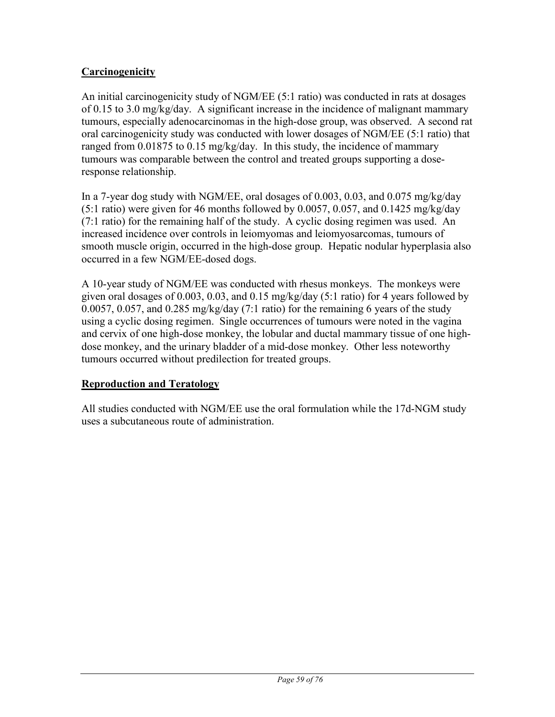# **Carcinogenicity**

An initial carcinogenicity study of NGM/EE (5:1 ratio) was conducted in rats at dosages of 0.15 to 3.0 mg/kg/day. A significant increase in the incidence of malignant mammary tumours, especially adenocarcinomas in the high-dose group, was observed. A second rat oral carcinogenicity study was conducted with lower dosages of NGM/EE (5:1 ratio) that ranged from  $0.01875$  to  $0.15$  mg/kg/day. In this study, the incidence of mammary tumours was comparable between the control and treated groups supporting a doseresponse relationship.

In a 7-year dog study with NGM/EE, oral dosages of 0.003, 0.03, and 0.075 mg/kg/day (5:1 ratio) were given for 46 months followed by 0.0057, 0.057, and 0.1425 mg/kg/day (7:1 ratio) for the remaining half of the study. A cyclic dosing regimen was used. An increased incidence over controls in leiomyomas and leiomyosarcomas, tumours of smooth muscle origin, occurred in the high-dose group. Hepatic nodular hyperplasia also occurred in a few NGM/EE-dosed dogs.

A 10-year study of NGM/EE was conducted with rhesus monkeys. The monkeys were given oral dosages of 0.003, 0.03, and 0.15 mg/kg/day (5:1 ratio) for 4 years followed by 0.0057, 0.057, and 0.285 mg/kg/day (7:1 ratio) for the remaining 6 years of the study using a cyclic dosing regimen. Single occurrences of tumours were noted in the vagina and cervix of one high-dose monkey, the lobular and ductal mammary tissue of one highdose monkey, and the urinary bladder of a mid-dose monkey. Other less noteworthy tumours occurred without predilection for treated groups.

# **Reproduction and Teratology**

All studies conducted with NGM/EE use the oral formulation while the 17d-NGM study uses a subcutaneous route of administration.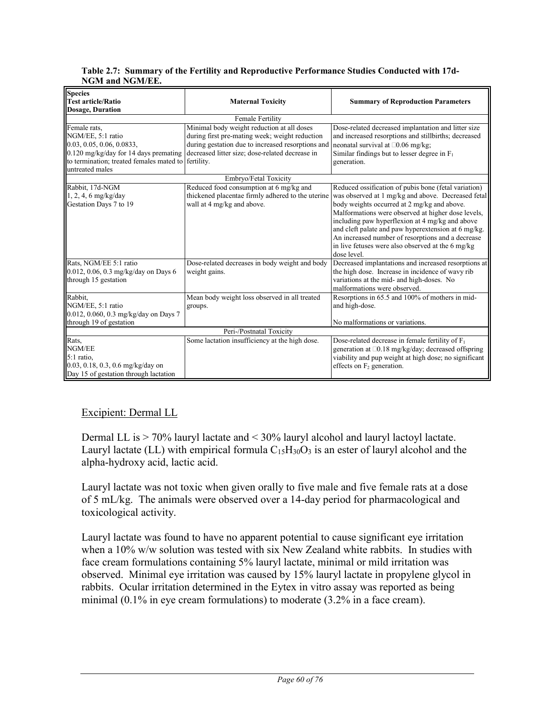### **Table 2.7: Summary of the Fertility and Reproductive Performance Studies Conducted with 17d-NGM and NGM/EE.**

| Species                                                                                                                                                                             |                                                                                                                                                                                                      |                                                                                                                                                                                                                                                                                                                                                                                                                                                    |  |  |  |  |
|-------------------------------------------------------------------------------------------------------------------------------------------------------------------------------------|------------------------------------------------------------------------------------------------------------------------------------------------------------------------------------------------------|----------------------------------------------------------------------------------------------------------------------------------------------------------------------------------------------------------------------------------------------------------------------------------------------------------------------------------------------------------------------------------------------------------------------------------------------------|--|--|--|--|
| <b>Test article/Ratio</b>                                                                                                                                                           | <b>Maternal Toxicity</b>                                                                                                                                                                             | <b>Summary of Reproduction Parameters</b>                                                                                                                                                                                                                                                                                                                                                                                                          |  |  |  |  |
| <b>Dosage, Duration</b>                                                                                                                                                             |                                                                                                                                                                                                      |                                                                                                                                                                                                                                                                                                                                                                                                                                                    |  |  |  |  |
| <b>Female Fertility</b>                                                                                                                                                             |                                                                                                                                                                                                      |                                                                                                                                                                                                                                                                                                                                                                                                                                                    |  |  |  |  |
| Female rats,<br>NGM/EE, 5:1 ratio<br>0.03, 0.05, 0.06, 0.0833,<br>$0.120$ mg/kg/day for 14 days premating<br>to termination; treated females mated to fertility.<br>untreated males | Minimal body weight reduction at all doses<br>during first pre-mating week; weight reduction<br>during gestation due to increased resorptions and<br>decreased litter size; dose-related decrease in | Dose-related decreased implantation and litter size<br>and increased resorptions and stillbirths; decreased<br>neonatal survival at $\square 0.06$ mg/kg;<br>Similar findings but to lesser degree in $F_1$<br>generation.                                                                                                                                                                                                                         |  |  |  |  |
|                                                                                                                                                                                     | Embryo/Fetal Toxicity                                                                                                                                                                                |                                                                                                                                                                                                                                                                                                                                                                                                                                                    |  |  |  |  |
| Rabbit, 17d-NGM<br>$1, 2, 4, 6$ mg/kg/day<br>Gestation Days 7 to 19                                                                                                                 | Reduced food consumption at 6 mg/kg and<br>thickened placentae firmly adhered to the uterine<br>wall at 4 mg/kg and above.                                                                           | Reduced ossification of pubis bone (fetal variation)<br>was observed at 1 mg/kg and above. Decreased fetal<br>body weights occurred at 2 mg/kg and above.<br>Malformations were observed at higher dose levels,<br>including paw hyperflexion at 4 mg/kg and above<br>and cleft palate and paw hyperextension at 6 mg/kg.<br>An increased number of resorptions and a decrease<br>in live fetuses were also observed at the 6 mg/kg<br>dose level. |  |  |  |  |
| Rats, NGM/EE 5:1 ratio<br>0.012, 0.06, 0.3 mg/kg/day on Days 6<br>through 15 gestation                                                                                              | Dose-related decreases in body weight and body<br>weight gains.                                                                                                                                      | Decreased implantations and increased resorptions at<br>the high dose. Increase in incidence of wavy rib<br>variations at the mid- and high-doses. No<br>malformations were observed.                                                                                                                                                                                                                                                              |  |  |  |  |
| Rabbit,<br>NGM/EE, 5:1 ratio<br>0.012, 0.060, 0.3 mg/kg/day on Days 7<br>through 19 of gestation                                                                                    | Mean body weight loss observed in all treated<br>groups.                                                                                                                                             | Resorptions in 65.5 and 100% of mothers in mid-<br>and high-dose.<br>No malformations or variations.                                                                                                                                                                                                                                                                                                                                               |  |  |  |  |
|                                                                                                                                                                                     | Peri-/Postnatal Toxicity                                                                                                                                                                             |                                                                                                                                                                                                                                                                                                                                                                                                                                                    |  |  |  |  |
| Rats,<br>NGM/EE<br>5:1 ratio,<br>$0.03, 0.18, 0.3, 0.6$ mg/kg/day on<br>Day 15 of gestation through lactation                                                                       | Some lactation insufficiency at the high dose.                                                                                                                                                       | Dose-related decrease in female fertility of $F_1$<br>generation at □0.18 mg/kg/day; decreased offspring<br>viability and pup weight at high dose; no significant<br>effects on $F_2$ generation.                                                                                                                                                                                                                                                  |  |  |  |  |

# Excipient: Dermal LL

Dermal LL is > 70% lauryl lactate and < 30% lauryl alcohol and lauryl lactoyl lactate. Lauryl lactate (LL) with empirical formula  $C_{15}H_{30}O_3$  is an ester of lauryl alcohol and the alpha-hydroxy acid, lactic acid.

Lauryl lactate was not toxic when given orally to five male and five female rats at a dose of 5 mL/kg. The animals were observed over a 14-day period for pharmacological and toxicological activity.

Lauryl lactate was found to have no apparent potential to cause significant eye irritation when a 10% w/w solution was tested with six New Zealand white rabbits. In studies with face cream formulations containing 5% lauryl lactate, minimal or mild irritation was observed. Minimal eye irritation was caused by 15% lauryl lactate in propylene glycol in rabbits. Ocular irritation determined in the Eytex in vitro assay was reported as being minimal (0.1% in eye cream formulations) to moderate (3.2% in a face cream).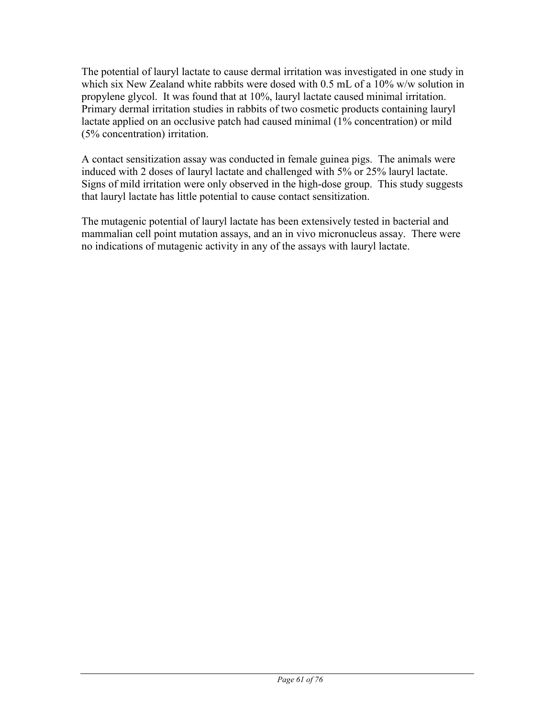The potential of lauryl lactate to cause dermal irritation was investigated in one study in which six New Zealand white rabbits were dosed with 0.5 mL of a 10% w/w solution in propylene glycol. It was found that at 10%, lauryl lactate caused minimal irritation. Primary dermal irritation studies in rabbits of two cosmetic products containing lauryl lactate applied on an occlusive patch had caused minimal (1% concentration) or mild (5% concentration) irritation.

A contact sensitization assay was conducted in female guinea pigs. The animals were induced with 2 doses of lauryl lactate and challenged with 5% or 25% lauryl lactate. Signs of mild irritation were only observed in the high-dose group. This study suggests that lauryl lactate has little potential to cause contact sensitization.

The mutagenic potential of lauryl lactate has been extensively tested in bacterial and mammalian cell point mutation assays, and an in vivo micronucleus assay. There were no indications of mutagenic activity in any of the assays with lauryl lactate.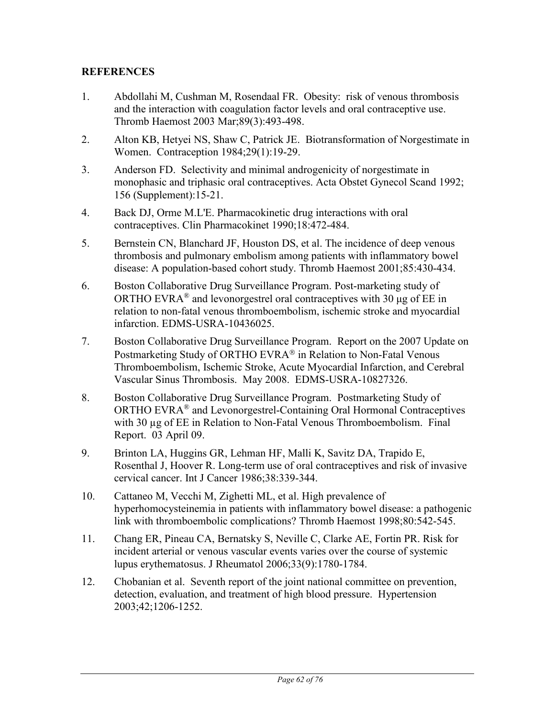## **REFERENCES**

- 1. Abdollahi M, Cushman M, Rosendaal FR. Obesity: risk of venous thrombosis and the interaction with coagulation factor levels and oral contraceptive use. Thromb Haemost 2003 Mar;89(3):493-498.
- 2. Alton KB, Hetyei NS, Shaw C, Patrick JE. Biotransformation of Norgestimate in Women. Contraception 1984;29(1):19-29.
- 3. Anderson FD. Selectivity and minimal androgenicity of norgestimate in monophasic and triphasic oral contraceptives. Acta Obstet Gynecol Scand 1992; 156 (Supplement):15-21.
- 4. Back DJ, Orme M.L'E. Pharmacokinetic drug interactions with oral contraceptives. Clin Pharmacokinet 1990;18:472-484.
- 5. Bernstein CN, Blanchard JF, Houston DS, et al. The incidence of deep venous thrombosis and pulmonary embolism among patients with inflammatory bowel disease: A population-based cohort study. Thromb Haemost 2001;85:430-434.
- 6. Boston Collaborative Drug Surveillance Program. Post-marketing study of ORTHO EVRA<sup>®</sup> and levonorgestrel oral contraceptives with 30  $\mu$ g of EE in relation to non-fatal venous thromboembolism, ischemic stroke and myocardial infarction. EDMS-USRA-10436025.
- 7. Boston Collaborative Drug Surveillance Program. Report on the 2007 Update on Postmarketing Study of ORTHO EVRA<sup>®</sup> in Relation to Non-Fatal Venous Thromboembolism, Ischemic Stroke, Acute Myocardial Infarction, and Cerebral Vascular Sinus Thrombosis. May 2008. EDMS-USRA-10827326.
- 8. Boston Collaborative Drug Surveillance Program. Postmarketing Study of ORTHO EVRA® and Levonorgestrel-Containing Oral Hormonal Contraceptives with 30 µg of EE in Relation to Non-Fatal Venous Thromboembolism. Final Report. 03 April 09.
- 9. Brinton LA, Huggins GR, Lehman HF, Malli K, Savitz DA, Trapido E, Rosenthal J, Hoover R. Long-term use of oral contraceptives and risk of invasive cervical cancer. Int J Cancer 1986;38:339-344.
- 10. Cattaneo M, Vecchi M, Zighetti ML, et al. High prevalence of hyperhomocysteinemia in patients with inflammatory bowel disease: a pathogenic link with thromboembolic complications? Thromb Haemost 1998;80:542-545.
- 11. Chang ER, Pineau CA, Bernatsky S, Neville C, Clarke AE, Fortin PR. Risk for incident arterial or venous vascular events varies over the course of systemic lupus erythematosus. J Rheumatol 2006;33(9):1780-1784.
- 12. Chobanian et al. Seventh report of the joint national committee on prevention, detection, evaluation, and treatment of high blood pressure. Hypertension 2003;42;1206-1252.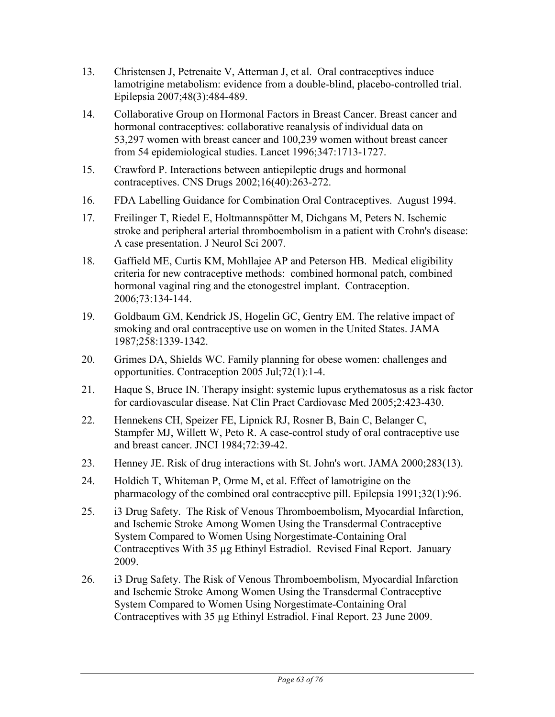- 13. Christensen J, Petrenaite V, Atterman J, et al. Oral contraceptives induce lamotrigine metabolism: evidence from a double-blind, placebo-controlled trial. Epilepsia 2007;48(3):484-489.
- 14. Collaborative Group on Hormonal Factors in Breast Cancer. Breast cancer and hormonal contraceptives: collaborative reanalysis of individual data on 53,297 women with breast cancer and 100,239 women without breast cancer from 54 epidemiological studies. Lancet 1996;347:1713-1727.
- 15. Crawford P. Interactions between antiepileptic drugs and hormonal contraceptives. CNS Drugs 2002;16(40):263-272.
- 16. FDA Labelling Guidance for Combination Oral Contraceptives. August 1994.
- 17. Freilinger T, Riedel E, Holtmannspötter M, Dichgans M, Peters N. Ischemic stroke and peripheral arterial thromboembolism in a patient with Crohn's disease: A case presentation. J Neurol Sci 2007.
- 18. Gaffield ME, Curtis KM, Mohllajee AP and Peterson HB. Medical eligibility criteria for new contraceptive methods: combined hormonal patch, combined hormonal vaginal ring and the etonogestrel implant. Contraception. 2006;73:134-144.
- 19. Goldbaum GM, Kendrick JS, Hogelin GC, Gentry EM. The relative impact of smoking and oral contraceptive use on women in the United States. JAMA 1987;258:1339-1342.
- 20. Grimes DA, Shields WC. Family planning for obese women: challenges and opportunities. Contraception 2005 Jul;72(1):1-4.
- 21. Haque S, Bruce IN. Therapy insight: systemic lupus erythematosus as a risk factor for cardiovascular disease. Nat Clin Pract Cardiovasc Med 2005;2:423-430.
- 22. Hennekens CH, Speizer FE, Lipnick RJ, Rosner B, Bain C, Belanger C, Stampfer MJ, Willett W, Peto R. A case-control study of oral contraceptive use and breast cancer. JNCI 1984;72:39-42.
- 23. Henney JE. Risk of drug interactions with St. John's wort. JAMA 2000;283(13).
- 24. Holdich T, Whiteman P, Orme M, et al. Effect of lamotrigine on the pharmacology of the combined oral contraceptive pill. Epilepsia 1991;32(1):96.
- 25. i3 Drug Safety. The Risk of Venous Thromboembolism, Myocardial Infarction, and Ischemic Stroke Among Women Using the Transdermal Contraceptive System Compared to Women Using Norgestimate-Containing Oral Contraceptives With 35 µg Ethinyl Estradiol. Revised Final Report. January 2009.
- 26. i3 Drug Safety. The Risk of Venous Thromboembolism, Myocardial Infarction and Ischemic Stroke Among Women Using the Transdermal Contraceptive System Compared to Women Using Norgestimate-Containing Oral Contraceptives with 35 µg Ethinyl Estradiol. Final Report. 23 June 2009.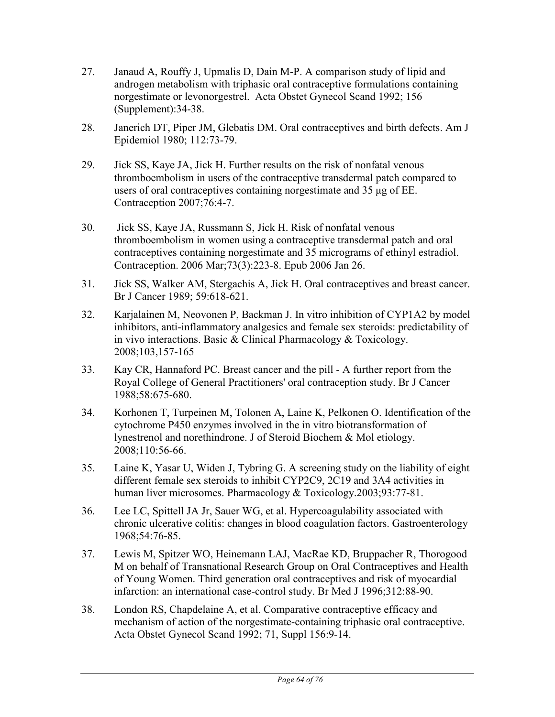- 27. Janaud A, Rouffy J, Upmalis D, Dain M-P. A comparison study of lipid and androgen metabolism with triphasic oral contraceptive formulations containing norgestimate or levonorgestrel. Acta Obstet Gynecol Scand 1992; 156 (Supplement):34-38.
- 28. Janerich DT, Piper JM, Glebatis DM. Oral contraceptives and birth defects. Am J Epidemiol 1980; 112:73-79.
- 29. Jick SS, Kaye JA, Jick H. Further results on the risk of nonfatal venous thromboembolism in users of the contraceptive transdermal patch compared to users of oral contraceptives containing norgestimate and 35 μg of EE. Contraception 2007;76:4-7.
- 30. Jick SS, Kaye JA, Russmann S, Jick H. Risk of nonfatal venous thromboembolism in women using a contraceptive transdermal patch and oral contraceptives containing norgestimate and 35 micrograms of ethinyl estradiol. Contraception. 2006 Mar;73(3):223-8. Epub 2006 Jan 26.
- 31. Jick SS, Walker AM, Stergachis A, Jick H. Oral contraceptives and breast cancer. Br J Cancer 1989; 59:618-621.
- 32. Karjalainen M, Neovonen P, Backman J. In vitro inhibition of CYP1A2 by model inhibitors, anti-inflammatory analgesics and female sex steroids: predictability of in vivo interactions. Basic & Clinical Pharmacology & Toxicology. 2008;103,157-165
- 33. Kay CR, Hannaford PC. Breast cancer and the pill A further report from the Royal College of General Practitioners' oral contraception study. Br J Cancer 1988;58:675-680.
- 34. Korhonen T, Turpeinen M, Tolonen A, Laine K, Pelkonen O. Identification of the cytochrome P450 enzymes involved in the in vitro biotransformation of lynestrenol and norethindrone. J of Steroid Biochem & Mol etiology. 2008;110:56-66.
- 35. Laine K, Yasar U, Widen J, Tybring G. A screening study on the liability of eight different female sex steroids to inhibit CYP2C9, 2C19 and 3A4 activities in human liver microsomes. Pharmacology & Toxicology.2003;93:77-81.
- 36. Lee LC, Spittell JA Jr, Sauer WG, et al. Hypercoagulability associated with chronic ulcerative colitis: changes in blood coagulation factors. Gastroenterology 1968;54:76-85.
- 37. Lewis M, Spitzer WO, Heinemann LAJ, MacRae KD, Bruppacher R, Thorogood M on behalf of Transnational Research Group on Oral Contraceptives and Health of Young Women. Third generation oral contraceptives and risk of myocardial infarction: an international case-control study. Br Med J 1996;312:88-90.
- 38. London RS, Chapdelaine A, et al. Comparative contraceptive efficacy and mechanism of action of the norgestimate-containing triphasic oral contraceptive. Acta Obstet Gynecol Scand 1992; 71, Suppl 156:9-14.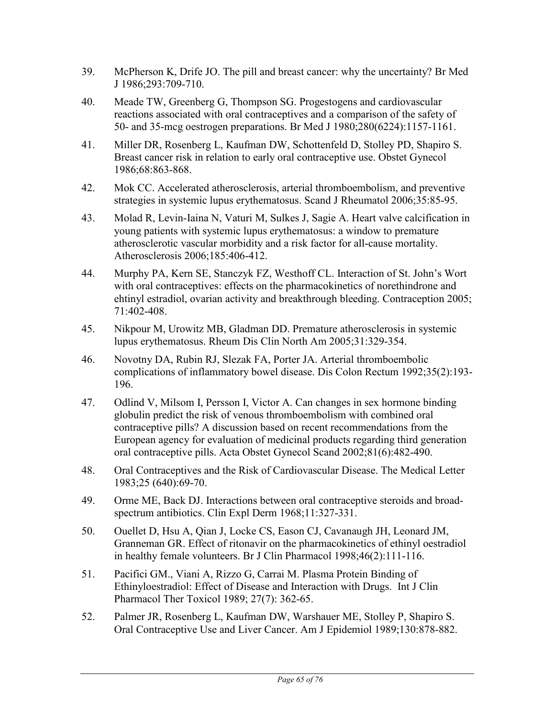- 39. McPherson K, Drife JO. The pill and breast cancer: why the uncertainty? Br Med J 1986;293:709-710.
- 40. Meade TW, Greenberg G, Thompson SG. Progestogens and cardiovascular reactions associated with oral contraceptives and a comparison of the safety of 50- and 35-mcg oestrogen preparations. Br Med J 1980;280(6224):1157-1161.
- 41. Miller DR, Rosenberg L, Kaufman DW, Schottenfeld D, Stolley PD, Shapiro S. Breast cancer risk in relation to early oral contraceptive use. Obstet Gynecol 1986;68:863-868.
- 42. Mok CC. Accelerated atherosclerosis, arterial thromboembolism, and preventive strategies in systemic lupus erythematosus. Scand J Rheumatol 2006;35:85-95.
- 43. Molad R, Levin-Iaina N, Vaturi M, Sulkes J, Sagie A. Heart valve calcification in young patients with systemic lupus erythematosus: a window to premature atherosclerotic vascular morbidity and a risk factor for all-cause mortality. Atherosclerosis 2006;185:406-412.
- 44. Murphy PA, Kern SE, Stanczyk FZ, Westhoff CL. Interaction of St. John's Wort with oral contraceptives: effects on the pharmacokinetics of norethindrone and ehtinyl estradiol, ovarian activity and breakthrough bleeding. Contraception 2005; 71:402-408.
- 45. Nikpour M, Urowitz MB, Gladman DD. Premature atherosclerosis in systemic lupus erythematosus. Rheum Dis Clin North Am 2005;31:329-354.
- 46. Novotny DA, Rubin RJ, Slezak FA, Porter JA. Arterial thromboembolic complications of inflammatory bowel disease. Dis Colon Rectum 1992;35(2):193- 196.
- 47. Odlind V, Milsom I, Persson I, Victor A. Can changes in sex hormone binding globulin predict the risk of venous thromboembolism with combined oral contraceptive pills? A discussion based on recent recommendations from the European agency for evaluation of medicinal products regarding third generation oral contraceptive pills. Acta Obstet Gynecol Scand 2002;81(6):482-490.
- 48. Oral Contraceptives and the Risk of Cardiovascular Disease. The Medical Letter 1983;25 (640):69-70.
- 49. Orme ME, Back DJ. Interactions between oral contraceptive steroids and broadspectrum antibiotics. Clin Expl Derm 1968;11:327-331.
- 50. Ouellet D, Hsu A, Qian J, Locke CS, Eason CJ, Cavanaugh JH, Leonard JM, Granneman GR. Effect of ritonavir on the pharmacokinetics of ethinyl oestradiol in healthy female volunteers. Br J Clin Pharmacol 1998;46(2):111-116.
- 51. Pacifici GM., Viani A, Rizzo G, Carrai M. Plasma Protein Binding of Ethinyloestradiol: Effect of Disease and Interaction with Drugs. Int J Clin Pharmacol Ther Toxicol 1989; 27(7): 362-65.
- 52. Palmer JR, Rosenberg L, Kaufman DW, Warshauer ME, Stolley P, Shapiro S. Oral Contraceptive Use and Liver Cancer. Am J Epidemiol 1989;130:878-882.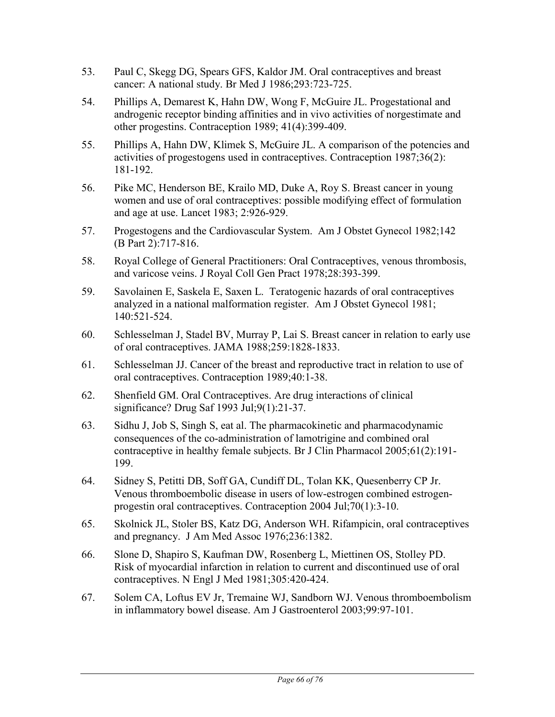- 53. Paul C, Skegg DG, Spears GFS, Kaldor JM. Oral contraceptives and breast cancer: A national study. Br Med J 1986;293:723-725.
- 54. Phillips A, Demarest K, Hahn DW, Wong F, McGuire JL. Progestational and androgenic receptor binding affinities and in vivo activities of norgestimate and other progestins. Contraception 1989; 41(4):399-409.
- 55. Phillips A, Hahn DW, Klimek S, McGuire JL. A comparison of the potencies and activities of progestogens used in contraceptives. Contraception 1987;36(2): 181-192.
- 56. Pike MC, Henderson BE, Krailo MD, Duke A, Roy S. Breast cancer in young women and use of oral contraceptives: possible modifying effect of formulation and age at use. Lancet 1983; 2:926-929.
- 57. Progestogens and the Cardiovascular System. Am J Obstet Gynecol 1982;142 (B Part 2):717-816.
- 58. Royal College of General Practitioners: Oral Contraceptives, venous thrombosis, and varicose veins. J Royal Coll Gen Pract 1978;28:393-399.
- 59. Savolainen E, Saskela E, Saxen L. Teratogenic hazards of oral contraceptives analyzed in a national malformation register. Am J Obstet Gynecol 1981; 140:521-524.
- 60. Schlesselman J, Stadel BV, Murray P, Lai S. Breast cancer in relation to early use of oral contraceptives. JAMA 1988;259:1828-1833.
- 61. Schlesselman JJ. Cancer of the breast and reproductive tract in relation to use of oral contraceptives. Contraception 1989;40:1-38.
- 62. Shenfield GM. Oral Contraceptives. Are drug interactions of clinical significance? Drug Saf 1993 Jul;9(1):21-37.
- 63. Sidhu J, Job S, Singh S, eat al. The pharmacokinetic and pharmacodynamic consequences of the co-administration of lamotrigine and combined oral contraceptive in healthy female subjects. Br J Clin Pharmacol 2005;61(2):191- 199.
- 64. Sidney S, Petitti DB, Soff GA, Cundiff DL, Tolan KK, Quesenberry CP Jr. Venous thromboembolic disease in users of low-estrogen combined estrogenprogestin oral contraceptives. Contraception 2004 Jul;70(1):3-10.
- 65. Skolnick JL, Stoler BS, Katz DG, Anderson WH. Rifampicin, oral contraceptives and pregnancy. J Am Med Assoc 1976;236:1382.
- 66. Slone D, Shapiro S, Kaufman DW, Rosenberg L, Miettinen OS, Stolley PD. Risk of myocardial infarction in relation to current and discontinued use of oral contraceptives. N Engl J Med 1981;305:420-424.
- 67. Solem CA, Loftus EV Jr, Tremaine WJ, Sandborn WJ. Venous thromboembolism in inflammatory bowel disease. Am J Gastroenterol 2003;99:97-101.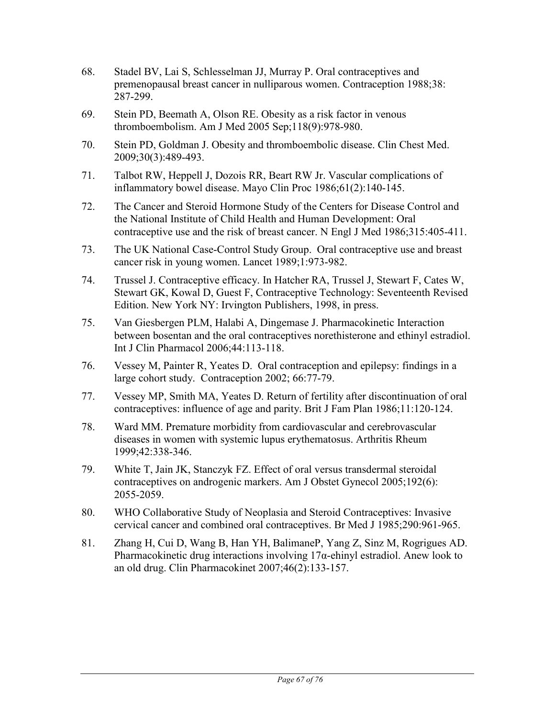- 68. Stadel BV, Lai S, Schlesselman JJ, Murray P. Oral contraceptives and premenopausal breast cancer in nulliparous women. Contraception 1988;38: 287-299.
- 69. Stein PD, Beemath A, Olson RE. Obesity as a risk factor in venous thromboembolism. Am J Med 2005 Sep;118(9):978-980.
- 70. Stein PD, Goldman J. Obesity and thromboembolic disease. Clin Chest Med. 2009;30(3):489-493.
- 71. Talbot RW, Heppell J, Dozois RR, Beart RW Jr. Vascular complications of inflammatory bowel disease. Mayo Clin Proc 1986;61(2):140-145.
- 72. The Cancer and Steroid Hormone Study of the Centers for Disease Control and the National Institute of Child Health and Human Development: Oral contraceptive use and the risk of breast cancer. N Engl J Med 1986;315:405-411.
- 73. The UK National Case-Control Study Group. Oral contraceptive use and breast cancer risk in young women. Lancet 1989;1:973-982.
- 74. Trussel J. Contraceptive efficacy. In Hatcher RA, Trussel J, Stewart F, Cates W, Stewart GK, Kowal D, Guest F, Contraceptive Technology: Seventeenth Revised Edition. New York NY: Irvington Publishers, 1998, in press.
- 75. Van Giesbergen PLM, Halabi A, Dingemase J. Pharmacokinetic Interaction between bosentan and the oral contraceptives norethisterone and ethinyl estradiol. Int J Clin Pharmacol 2006;44:113-118.
- 76. Vessey M, Painter R, Yeates D. Oral contraception and epilepsy: findings in a large cohort study. Contraception 2002; 66:77-79.
- 77. Vessey MP, Smith MA, Yeates D. Return of fertility after discontinuation of oral contraceptives: influence of age and parity. Brit J Fam Plan 1986;11:120-124.
- 78. Ward MM. Premature morbidity from cardiovascular and cerebrovascular diseases in women with systemic lupus erythematosus. Arthritis Rheum 1999;42:338-346.
- 79. White T, Jain JK, Stanczyk FZ. Effect of oral versus transdermal steroidal contraceptives on androgenic markers. Am J Obstet Gynecol 2005;192(6): 2055-2059.
- 80. WHO Collaborative Study of Neoplasia and Steroid Contraceptives: Invasive cervical cancer and combined oral contraceptives. Br Med J 1985;290:961-965.
- 81. Zhang H, Cui D, Wang B, Han YH, BalimaneP, Yang Z, Sinz M, Rogrigues AD. Pharmacokinetic drug interactions involving  $17\alpha$ -ehinyl estradiol. Anew look to an old drug. Clin Pharmacokinet 2007;46(2):133-157.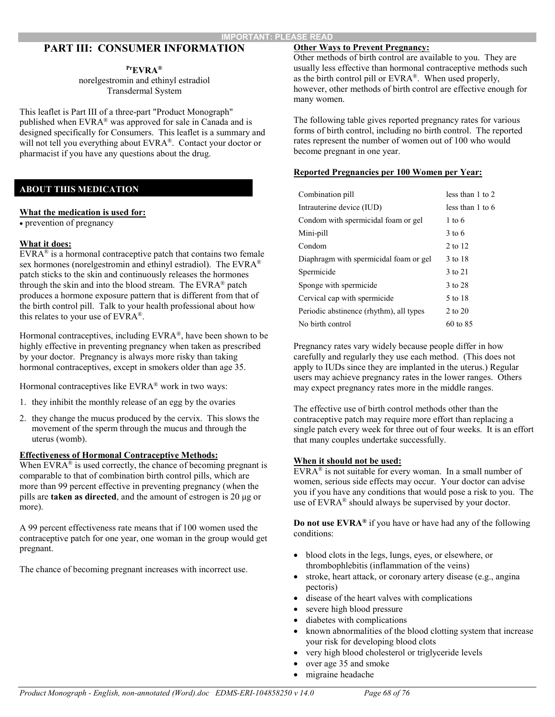### **PART III: CONSUMER INFORMATION**

#### **PrEVRA®**

norelgestromin and ethinyl estradiol Transdermal System

This leaflet is Part III of a three-part "Product Monograph" published when EVRA® was approved for sale in Canada and is designed specifically for Consumers. This leaflet is a summary and will not tell you everything about EVRA®. Contact your doctor or pharmacist if you have any questions about the drug.

### **ABOUT THIS MEDICATION**

#### **What the medication is used for:**

• prevention of pregnancy

#### **What it does:**

 $EVRA^{\circledast}$  is a hormonal contraceptive patch that contains two female sex hormones (norelgestromin and ethinyl estradiol). The EVRA® patch sticks to the skin and continuously releases the hormones through the skin and into the blood stream. The EVRA® patch produces a hormone exposure pattern that is different from that of the birth control pill. Talk to your health professional about how this relates to your use of EVRA®.

Hormonal contraceptives, including EVRA®, have been shown to be highly effective in preventing pregnancy when taken as prescribed by your doctor. Pregnancy is always more risky than taking hormonal contraceptives, except in smokers older than age 35.

Hormonal contraceptives like EVRA® work in two ways:

- 1. they inhibit the monthly release of an egg by the ovaries
- 2. they change the mucus produced by the cervix. This slows the movement of the sperm through the mucus and through the uterus (womb).

### **Effectiveness of Hormonal Contraceptive Methods:**

When  $EVARA^{\circledast}$  is used correctly, the chance of becoming pregnant is comparable to that of combination birth control pills, which are more than 99 percent effective in preventing pregnancy (when the pills are **taken as directed**, and the amount of estrogen is 20 μg or more).

A 99 percent effectiveness rate means that if 100 women used the contraceptive patch for one year, one woman in the group would get pregnant.

The chance of becoming pregnant increases with incorrect use.

### **Other Ways to Prevent Pregnancy:**

Other methods of birth control are available to you. They are usually less effective than hormonal contraceptive methods such as the birth control pill or EVRA®. When used properly, however, other methods of birth control are effective enough for many women.

The following table gives reported pregnancy rates for various forms of birth control, including no birth control. The reported rates represent the number of women out of 100 who would become pregnant in one year.

#### **Reported Pregnancies per 100 Women per Year:**

| Combination pill                        | less than 1 to 2  |
|-----------------------------------------|-------------------|
| Intrauterine device (IUD)               | less than 1 to 6  |
| Condom with spermicidal foam or gel     | $1 \text{ to } 6$ |
| Mini-pill                               | $3 \text{ to } 6$ |
| Condom                                  | 2 to 12           |
| Diaphragm with spermicidal foam or gel  | 3 to 18           |
| Spermicide                              | 3 to 21           |
| Sponge with spermicide                  | 3 to 28           |
| Cervical cap with spermicide            | 5 to 18           |
| Periodic abstinence (rhythm), all types | 2 to 20           |
| No birth control                        | 60 to 85          |

Pregnancy rates vary widely because people differ in how carefully and regularly they use each method. (This does not apply to IUDs since they are implanted in the uterus.) Regular users may achieve pregnancy rates in the lower ranges. Others may expect pregnancy rates more in the middle ranges.

The effective use of birth control methods other than the contraceptive patch may require more effort than replacing a single patch every week for three out of four weeks. It is an effort that many couples undertake successfully.

#### **When it should not be used:**

 $EVRA^{\otimes}$  is not suitable for every woman. In a small number of women, serious side effects may occur. Your doctor can advise you if you have any conditions that would pose a risk to you. The use of EVRA<sup>®</sup> should always be supervised by your doctor.

**Do not use EVRA®** if you have or have had any of the following conditions:

- blood clots in the legs, lungs, eyes, or elsewhere, or thrombophlebitis (inflammation of the veins)
- stroke, heart attack, or coronary artery disease (e.g., angina pectoris)
- disease of the heart valves with complications
- severe high blood pressure
- diabetes with complications
- known abnormalities of the blood clotting system that increase your risk for developing blood clots
- very high blood cholesterol or triglyceride levels
- over age 35 and smoke
- migraine headache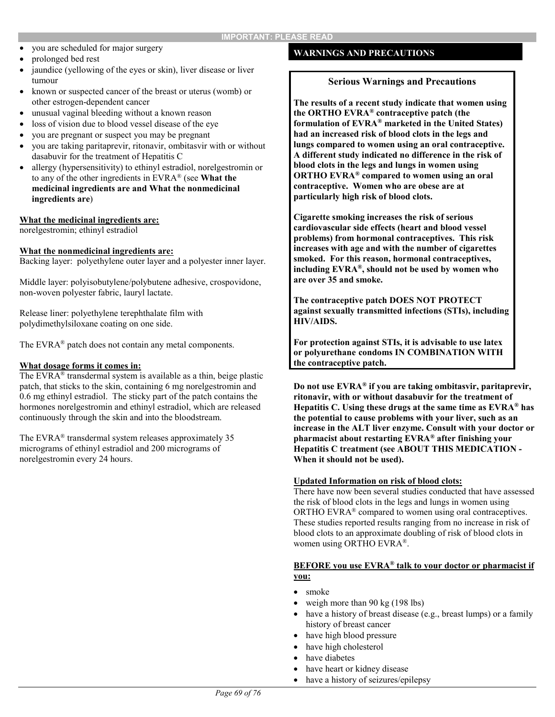- you are scheduled for major surgery
- prolonged bed rest
- jaundice (yellowing of the eyes or skin), liver disease or liver tumour
- known or suspected cancer of the breast or uterus (womb) or other estrogen-dependent cancer
- unusual vaginal bleeding without a known reason
- loss of vision due to blood vessel disease of the eye
- you are pregnant or suspect you may be pregnant
- you are taking paritaprevir, ritonavir, ombitasvir with or without dasabuvir for the treatment of Hepatitis C
- allergy (hypersensitivity) to ethinyl estradiol, norelgestromin or to any of the other ingredients in EVRA® (see **What the medicinal ingredients are and What the nonmedicinal ingredients are**)

#### **What the medicinal ingredients are:**

norelgestromin; ethinyl estradiol

#### **What the nonmedicinal ingredients are:**

Backing layer: polyethylene outer layer and a polyester inner layer.

Middle layer: polyisobutylene/polybutene adhesive, crospovidone, non-woven polyester fabric, lauryl lactate.

Release liner: polyethylene terephthalate film with polydimethylsiloxane coating on one side.

The EVRA<sup>®</sup> patch does not contain any metal components.

### **What dosage forms it comes in:**

The EVRA® transdermal system is available as a thin, beige plastic patch, that sticks to the skin, containing 6 mg norelgestromin and 0.6 mg ethinyl estradiol. The sticky part of the patch contains the hormones norelgestromin and ethinyl estradiol, which are released continuously through the skin and into the bloodstream.

The EVRA® transdermal system releases approximately 35 micrograms of ethinyl estradiol and 200 micrograms of norelgestromin every 24 hours.

### **WARNINGS AND PRECAUTIONS**

#### **Serious Warnings and Precautions**

**The results of a recent study indicate that women using the ORTHO EVRA® contraceptive patch (the formulation of EVRA® marketed in the United States) had an increased risk of blood clots in the legs and lungs compared to women using an oral contraceptive. A different study indicated no difference in the risk of blood clots in the legs and lungs in women using ORTHO EVRA® compared to women using an oral contraceptive. Women who are obese are at particularly high risk of blood clots.**

**Cigarette smoking increases the risk of serious cardiovascular side effects (heart and blood vessel problems) from hormonal contraceptives. This risk increases with age and with the number of cigarettes smoked. For this reason, hormonal contraceptives, including EVRA®, should not be used by women who are over 35 and smoke.** 

**The contraceptive patch DOES NOT PROTECT against sexually transmitted infections (STIs), including HIV/AIDS.** 

**For protection against STIs, it is advisable to use latex or polyurethane condoms IN COMBINATION WITH the contraceptive patch.**

**Do not use EVRA® if you are taking ombitasvir, paritaprevir, ritonavir, with or without dasabuvir for the treatment of Hepatitis C. Using these drugs at the same time as EVRA® has the potential to cause problems with your liver, such as an increase in the ALT liver enzyme. Consult with your doctor or pharmacist about restarting EVRA® after finishing your Hepatitis C treatment (see ABOUT THIS MEDICATION - When it should not be used).**

#### **Updated Information on risk of blood clots:**

There have now been several studies conducted that have assessed the risk of blood clots in the legs and lungs in women using ORTHO EVRA® compared to women using oral contraceptives. These studies reported results ranging from no increase in risk of blood clots to an approximate doubling of risk of blood clots in women using ORTHO EVRA®.

#### **BEFORE you use EVRA® talk to your doctor or pharmacist if you:**

- smoke
- weigh more than 90 kg (198 lbs)
- have a history of breast disease (e.g., breast lumps) or a family history of breast cancer
- have high blood pressure
- have high cholesterol
- have diabetes
- have heart or kidney disease
- have a history of seizures/epilepsy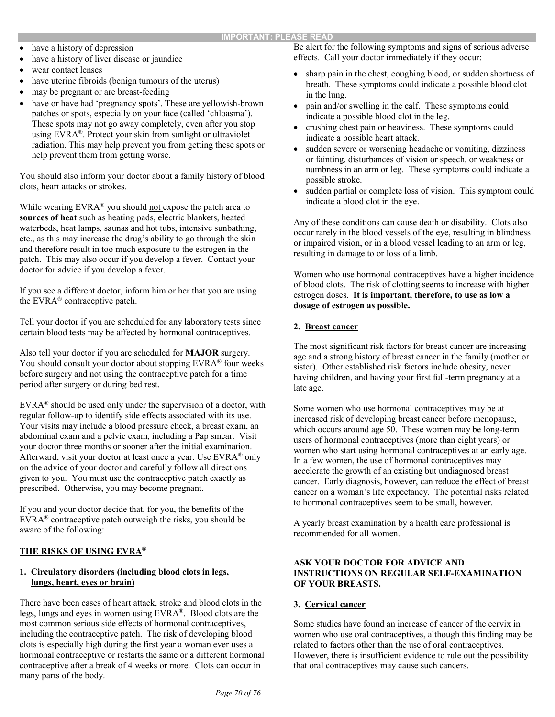- have a history of depression
- have a history of liver disease or jaundice
- wear contact lenses
- have uterine fibroids (benign tumours of the uterus)
- may be pregnant or are breast-feeding
- have or have had 'pregnancy spots'. These are yellowish-brown patches or spots, especially on your face (called 'chloasma'). These spots may not go away completely, even after you stop using EVRA®. Protect your skin from sunlight or ultraviolet radiation. This may help prevent you from getting these spots or help prevent them from getting worse.

You should also inform your doctor about a family history of blood clots, heart attacks or strokes.

While wearing EVRA® you should not expose the patch area to **sources of heat** such as heating pads, electric blankets, heated waterbeds, heat lamps, saunas and hot tubs, intensive sunbathing, etc., as this may increase the drug's ability to go through the skin and therefore result in too much exposure to the estrogen in the patch. This may also occur if you develop a fever. Contact your doctor for advice if you develop a fever.

If you see a different doctor, inform him or her that you are using the EVRA® contraceptive patch.

Tell your doctor if you are scheduled for any laboratory tests since certain blood tests may be affected by hormonal contraceptives.

Also tell your doctor if you are scheduled for **MAJOR** surgery. You should consult your doctor about stopping EVRA® four weeks before surgery and not using the contraceptive patch for a time period after surgery or during bed rest.

EVRA® should be used only under the supervision of a doctor, with regular follow-up to identify side effects associated with its use. Your visits may include a blood pressure check, a breast exam, an abdominal exam and a pelvic exam, including a Pap smear. Visit your doctor three months or sooner after the initial examination. Afterward, visit your doctor at least once a year. Use EVRA® only on the advice of your doctor and carefully follow all directions given to you. You must use the contraceptive patch exactly as prescribed. Otherwise, you may become pregnant.

If you and your doctor decide that, for you, the benefits of the EVRA® contraceptive patch outweigh the risks, you should be aware of the following:

### **THE RISKS OF USING EVRA®**

### **1. Circulatory disorders (including blood clots in legs, lungs, heart, eyes or brain)**

There have been cases of heart attack, stroke and blood clots in the legs, lungs and eyes in women using EVRA®. Blood clots are the most common serious side effects of hormonal contraceptives, including the contraceptive patch. The risk of developing blood clots is especially high during the first year a woman ever uses a hormonal contraceptive or restarts the same or a different hormonal contraceptive after a break of 4 weeks or more. Clots can occur in many parts of the body.

Be alert for the following symptoms and signs of serious adverse effects. Call your doctor immediately if they occur:

- sharp pain in the chest, coughing blood, or sudden shortness of breath. These symptoms could indicate a possible blood clot in the lung.
- pain and/or swelling in the calf. These symptoms could indicate a possible blood clot in the leg.
- crushing chest pain or heaviness. These symptoms could indicate a possible heart attack.
- sudden severe or worsening headache or vomiting, dizziness or fainting, disturbances of vision or speech, or weakness or numbness in an arm or leg. These symptoms could indicate a possible stroke.
- sudden partial or complete loss of vision. This symptom could indicate a blood clot in the eye.

Any of these conditions can cause death or disability. Clots also occur rarely in the blood vessels of the eye, resulting in blindness or impaired vision, or in a blood vessel leading to an arm or leg, resulting in damage to or loss of a limb.

Women who use hormonal contraceptives have a higher incidence of blood clots. The risk of clotting seems to increase with higher estrogen doses. **It is important, therefore, to use as low a dosage of estrogen as possible.**

### **2. Breast cancer**

The most significant risk factors for breast cancer are increasing age and a strong history of breast cancer in the family (mother or sister). Other established risk factors include obesity, never having children, and having your first full-term pregnancy at a late age.

Some women who use hormonal contraceptives may be at increased risk of developing breast cancer before menopause, which occurs around age 50. These women may be long-term users of hormonal contraceptives (more than eight years) or women who start using hormonal contraceptives at an early age. In a few women, the use of hormonal contraceptives may accelerate the growth of an existing but undiagnosed breast cancer. Early diagnosis, however, can reduce the effect of breast cancer on a woman's life expectancy. The potential risks related to hormonal contraceptives seem to be small, however.

A yearly breast examination by a health care professional is recommended for all women.

### **ASK YOUR DOCTOR FOR ADVICE AND INSTRUCTIONS ON REGULAR SELF-EXAMINATION OF YOUR BREASTS.**

### **3. Cervical cancer**

Some studies have found an increase of cancer of the cervix in women who use oral contraceptives, although this finding may be related to factors other than the use of oral contraceptives. However, there is insufficient evidence to rule out the possibility that oral contraceptives may cause such cancers.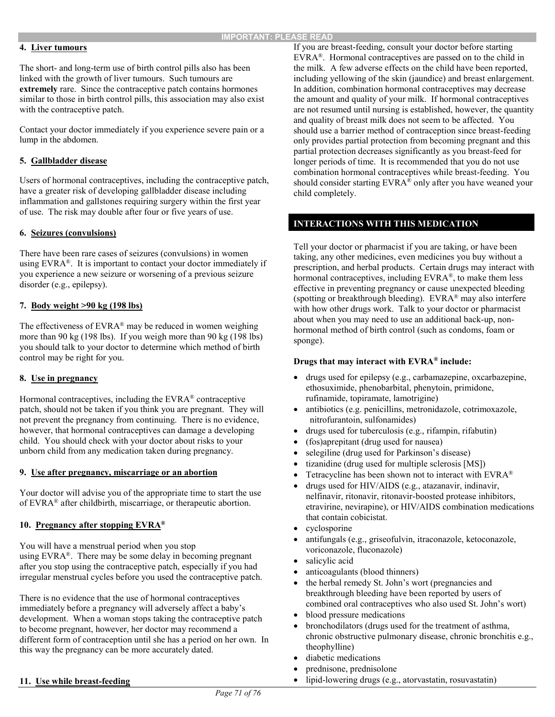### **4. Liver tumours**

The short- and long-term use of birth control pills also has been linked with the growth of liver tumours. Such tumours are **extremely** rare. Since the contraceptive patch contains hormones similar to those in birth control pills, this association may also exist with the contraceptive patch.

Contact your doctor immediately if you experience severe pain or a lump in the abdomen.

### **5. Gallbladder disease**

Users of hormonal contraceptives, including the contraceptive patch, have a greater risk of developing gallbladder disease including inflammation and gallstones requiring surgery within the first year of use. The risk may double after four or five years of use.

### **6. Seizures (convulsions)**

There have been rare cases of seizures (convulsions) in women using EVRA®. It is important to contact your doctor immediately if you experience a new seizure or worsening of a previous seizure disorder (e.g., epilepsy).

### **7. Body weight >90 kg (198 lbs)**

The effectiveness of EVRA® may be reduced in women weighing more than 90 kg (198 lbs). If you weigh more than 90 kg (198 lbs) you should talk to your doctor to determine which method of birth control may be right for you.

### **8. Use in pregnancy**

Hormonal contraceptives, including the EVRA® contraceptive patch, should not be taken if you think you are pregnant. They will not prevent the pregnancy from continuing. There is no evidence, however, that hormonal contraceptives can damage a developing child. You should check with your doctor about risks to your unborn child from any medication taken during pregnancy.

### **9. Use after pregnancy, miscarriage or an abortion**

Your doctor will advise you of the appropriate time to start the use of EVRA® after childbirth, miscarriage, or therapeutic abortion.

### **10. Pregnancy after stopping EVRA®**

You will have a menstrual period when you stop using EVRA®. There may be some delay in becoming pregnant after you stop using the contraceptive patch, especially if you had irregular menstrual cycles before you used the contraceptive patch.

There is no evidence that the use of hormonal contraceptives immediately before a pregnancy will adversely affect a baby's development. When a woman stops taking the contraceptive patch to become pregnant, however, her doctor may recommend a different form of contraception until she has a period on her own. In this way the pregnancy can be more accurately dated.

### **11. Use while breast-feeding**

If you are breast-feeding, consult your doctor before starting EVRA®. Hormonal contraceptives are passed on to the child in the milk. A few adverse effects on the child have been reported, including yellowing of the skin (jaundice) and breast enlargement. In addition, combination hormonal contraceptives may decrease the amount and quality of your milk. If hormonal contraceptives are not resumed until nursing is established, however, the quantity and quality of breast milk does not seem to be affected. You should use a barrier method of contraception since breast-feeding only provides partial protection from becoming pregnant and this partial protection decreases significantly as you breast-feed for longer periods of time. It is recommended that you do not use combination hormonal contraceptives while breast-feeding. You should consider starting EVRA<sup>®</sup> only after you have weaned your child completely.

### **INTERACTIONS WITH THIS MEDICATION**

Tell your doctor or pharmacist if you are taking, or have been taking, any other medicines, even medicines you buy without a prescription, and herbal products. Certain drugs may interact with hormonal contraceptives, including EVRA®, to make them less effective in preventing pregnancy or cause unexpected bleeding (spotting or breakthrough bleeding). EVRA® may also interfere with how other drugs work. Talk to your doctor or pharmacist about when you may need to use an additional back-up, nonhormonal method of birth control (such as condoms, foam or sponge).

### **Drugs that may interact with EVRA® include:**

- drugs used for epilepsy (e.g., carbamazepine, oxcarbazepine, ethosuximide, phenobarbital, phenytoin, primidone, rufinamide, topiramate, lamotrigine)
- antibiotics (e.g. penicillins, metronidazole, cotrimoxazole, nitrofurantoin, sulfonamides)
- drugs used for tuberculosis (e.g., rifampin, rifabutin)
- (fos)aprepitant (drug used for nausea)
- selegiline (drug used for Parkinson's disease)
- tizanidine (drug used for multiple sclerosis [MS])
- Tetracycline has been shown not to interact with EVRA®
- drugs used for HIV/AIDS (e.g., atazanavir, indinavir, nelfinavir, ritonavir, ritonavir-boosted protease inhibitors, etravirine, nevirapine), or HIV/AIDS combination medications that contain cobicistat.
- cyclosporine
- antifungals (e.g., griseofulvin, itraconazole, ketoconazole, voriconazole, fluconazole)
- salicylic acid
- anticoagulants (blood thinners)
- the herbal remedy St. John's wort (pregnancies and breakthrough bleeding have been reported by users of combined oral contraceptives who also used St. John's wort)
- blood pressure medications
- bronchodilators (drugs used for the treatment of asthma, chronic obstructive pulmonary disease, chronic bronchitis e.g., theophylline)
- diabetic medications
- prednisone, prednisolone
- lipid-lowering drugs (e.g., atorvastatin, rosuvastatin)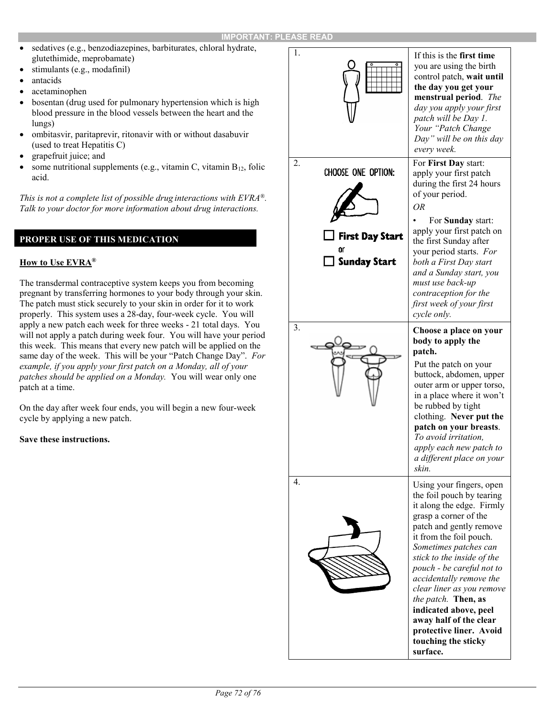- sedatives (e.g., benzodiazepines, barbiturates, chloral hydrate, glutethimide, meprobamate)
- stimulants (e.g., modafinil)
- antacids
- acetaminophen
- bosentan (drug used for pulmonary hypertension which is high blood pressure in the blood vessels between the heart and the lungs)
- ombitasvir, paritaprevir, ritonavir with or without dasabuvir (used to treat Hepatitis C)
- grapefruit juice; and
- some nutritional supplements (e.g., vitamin C, vitamin  $B_{12}$ , folic acid.

*This is not a complete list of possible drug interactions with EVRA®. Talk to your doctor for more information about drug interactions.*

### **PROPER USE OF THIS MEDICATION**

### **How to Use EVRA®**

The transdermal contraceptive system keeps you from becoming pregnant by transferring hormones to your body through your skin. The patch must stick securely to your skin in order for it to work properly. This system uses a 28-day, four-week cycle. You will apply a new patch each week for three weeks - 21 total days. You will not apply a patch during week four. You will have your period this week. This means that every new patch will be applied on the same day of the week. This will be your "Patch Change Day". *For example, if you apply your first patch on a Monday, all of your patches should be applied on a Monday.* You will wear only one patch at a time.

On the day after week four ends, you will begin a new four-week cycle by applying a new patch.

### **Save these instructions.**

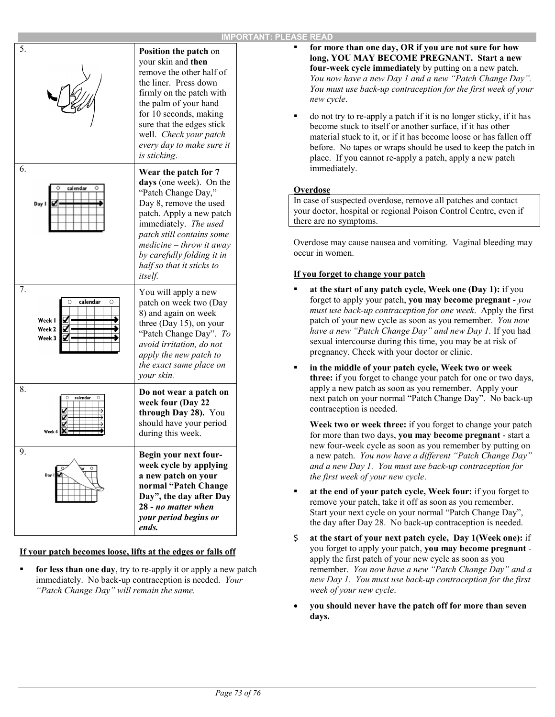| 5.                                                          | Position the patch on<br>your skin and then<br>remove the other half of<br>the liner. Press down<br>firmly on the patch with<br>the palm of your hand<br>for 10 seconds, making<br>sure that the edges stick<br>well. Check your patch<br>every day to make sure it<br>is sticking.                                     |
|-------------------------------------------------------------|-------------------------------------------------------------------------------------------------------------------------------------------------------------------------------------------------------------------------------------------------------------------------------------------------------------------------|
| 6.<br>calendar                                              | Wear the patch for 7<br>days (one week). On the<br>"Patch Change Day,"<br>Day 8, remove the used<br>patch. Apply a new patch<br>immediately. The used<br>patch still contains some<br>$\textit{mediate} - \textit{throw} \textit{it away}$<br>by carefully folding it in<br>half so that it sticks to<br><i>itself.</i> |
| 7.<br>calendar<br>O<br>Week I<br>Ø<br>Week 2<br>V<br>Week 3 | You will apply a new<br>patch on week two (Day<br>8) and again on week<br>three (Day 15), on your<br>"Patch Change Day". To<br>avoid irritation, do not<br>apply the new patch to<br>the exact same place on<br>your skin.                                                                                              |
| 8.<br>calendar<br>Ο<br>Week 4                               | Do not wear a patch on<br>week four (Day 22<br>through Day 28). You<br>should have your period<br>during this week.                                                                                                                                                                                                     |
| 9.                                                          | Begin your next four-<br>week cycle by applying<br>a new patch on your<br>normal "Patch Change<br>Day", the day after Day<br>28 - no matter when<br>your period begins or<br>ends.                                                                                                                                      |

### **If your patch becomes loose, lifts at the edges or falls off**

 **for less than one day**, try to re-apply it or apply a new patch immediately. No back-up contraception is needed. *Your "Patch Change Day" will remain the same.*

- **for more than one day, OR if you are not sure for how long, YOU MAY BECOME PREGNANT. Start a new four-week cycle immediately** by putting on a new patch. *You now have a new Day 1 and a new "Patch Change Day". You must use back-up contraception for the first week of your new cycle*.
- do not try to re-apply a patch if it is no longer sticky, if it has become stuck to itself or another surface, if it has other material stuck to it, or if it has become loose or has fallen off before. No tapes or wraps should be used to keep the patch in place. If you cannot re-apply a patch, apply a new patch immediately.

### **Overdose**

In case of suspected overdose, remove all patches and contact your doctor, hospital or regional Poison Control Centre, even if there are no symptoms.

Overdose may cause nausea and vomiting. Vaginal bleeding may occur in women.

### **If you forget to change your patch**

- **at the start of any patch cycle, Week one (Day 1):** if you forget to apply your patch, **you may become pregnant** - *you must use back-up contraception for one week*. Apply the first patch of your new cycle as soon as you remember. *You now have a new "Patch Change Day" and new Day 1.* If you had sexual intercourse during this time, you may be at risk of pregnancy. Check with your doctor or clinic.
- **in the middle of your patch cycle, Week two or week three:** if you forget to change your patch for one or two days, apply a new patch as soon as you remember. Apply your next patch on your normal "Patch Change Day". No back-up contraception is needed.

**Week two or week three:** if you forget to change your patch for more than two days, **you may become pregnant** - start a new four-week cycle as soon as you remember by putting on a new patch. *You now have a different "Patch Change Day" and a new Day 1. You must use back-up contraception for the first week of your new cycle*.

- **at the end of your patch cycle, Week four:** if you forget to remove your patch, take it off as soon as you remember. Start your next cycle on your normal "Patch Change Day", the day after Day 28. No back-up contraception is needed.
- \$ **at the start of your next patch cycle, Day 1(Week one):** if you forget to apply your patch, **you may become pregnant** apply the first patch of your new cycle as soon as you remember. *You now have a new "Patch Change Day" and a new Day 1. You must use back-up contraception for the first week of your new cycle*.
- **you should never have the patch off for more than seven days.**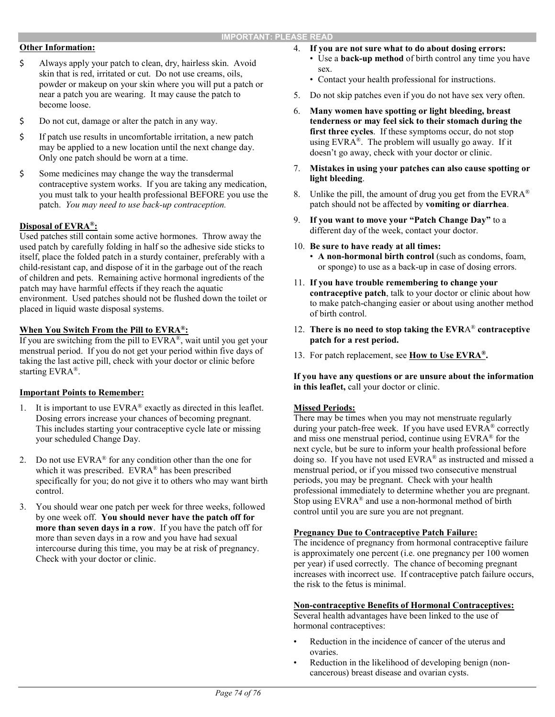## **Other Information:**

- \$ Always apply your patch to clean, dry, hairless skin. Avoid skin that is red, irritated or cut. Do not use creams, oils, powder or makeup on your skin where you will put a patch or near a patch you are wearing. It may cause the patch to become loose.
- \$ Do not cut, damage or alter the patch in any way.
- \$ If patch use results in uncomfortable irritation, a new patch may be applied to a new location until the next change day. Only one patch should be worn at a time.
- \$ Some medicines may change the way the transdermal contraceptive system works. If you are taking any medication, you must talk to your health professional BEFORE you use the patch. *You may need to use back-up contraception.*

### **Disposal of EVRA®:**

Used patches still contain some active hormones. Throw away the used patch by carefully folding in half so the adhesive side sticks to itself, place the folded patch in a sturdy container, preferably with a child-resistant cap, and dispose of it in the garbage out of the reach of children and pets. Remaining active hormonal ingredients of the patch may have harmful effects if they reach the aquatic environment. Used patches should not be flushed down the toilet or placed in liquid waste disposal systems.

## **When You Switch From the Pill to EVRA®:**

If you are switching from the pill to EVRA®, wait until you get your menstrual period. If you do not get your period within five days of taking the last active pill, check with your doctor or clinic before starting EVRA®.

### **Important Points to Remember:**

- 1. It is important to use EVRA® exactly as directed in this leaflet. Dosing errors increase your chances of becoming pregnant. This includes starting your contraceptive cycle late or missing your scheduled Change Day.
- 2. Do not use EVRA® for any condition other than the one for which it was prescribed. EVRA<sup>®</sup> has been prescribed specifically for you; do not give it to others who may want birth control.
- 3. You should wear one patch per week for three weeks, followed by one week off. **You should never have the patch off for more than seven days in a row**. If you have the patch off for more than seven days in a row and you have had sexual intercourse during this time, you may be at risk of pregnancy. Check with your doctor or clinic.
- 4. **If you are not sure what to do about dosing errors:**  • Use a **back-up method** of birth control any time you have sex.
	- Contact your health professional for instructions.
- 5. Do not skip patches even if you do not have sex very often.
- 6. **Many women have spotting or light bleeding, breast tenderness or may feel sick to their stomach during the first three cycles**. If these symptoms occur, do not stop using EVRA®. The problem will usually go away. If it doesn't go away, check with your doctor or clinic.
- 7. **Mistakes in using your patches can also cause spotting or light bleeding**.
- 8. Unlike the pill, the amount of drug you get from the  $EVRA^{\otimes}$ patch should not be affected by **vomiting or diarrhea**.
- 9. **If you want to move your "Patch Change Day"** to a different day of the week, contact your doctor.
- 10. **Be sure to have ready at all times:**  • **A non-hormonal birth control** (such as condoms, foam, or sponge) to use as a back-up in case of dosing errors.
- 11. **If you have trouble remembering to change your contraceptive patch**, talk to your doctor or clinic about how to make patch-changing easier or about using another method of birth control.
- 12. **There is no need to stop taking the EVR**A® **contraceptive patch for a rest period.**
- 13. For patch replacement, see **How to Use EVRA®.**

**If you have any questions or are unsure about the information in this leaflet,** call your doctor or clinic.

## **Missed Periods:**

There may be times when you may not menstruate regularly during your patch-free week. If you have used EVRA® correctly and miss one menstrual period, continue using EVRA® for the next cycle, but be sure to inform your health professional before doing so. If you have not used EVRA® as instructed and missed a menstrual period, or if you missed two consecutive menstrual periods, you may be pregnant. Check with your health professional immediately to determine whether you are pregnant. Stop using EVRA® and use a non-hormonal method of birth control until you are sure you are not pregnant.

### **Pregnancy Due to Contraceptive Patch Failure:**

The incidence of pregnancy from hormonal contraceptive failure is approximately one percent (i.e. one pregnancy per 100 women per year) if used correctly. The chance of becoming pregnant increases with incorrect use. If contraceptive patch failure occurs, the risk to the fetus is minimal.

### **Non-contraceptive Benefits of Hormonal Contraceptives:**

Several health advantages have been linked to the use of hormonal contraceptives:

- Reduction in the incidence of cancer of the uterus and ovaries.
- Reduction in the likelihood of developing benign (noncancerous) breast disease and ovarian cysts.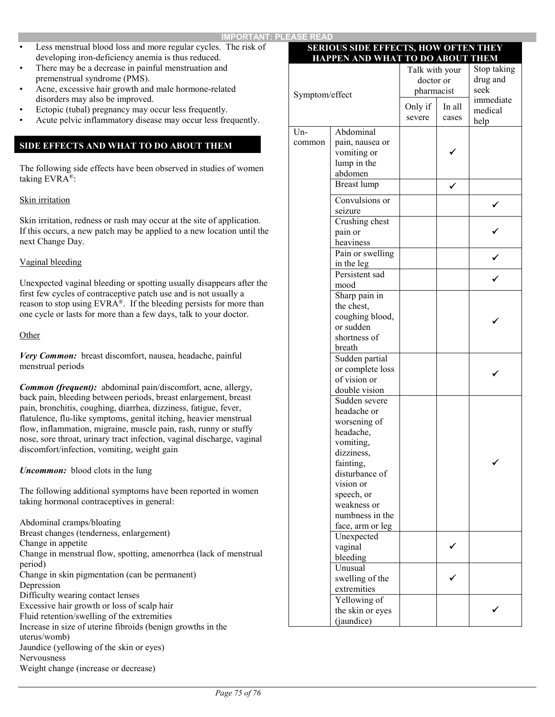- Less menstrual blood loss and more regular cycles. The risk of developing iron-deficiency anemia is thus reduced.
- There may be a decrease in painful menstruation and premenstrual syndrome (PMS).
- Acne, excessive hair growth and male hormone-related disorders may also be improved.
- Ectopic (tubal) pregnancy may occur less frequently.
- Acute pelvic inflammatory disease may occur less frequently.

# **SIDE EFFECTS AND WHAT TO DO ABOUT THEM**

The following side effects have been observed in studies of women taking EVRA®:

# Skin irritation

Skin irritation, redness or rash may occur at the site of application. If this occurs, a new patch may be applied to a new location until the next Change Day.

## Vaginal bleeding

Unexpected vaginal bleeding or spotting usually disappears after the first few cycles of contraceptive patch use and is not usually a reason to stop using EVRA®. If the bleeding persists for more than one cycle or lasts for more than a few days, talk to your doctor.

#### **Other**

*Very Common:* breast discomfort, nausea, headache, painful menstrual periods

*Common (frequent):* abdominal pain/discomfort, acne, allergy, back pain, bleeding between periods, breast enlargement, breast pain, bronchitis, coughing, diarrhea, dizziness, fatigue, fever, flatulence, flu-like symptoms, genital itching, heavier menstrual flow, inflammation, migraine, muscle pain, rash, runny or stuffy nose, sore throat, urinary tract infection, vaginal discharge, vaginal discomfort/infection, vomiting, weight gain

*Uncommon:* blood clots in the lung

The following additional symptoms have been reported in women taking hormonal contraceptives in general:

Abdominal cramps/bloating Breast changes (tenderness, enlargement) Change in appetite Change in menstrual flow, spotting, amenorrhea (lack of menstrual period) Change in skin pigmentation (can be permanent) Depression Difficulty wearing contact lenses Excessive hair growth or loss of scalp hair Fluid retention/swelling of the extremities Increase in size of uterine fibroids (benign growths in the uterus/womb) Jaundice (yellowing of the skin or eyes) Nervousness Weight change (increase or decrease)

## **SERIOUS SIDE EFFECTS, HOW OFTEN THEY HAPPEN AND WHAT TO DO ABOUT THEM**

| Symptom/effect |                        | Talk with your<br>doctor or<br>pharmacist |        | Stop taking<br>drug and<br>seek |
|----------------|------------------------|-------------------------------------------|--------|---------------------------------|
|                |                        |                                           |        | immediate                       |
|                |                        | Only if                                   | In all | medical                         |
|                |                        | severe                                    | cases  | help                            |
| $Un-$          | Abdominal              |                                           |        |                                 |
| common         | pain, nausea or        |                                           |        |                                 |
|                | vomiting or            |                                           |        |                                 |
|                | lump in the            |                                           |        |                                 |
|                | abdomen                |                                           |        |                                 |
|                | Breast lump            |                                           |        |                                 |
|                | Convulsions or         |                                           |        |                                 |
|                | seizure                |                                           |        |                                 |
|                | Crushing chest         |                                           |        |                                 |
|                | pain or                |                                           |        |                                 |
|                | heaviness              |                                           |        |                                 |
|                | Pain or swelling       |                                           |        |                                 |
|                | in the leg             |                                           |        |                                 |
|                | Persistent sad         |                                           |        |                                 |
|                | mood                   |                                           |        |                                 |
|                | Sharp pain in          |                                           |        |                                 |
|                | the chest,             |                                           |        |                                 |
|                | coughing blood,        |                                           |        |                                 |
|                | or sudden              |                                           |        |                                 |
|                | shortness of<br>breath |                                           |        |                                 |
|                | Sudden partial         |                                           |        |                                 |
|                | or complete loss       |                                           |        |                                 |
|                | of vision or           |                                           |        |                                 |
|                | double vision          |                                           |        |                                 |
|                | Sudden severe          |                                           |        |                                 |
|                | headache or            |                                           |        |                                 |
|                | worsening of           |                                           |        |                                 |
|                | headache,              |                                           |        |                                 |
|                | vomiting,              |                                           |        |                                 |
|                | dizziness,             |                                           |        |                                 |
|                | fainting,              |                                           |        |                                 |
|                | disturbance of         |                                           |        |                                 |
|                | vision or              |                                           |        |                                 |
|                | speech, or             |                                           |        |                                 |
|                | weakness or            |                                           |        |                                 |
|                | numbness in the        |                                           |        |                                 |
|                | face, arm or leg       |                                           |        |                                 |
|                | Unexpected             |                                           |        |                                 |
|                | vaginal                |                                           |        |                                 |
|                | bleeding<br>Unusual    |                                           |        |                                 |
|                | swelling of the        |                                           |        |                                 |
|                | extremities            |                                           |        |                                 |
|                | Yellowing of           |                                           |        |                                 |
|                | the skin or eyes       |                                           |        |                                 |
|                | (jaundice)             |                                           |        |                                 |